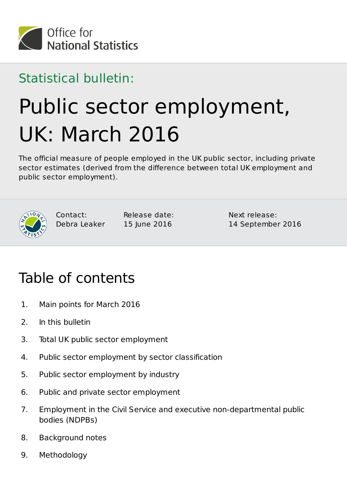

### Statistical bulletin:

# Public sector employment, UK: March 2016

The official measure of people employed in the UK public sector, including private sector estimates (derived from the difference between total UK employment and public sector employment).



Contact: Debra Leaker

Release date: 15 June 2016

Next release: 14 September 2016

# Table of contents

- 1. Main points for March 2016
- 2. In this bulletin
- 3. Total UK public sector employment
- 4. Public sector employment by sector classification
- 5. Public sector employment by industry
- 6. Public and private sector employment
- 7. Employment in the Civil Service and executive non-departmental public bodies (NDPBs)
- 8. Background notes
- 9. Methodology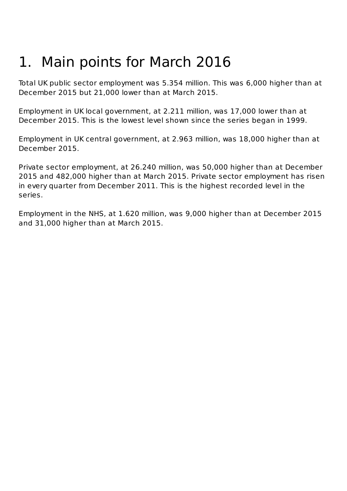# 1. Main points for March 2016

Total UK public sector employment was 5.354 million. This was 6,000 higher than at December 2015 but 21,000 lower than at March 2015.

Employment in UK local government, at 2.211 million, was 17,000 lower than at December 2015. This is the lowest level shown since the series began in 1999.

Employment in UK central government, at 2.963 million, was 18,000 higher than at December 2015.

Private sector employment, at 26.240 million, was 50,000 higher than at December 2015 and 482,000 higher than at March 2015. Private sector employment has risen in every quarter from December 2011. This is the highest recorded level in the series.

Employment in the NHS, at 1.620 million, was 9,000 higher than at December 2015 and 31,000 higher than at March 2015.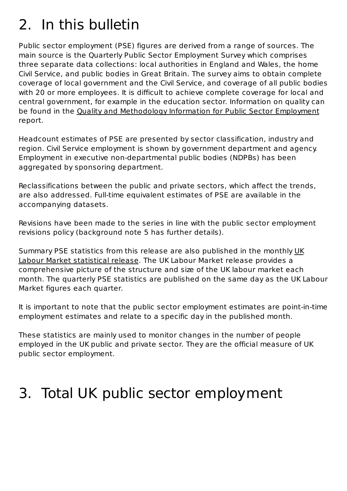# 2. In this bulletin

<span id="page-2-0"></span>Public sector employment (PSE) figures are derived from a range of sources. The main source is the Quarterly Public Sector Employment Survey which comprises three separate data collections: local authorities in England and Wales, the home Civil Service, and public bodies in Great Britain. The survey aims to obtain complete coverage of local government and the Civil Service, and coverage of all public bodies with 20 or more employees. It is difficult to achieve complete coverage for local and central government, for example in the education sector. Information on quality can be found in the Quality and Methodology Information for Public Sector Employment report.

Headcount estimates of PSE are presented by sector classification, industry and region. Civil Service employment is shown by government department and agency. Employment in executive non-departmental public bodies (NDPBs) has been aggregated by sponsoring department.

Reclassifications between the public and private sectors, which affect the trends, are also addressed. Full-time equivalent estimates of PSE are available in the accompanying datasets.

Revisions have been made to the series in line with the public sector employment revisions policy (background note 5 has further details).

Summary PSE statistics from this release are also published in the monthly UK Labour Market statistical release. The UK Labour Market release provides a comprehensive picture of the structure and size of the UK labour market each month. The quarterly PSE statistics are published on the same day as the UK Labour Market figures each quarter.

It is important to note that the public sector employment estimates are point-in-time employment estimates and relate to a specific day in the published month.

These statistics are mainly used to monitor changes in the number of people employed in the UK public and private sector. They are the official measure of UK public sector employment.

# 3. Total UK public sector employment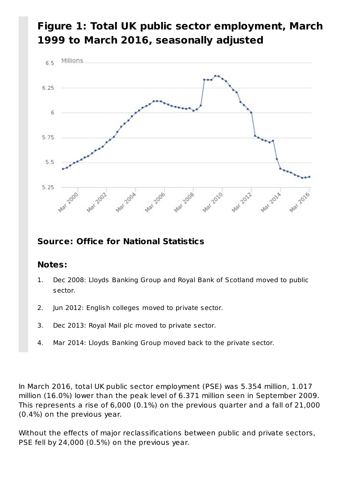#### Millions 65  $6.25$ 6 5.75  $5.5$  $5.25$ Mar 2016 Mar 2006 Mar 2008 Mar 2010 Mar 2014 Mar 2012 2004

#### **Figure 1: Total UK public sector employment, March 1999 to March 2016, seasonally adjusted**

#### **Source: Office for National Statistics**

#### **Notes:**

- Dec 2008: Lloyds Banking Group and Royal Bank of Scotland moved to public sector. 1.
- 2. Jun 2012: English colleges moved to private sector.
- 3. Dec 2013: Royal Mail plc moved to private sector.
- 4. Mar 2014: Lloyds Banking Group moved back to the private sector.

In March 2016, total UK public sector employment (PSE) was 5.354 million, 1.017 million (16.0%) lower than the peak level of 6.371 million seen in September 2009. This represents a rise of  $6,000$  (0.1%) on the previous quarter and a fall of 21,000  $(0.4\%)$  on the previous year.

Without the effects of major reclassifications between public and private sectors, PSE fell by  $24,000$  (0.5%) on the previous year.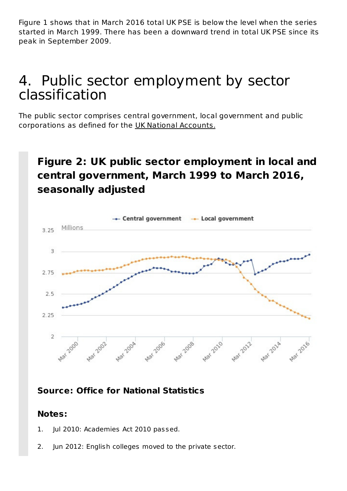<span id="page-4-0"></span>Figure 1 shows that in March 2016 total UK PSE is below the level when the series started in March 1999. There has been a downward trend in total UK PSE since its peak in September 2009.

### 4. Public sector employment by sector classification

The public sector comprises central government, local government and public corporations as defined for the UK National Accounts.

#### **Figure 2: UK public sector employment in local and central government, March 1999 to March 2016, seasonally adjusted**



#### **Source: Office for National Statistics**

#### **Notes:**

- 1. Jul 2010: Academies Act 2010 passed.
- 2. Jun 2012: English colleges moved to the private sector.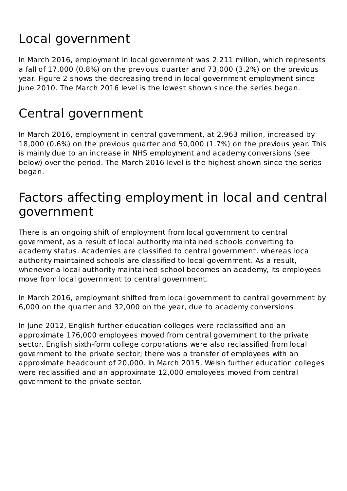## Local government

In March 2016, employment in local government was 2.211 million, which represents a fall of  $17,000$  (0.8%) on the previous quarter and  $73,000$  (3.2%) on the previous year. Figure 2 shows the decreasing trend in local government employment since June 2010. The March 2016 level is the lowest shown since the series began.

### Central government

In March 2016, employment in central government, at 2.963 million, increased by 18,000  $(0.6\%)$  on the previous quarter and  $50,000$   $(1.7\%)$  on the previous year. This is mainly due to an increase in NHS employment and academy conversions (see below) over the period. The March 2016 level is the highest shown since the series began.

### Factors affecting employment in local and central government

There is an ongoing shift of employment from local government to central government, as a result of local authority maintained schools converting to academy status. Academies are classified to central government, whereas local authority maintained schools are classified to local government. As a result, whenever a local authority maintained school becomes an academy, its employees move from local government to central government.

In March 2016, employment shifted from local government to central government by 6,000 on the quarter and 32,000 on the year, due to academy conversions.

In June 2012, English further education colleges were reclassified and an approximate 176,000 employees moved from central government to the private sector. English sixth-form college corporations were also reclassified from local government to the private sector; there was a transfer of employees with an approximate headcount of 20,000. In March 2015, Welsh further education colleges were reclassified and an approximate 12,000 employees moved from central government to the private sector.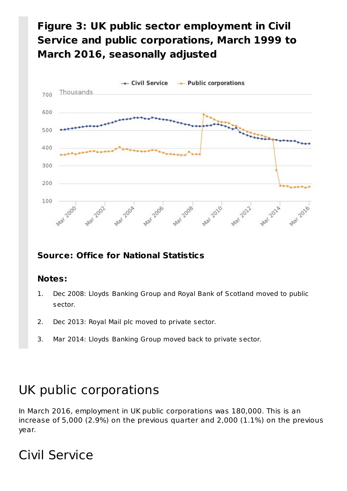#### <span id="page-6-0"></span>**Figure 3: UK public sector employment in Civil** Service and public corporations, March 1999 to **March 2016, seasonally adjusted**



#### **Source: Office for National Statistics**

#### **Notes:**

- Dec 2008: Lloyds Banking Group and Royal Bank of Scotland moved to public sector. 1.
- 2. Dec 2013: Royal Mail plc moved to private sector.
- 3. Mar 2014: Lloyds Banking Group moved back to private sector.

### UK public corporations

In March 2016, employment in UK public corporations was 180,000. This is an increase of 5,000 (2.9%) on the previous quarter and  $2,000$  (1.1%) on the previous year.

### Civil Service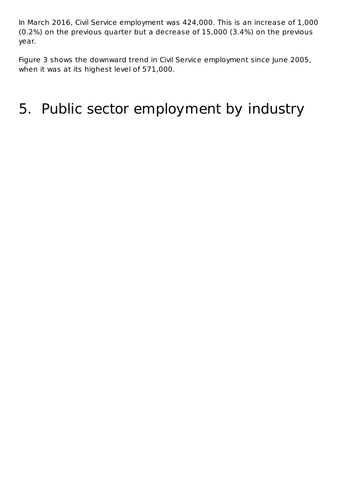In March 2016, Civil Service employment was 424,000. This is an increase of 1,000 (0.2%) on the previous quarter but a decrease of 15,000 (3.4%) on the previous year.

Figure 3 shows the downward trend in Civil Service employment since June 2005, when it was at its highest level of 571,000.

## 5. Public sector employment by industry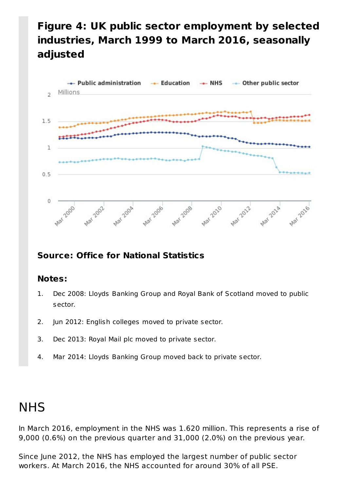#### <span id="page-8-0"></span>Figure 4: UK public sector employment by selected industries, March 1999 to March 2016, seasonally **adjusted**



#### **Source: Office for National Statistics**

#### **Notes:**

- Dec 2008: Lloyds Banking Group and Royal Bank of Scotland moved to public sector. 1.
- 2. Jun 2012: English colleges moved to private sector.
- 3. Dec 2013: Royal Mail plc moved to private sector.
- 4. Mar 2014: Lloyds Banking Group moved back to private sector.

### **NHS**

In March 2016, employment in the NHS was 1.620 million. This represents a rise of  $9,000$  (0.6%) on the previous quarter and  $31,000$  (2.0%) on the previous year.

Since June 2012, the NHS has employed the largest number of public sector workers. At March 2016, the NHS accounted for around 30% of all PSE.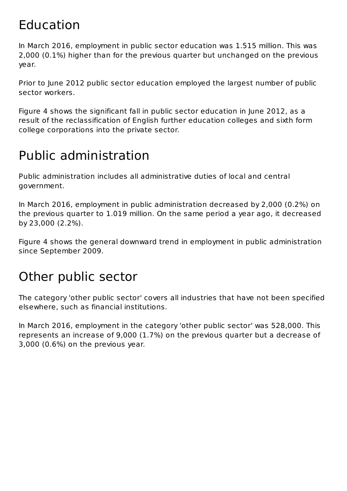### Education

In March 2016, employment in public sector education was 1.515 million. This was 2,000 (0.1%) higher than for the previous quarter but unchanged on the previous year.

Prior to June 2012 public sector education employed the largest number of public sector workers.

Figure 4 shows the significant fall in public sector education in June 2012, as a result of the reclassification of English further education colleges and sixth form college corporations into the private sector.

### Public administration

Public administration includes all administrative duties of local and central government.

In March 2016, employment in public administration decreased by 2,000 (0.2%) on the previous quarter to 1.019 million. On the same period a year ago, it decreased by 23,000 (2.2%).

Figure 4 shows the general downward trend in employment in public administration since September 2009.

### Other public sector

The category 'other public sector' covers all industries that have not been specified elsewhere, such as financial institutions.

In March 2016, employment in the category 'other public sector' was 528,000. This represents an increase of 9,000 (1.7%) on the previous quarter but a decrease of  $3,000$  (0.6%) on the previous year.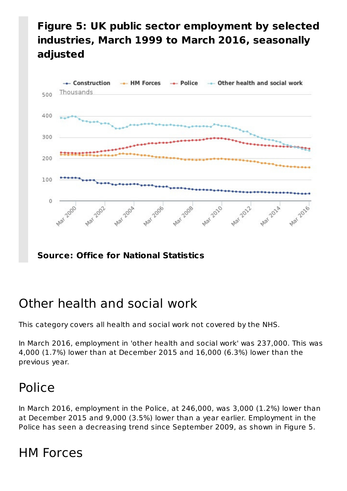#### <span id="page-10-0"></span>**Figure 5: UK public sector employment by selected** industries, March 1999 to March 2016, seasonally **adjusted**



**Source: Office for National Statistics**

### Other health and social work

This category covers all health and social work not covered by the NHS.

In March 2016, employment in 'other health and social work' was 237,000. This was 4,000 (1.7%) lower than at December 2015 and 16,000 (6.3%) lower than the previous year.

### Police

In March 2016, employment in the Police, at  $246,000$ , was  $3,000$  (1.2%) lower than at December 2015 and 9,000 (3.5%) lower than a year earlier. Employment in the Police has seen a decreasing trend since September 2009, as shown in Figure 5.

### **HM** Forces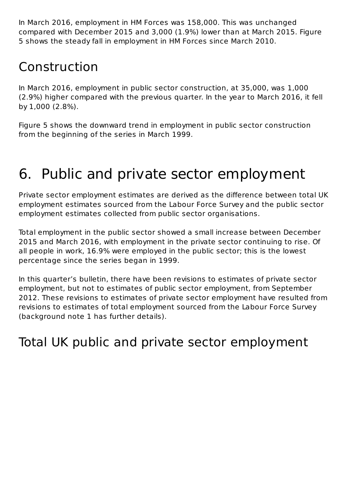<span id="page-11-0"></span>In March 2016, employment in HM Forces was 158,000. This was unchanged compared with December 2015 and 3,000 (1.9%) lower than at March 2015. Figure 5 shows the steady fall in employment in HM Forces since March 2010.

### Construction

In March 2016, employment in public sector construction, at 35,000, was 1,000 (2.9%) higher compared with the previous quarter. In the year to March 2016, it fell by 1,000 (2.8%).

Figure 5 shows the downward trend in employment in public sector construction from the beginning of the series in March 1999.

# 6. Public and private sector employment

Private sector employment estimates are derived as the difference between total UK employment estimates sourced from the Labour Force Survey and the public sector employment estimates collected from public sector organisations.

Total employment in the public sector showed a small increase between December 2015 and March 2016, with employment in the private sector continuing to rise. Of all people in work, 16.9% were employed in the public sector; this is the lowest percentage since the series began in 1999.

In this quarter's bulletin, there have been revisions to estimates of private sector employment, but not to estimates of public sector employment, from September 2012. These revisions to estimates of private sector employment have resulted from revisions to estimates of total employment sourced from the Labour Force Survey (background note 1 has further details).

### Total UK public and private sector employment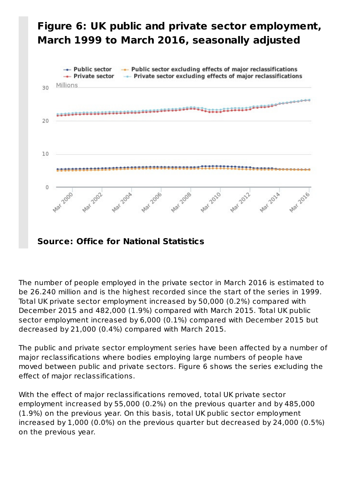<span id="page-12-0"></span>

**Source: Office for National Statistics**

The number of people employed in the private sector in March 2016 is estimated to be 26.240 million and is the highest recorded since the start of the series in 1999. Total UK private sector employment increased by 50,000 (0.2%) compared with December 2015 and 482,000 (1.9%) compared with March 2015. Total UK public sector employment increased by 6,000 (0.1%) compared with December 2015 but decreased by 21,000 (0.4%) compared with March 2015.

The public and private sector employment series have been affected by a number of major reclassifications where bodies employing large numbers of people have moved between public and private sectors. Figure 6 shows the series excluding the effect of major reclassifications.

With the effect of major reclassifications removed, total UK private sector employment increased by 55,000 (0.2%) on the previous quarter and by 485,000 (1.9%) on the previous year. On this basis, total UK public sector employment increased by  $1,000$  (0.0%) on the previous quarter but decreased by  $24,000$  (0.5%) on the previous year.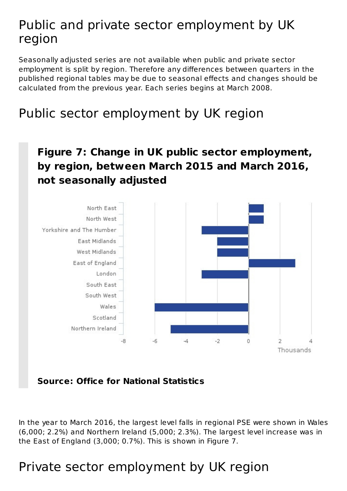### <span id="page-13-0"></span>Public and private sector employment by UK region

Seasonally adjusted series are not available when public and private sector employment is split by region. Therefore any differences between quarters in the published regional tables may be due to seasonal effects and changes should be calculated from the previous year. Each series begins at March 2008.

### Public sector employment by UK region

#### Figure 7: Change in UK public sector employment, **by region, between March 2015 and March 2016, not seasonally adjusted**



#### **Source: Office for National Statistics**

In the year to March 2016, the largest level falls in regional PSE were shown in Wales  $(6,000; 2.2%)$  and Northern Ireland  $(5,000; 2.3%)$ . The largest level increase was in the East of England  $(3,000; 0.7%)$ . This is shown in Figure 7.

### Private sector employment by UK region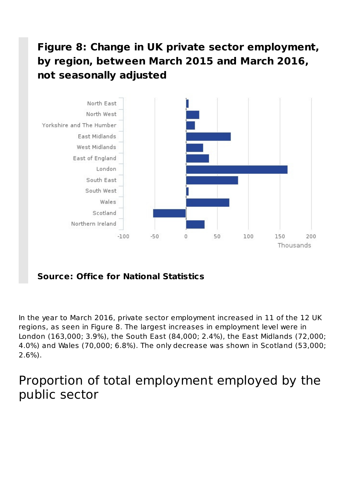#### <span id="page-14-0"></span>**Figure 8: Change in UK private sector employment,** by region, between March 2015 and March 2016, **not seasonally adjusted**



#### **Source: Office for National Statistics**

In the year to March 2016, private sector employment increased in 11 of the 12 UK regions, as seen in Figure 8. The largest increases in employment level were in London (163,000; 3.9%), the South East (84,000; 2.4%), the East Midlands (72,000; 4.0%) and Wales (70,000; 6.8%). The only decrease was shown in Scotland (53,000; 2.6%).

#### Proportion of total employment employed by the public sector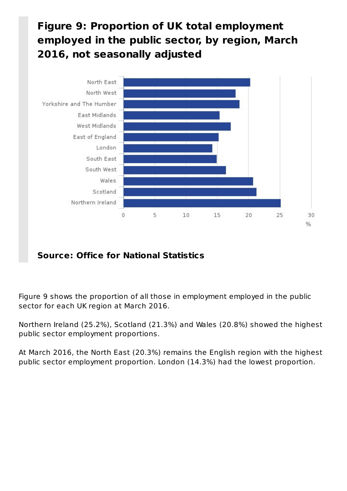#### <span id="page-15-0"></span>**Figure 9: Proportion of UK total employment** employed in the public sector, by region, March **2016, not seasonally adjusted**



#### **Source: Office for National Statistics**

Figure 9 shows the proportion of all those in employment employed in the public sector for each UK region at March 2016.

Northern Ireland (25.2%), Scotland (21.3%) and Wales (20.8%) showed the highest public sector employment proportions.

At March 2016, the North East (20.3%) remains the English region with the highest public sector employment proportion. London (14.3%) had the lowest proportion.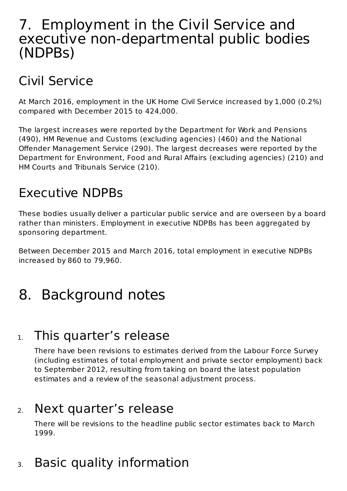### <span id="page-16-0"></span>7. Employment in the Civil Service and executive non-departmental public bodies (NDPBs)

## Civil Service

At March 2016, employment in the UK Home Civil Service increased by 1,000 (0.2%) compared with December 2015 to 424,000.

The largest increases were reported by the Department for Work and Pensions (490), HM Revenue and Customs (excluding agencies) (460) and the National Offender Management Service (290). The largest decreases were reported by the Department for Environment, Food and Rural Affairs (excluding agencies) (210) and HM Courts and Tribunals Service (210).

### Executive NDPBs

These bodies usually deliver a particular public service and are overseen by a board rather than ministers. Employment in executive NDPBs has been aggregated by sponsoring department.

Between December 2015 and March 2016, total employment in executive NDPBs increased by 860 to 79,960.

# 8. Background notes

### 1. This quarter's release

There have been revisions to estimates derived from the Labour Force Survey (including estimates of total employment and private sector employment) back to September 2012, resulting from taking on board the latest population estimates and a review of the seasonal adjustment process.

### 2. Next quarter's release

There will be revisions to the headline public sector estimates back to March 1999.

3. Basic quality information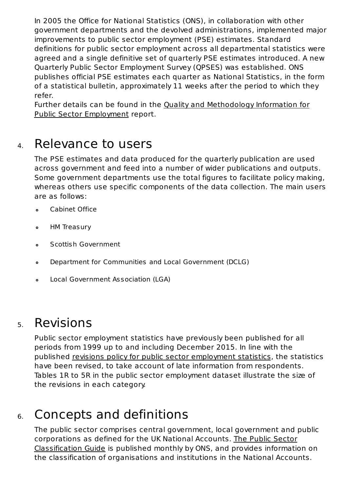In 2005 the Office for National Statistics (ONS), in collaboration with other government departments and the devolved administrations, implemented major improvements to public sector employment (PSE) estimates. Standard definitions for public sector employment across all departmental statistics were agreed and a single definitive set of quarterly PSE estimates introduced. A new Quarterly Public Sector Employment Survey (QPSES) was established. ONS publishes official PSE estimates each quarter as National Statistics, in the form of a statistical bulletin, approximately 11 weeks after the period to which they refer.

Further details can be found in the Quality and Methodology Information for Public Sector Employment report.

#### 4. Relevance to users

The PSE estimates and data produced for the quarterly publication are used across government and feed into a number of wider publications and outputs. Some government departments use the total figures to facilitate policy making, whereas others use specific components of the data collection. The main users are as follows:

- Cabinet Office  $\mathbf{a}$
- HM Treasury  $\bullet$
- Scottish Government  $\bullet$
- Department for Communities and Local Government (DCLG)  $\bullet$
- Local Government Association (LGA)  $\bullet$

#### 5. Revisions

Public sector employment statistics have previously been published for all periods from 1999 up to and including December 2015. In line with the published revisions policy for public sector employment statistics, the statistics have been revised, to take account of late information from respondents. Tables 1R to 5R in the public sector employment dataset illustrate the size of the revisions in each category.

### 6. Concepts and definitions

The public sector comprises central government, local government and public corporations as defined for the UK National Accounts. The Public Sector Classification Guide is published monthly by ONS, and provides information on the classification of organisations and institutions in the National Accounts.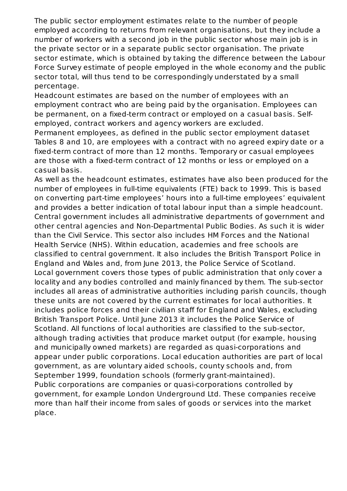<span id="page-18-0"></span>The public sector employment estimates relate to the number of people employed according to returns from relevant organisations, but they include a number of workers with a second job in the public sector whose main job is in the private sector or in a separate public sector organisation. The private sector estimate, which is obtained by taking the difference between the Labour Force Survey estimate of people employed in the whole economy and the public sector total, will thus tend to be correspondingly understated by a small percentage.

Headcount estimates are based on the number of employees with an employment contract who are being paid by the organisation. Employees can be permanent, on a fixed-term contract or employed on a casual basis. Selfemployed, contract workers and agency workers are excluded.

Permanent employees, as defined in the public sector employment dataset Tables 8 and 10, are employees with a contract with no agreed expiry date or a fixed-term contract of more than 12 months. Temporary or casual employees are those with a fixed-term contract of 12 months or less or employed on a casual basis.

As well as the headcount estimates, estimates have also been produced for the number of employees in full-time equivalents (FTE) back to 1999. This is based on converting part-time employees' hours into a full-time employees' equivalent and provides a better indication of total labour input than a simple headcount. Central government includes all administrative departments of government and other central agencies and Non-Departmental Public Bodies. As such it is wider than the Civil Service. This sector also includes HM Forces and the National Health Service (NHS). Within education, academies and free schools are classified to central government. It also includes the British Transport Police in England and Wales and, from June 2013, the Police Service of Scotland. Local government covers those types of public administration that only cover a locality and any bodies controlled and mainly financed by them. The sub-sector includes all areas of administrative authorities including parish councils, though these units are not covered by the current estimates for local authorities. It includes police forces and their civilian staff for England and Wales, excluding British Transport Police. Until June 2013 it includes the Police Service of Scotland. All functions of local authorities are classified to the sub-sector. although trading activities that produce market output (for example, housing and municipally owned markets) are regarded as quasi-corporations and appear under public corporations. Local education authorities are part of local government, as are voluntary aided schools, county schools and, from September 1999, foundation schools (formerly grant-maintained). Public corporations are companies or quasi-corporations controlled by government, for example London Underground Ltd. These companies receive more than half their income from sales of goods or services into the market place.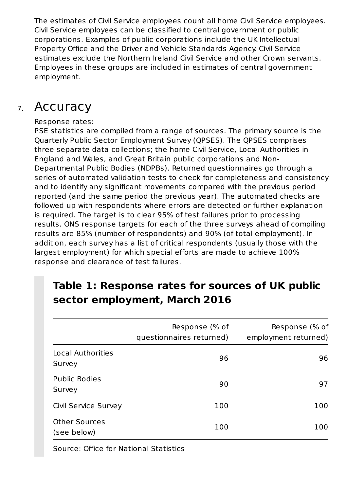<span id="page-19-0"></span>The estimates of Civil Service employees count all home Civil Service employees. Civil Service employees can be classified to central government or public corporations. Examples of public corporations include the UK Intellectual Property Office and the Driver and Vehicle Standards Agency. Civil Service estimates exclude the Northern Ireland Civil Service and other Crown servants. Employees in these groups are included in estimates of central government employment.

#### 7. Accuracy

#### Response rates:

PSE statistics are compiled from a range of sources. The primary source is the Quarterly Public Sector Employment Survey (OPSES). The OPSES comprises three separate data collections; the home Civil Service, Local Authorities in England and Wales, and Great Britain public corporations and Non-Departmental Public Bodies (NDPBs). Returned questionnaires go through a series of automated validation tests to check for completeness and consistency and to identify any significant movements compared with the previous period reported (and the same period the previous year). The automated checks are followed up with respondents where errors are detected or further explanation is required. The target is to clear 95% of test failures prior to processing results. ONS response targets for each of the three surveys ahead of compiling results are 85% (number of respondents) and 90% (of total employment). In addition, each survey has a list of critical respondents (usually those with the largest employment) for which special efforts are made to achieve 100% response and clearance of test failures.

#### **Table 1: Response rates for sources of UK public** sector employment, March 2016

|                                     | Response (% of<br>questionnaires returned) | Response (% of<br>employment returned) |
|-------------------------------------|--------------------------------------------|----------------------------------------|
| <b>Local Authorities</b><br>Survey  | 96                                         | 96                                     |
| <b>Public Bodies</b><br>Survey      | 90                                         | 97                                     |
| Civil Service Survey                | 100                                        | 100                                    |
| <b>Other Sources</b><br>(see below) | 100                                        | 100                                    |

Source: Office for National Statistics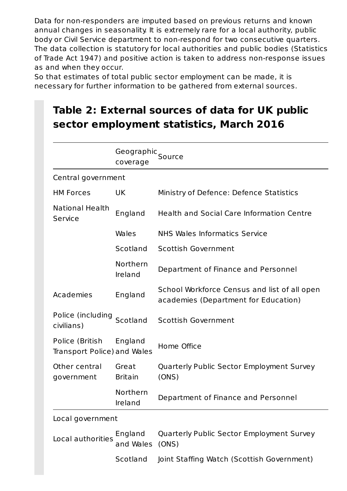Data for non-responders are imputed based on previous returns and known annual changes in seasonality. It is extremely rare for a local authority, public body or Civil Service department to non-respond for two consecutive quarters. The data collection is statutory for local authorities and public bodies (Statistics of Trade Act 1947) and positive action is taken to address non-response issues as and when they occur.

So that estimates of total public sector employment can be made, it is necessary for further information to be gathered from external sources.

#### Table 2: External sources of data for UK public sector employment statistics, March 2016

|                                                | Geographic Source<br>coverage |                                                                                      |
|------------------------------------------------|-------------------------------|--------------------------------------------------------------------------------------|
| Central government                             |                               |                                                                                      |
| <b>HM Forces</b>                               | UK                            | Ministry of Defence: Defence Statistics                                              |
| <b>National Health</b><br>Service              | England                       | Health and Social Care Information Centre                                            |
|                                                | Wales                         | NHS Wales Informatics Service                                                        |
|                                                | Scotland                      | Scottish Government                                                                  |
|                                                | <b>Northern</b><br>Ireland    | Department of Finance and Personnel                                                  |
| Academies                                      | England                       | School Workforce Census and list of all open<br>academies (Department for Education) |
| Police (including<br>civilians)                | Scotland                      | <b>Scottish Government</b>                                                           |
| Police (British<br>Transport Police) and Wales | England                       | Home Office                                                                          |
| Other central<br>government                    | Great<br><b>Britain</b>       | Quarterly Public Sector Employment Survey<br>(ONS)                                   |
|                                                | Northern<br>Ireland           | Department of Finance and Personnel                                                  |
| Local government                               |                               |                                                                                      |
| Local authorities                              | England<br>and Wales          | Quarterly Public Sector Employment Survey<br>(ONS)                                   |
|                                                | Scotland                      | Joint Staffing Watch (Scottish Government)                                           |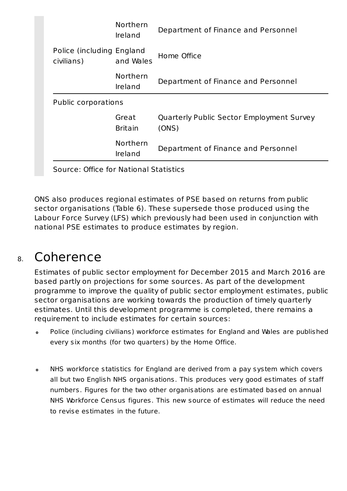<span id="page-21-0"></span>

|                                         | Northern<br>Ireland     | Department of Finance and Personnel                |
|-----------------------------------------|-------------------------|----------------------------------------------------|
| Police (including England<br>civilians) | and Wales               | Home Office                                        |
|                                         | Northern<br>Ireland     | Department of Finance and Personnel                |
| Public corporations                     |                         |                                                    |
|                                         | Great<br><b>Britain</b> | Quarterly Public Sector Employment Survey<br>(ONS) |
|                                         | Northern<br>Ireland     | Department of Finance and Personnel                |
|                                         |                         |                                                    |

Source: Office for National Statistics

ONS also produces regional estimates of PSE based on returns from public sector organisations (Table 6). These supersede those produced using the Labour Force Survey (LFS) which previously had been used in conjunction with national PSE estimates to produce estimates by region.

#### 8. Coherence

Estimates of public sector employment for December 2015 and March 2016 are based partly on projections for some sources. As part of the development programme to improve the quality of public sector employment estimates, public sector organisations are working towards the production of timely quarterly estimates. Until this development programme is completed, there remains a requirement to include estimates for certain sources:

- Police (including civilians) workforce estimates for England and Wales are published  $\bullet$ every six months (for two quarters) by the Home Office.
- NHS workforce statistics for England are derived from a pay system which covers  $\bullet$ all but two English NHS organisations. This produces very good estimates of staff numbers. Figures for the two other organisations are estimated based on annual NHS Workforce Census figures. This new source of estimates will reduce the need to revise estimates in the future.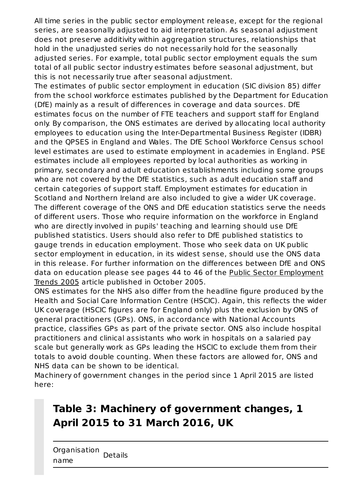All time series in the public sector employment release, except for the regional series, are seasonally adjusted to aid interpretation. As seasonal adjustment does not preserve additivity within aggregation structures, relationships that hold in the unadjusted series do not necessarily hold for the seasonally adjusted series. For example, total public sector employment equals the sum total of all public sector industry estimates before seasonal adjustment, but this is not necessarily true after seasonal adjustment.

The estimates of public sector employment in education (SIC division 85) differ from the school workforce estimates published by the Department for Education (DfE) mainly as a result of differences in coverage and data sources. DfE estimates focus on the number of FTE teachers and support staff for England only. By comparison, the ONS estimates are derived by allocating local authority employees to education using the Inter-Departmental Business Register (IDBR) and the QPSES in England and Wales. The DfE School Workforce Census school level estimates are used to estimate employment in academies in England. PSE estimates include all employees reported by local authorities as working in primary, secondary and adult education establishments including some groups who are not covered by the DfE statistics, such as adult education staff and certain categories of support staff. Employment estimates for education in Scotland and Northern Ireland are also included to give a wider UK coverage. The different coverage of the ONS and DfE education statistics serve the needs of different users. Those who require information on the workforce in England who are directly involved in pupils' teaching and learning should use DfE published statistics. Users should also refer to DfE published statistics to gauge trends in education employment. Those who seek data on UK public sector employment in education, in its widest sense, should use the ONS data in this release. For further information on the differences between DfE and ONS data on education please see pages 44 to 46 of the Public Sector Employment Trends 2005 article published in October 2005.

ONS estimates for the NHS also differ from the headline figure produced by the Health and Social Care Information Centre (HSCIC). Again, this reflects the wider UK coverage (HSCIC figures are for England only) plus the exclusion by ONS of general practitioners (GPs). ONS, in accordance with National Accounts practice, classifies GPs as part of the private sector. ONS also include hospital practitioners and clinical assistants who work in hospitals on a salaried pay scale but generally work as GPs leading the HSCIC to exclude them from their totals to avoid double counting. When these factors are allowed for, ONS and NHS data can be shown to be identical.

Machinery of government changes in the period since 1 April 2015 are listed here:

#### Table 3: Machinery of government changes, 1 **April 2015 to 31 March 2016, UK**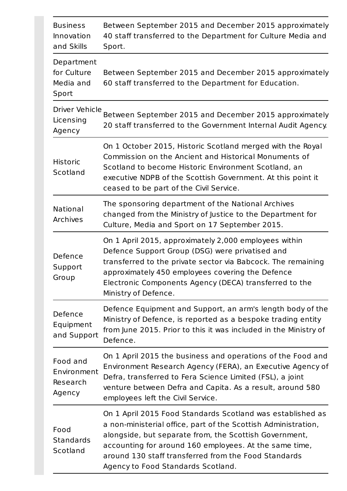<span id="page-23-0"></span>

| <b>Business</b><br>Innovation<br>and Skills     | Between September 2015 and December 2015 approximately<br>40 staff transferred to the Department for Culture Media and<br>Sport.                                                                                                                                                                                                               |
|-------------------------------------------------|------------------------------------------------------------------------------------------------------------------------------------------------------------------------------------------------------------------------------------------------------------------------------------------------------------------------------------------------|
| Department<br>for Culture<br>Media and<br>Sport | Between September 2015 and December 2015 approximately<br>60 staff transferred to the Department for Education.                                                                                                                                                                                                                                |
| Driver Vehicle<br>Licensing<br>Agency           | Between September 2015 and December 2015 approximately<br>20 staff transferred to the Government Internal Audit Agency.                                                                                                                                                                                                                        |
| <b>Historic</b><br>Scotland                     | On 1 October 2015, Historic Scotland merged with the Royal<br>Commission on the Ancient and Historical Monuments of<br>Scotland to become Historic Environment Scotland, an<br>executive NDPB of the Scottish Government. At this point it<br>ceased to be part of the Civil Service.                                                          |
| <b>National</b><br>Archives                     | The sponsoring department of the National Archives<br>changed from the Ministry of Justice to the Department for<br>Culture, Media and Sport on 17 September 2015.                                                                                                                                                                             |
| Defence<br>Support<br>Group                     | On 1 April 2015, approximately 2,000 employees within<br>Defence Support Group (DSG) were privatised and<br>transferred to the private sector via Babcock. The remaining<br>approximately 450 employees covering the Defence<br>Electronic Components Agency (DECA) transferred to the<br>Ministry of Defence.                                 |
| Defence<br>Equipment<br>and Support             | Defence Equipment and Support, an arm's length body of the<br>Ministry of Defence, is reported as a bespoke trading entity<br>from June 2015. Prior to this it was included in the Ministry of<br>Defence.                                                                                                                                     |
| Food and<br>Environment<br>Research<br>Agency   | On 1 April 2015 the business and operations of the Food and<br>Environment Research Agency (FERA), an Executive Agency of<br>Defra, transferred to Fera Science Limited (FSL), a joint<br>venture between Defra and Capita. As a result, around 580<br>employees left the Civil Service.                                                       |
| Food<br><b>Standards</b><br>Scotland            | On 1 April 2015 Food Standards Scotland was established as<br>a non-ministerial office, part of the Scottish Administration,<br>alongside, but separate from, the Scottish Government,<br>accounting for around 160 employees. At the same time,<br>around 130 staff transferred from the Food Standards<br>Agency to Food Standards Scotland. |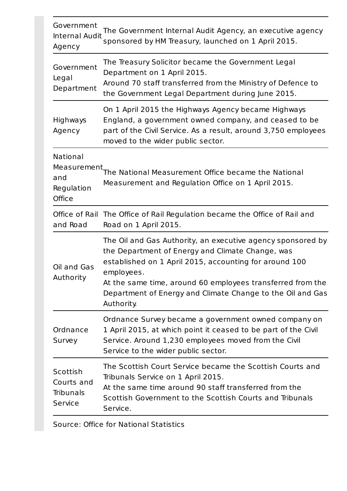| Government<br><b>Internal Audit</b><br>Agency          | The Government Internal Audit Agency, an executive agency<br>sponsored by HM Treasury, launched on 1 April 2015.                                                                                                                                                                                                                 |
|--------------------------------------------------------|----------------------------------------------------------------------------------------------------------------------------------------------------------------------------------------------------------------------------------------------------------------------------------------------------------------------------------|
| Government<br>Legal<br>Department                      | The Treasury Solicitor became the Government Legal<br>Department on 1 April 2015.<br>Around 70 staff transferred from the Ministry of Defence to<br>the Government Legal Department during June 2015.                                                                                                                            |
| <b>Highways</b><br>Agency                              | On 1 April 2015 the Highways Agency became Highways<br>England, a government owned company, and ceased to be<br>part of the Civil Service. As a result, around 3,750 employees<br>moved to the wider public sector.                                                                                                              |
| National<br>Measurement<br>and<br>Regulation<br>Office | The National Measurement Office became the National<br>Measurement and Regulation Office on 1 April 2015.                                                                                                                                                                                                                        |
| and Road                                               | Office of Rail The Office of Rail Regulation became the Office of Rail and<br>Road on 1 April 2015.                                                                                                                                                                                                                              |
| Oil and Gas<br>Authority                               | The Oil and Gas Authority, an executive agency sponsored by<br>the Department of Energy and Climate Change, was<br>established on 1 April 2015, accounting for around 100<br>employees.<br>At the same time, around 60 employees transferred from the<br>Department of Energy and Climate Change to the Oil and Gas<br>Authority |
| Ordnance<br>Survey                                     | Ordnance Survey became a government owned company on<br>1 April 2015, at which point it ceased to be part of the Civil<br>Service. Around 1,230 employees moved from the Civil<br>Service to the wider public sector.                                                                                                            |
| Scottish<br>Courts and<br>Tribunals<br>Service         | The Scottish Court Service became the Scottish Courts and<br>Tribunals Service on 1 April 2015.<br>At the same time around 90 staff transferred from the<br>Scottish Government to the Scottish Courts and Tribunals<br>Service.                                                                                                 |

Source: Office for National Statistics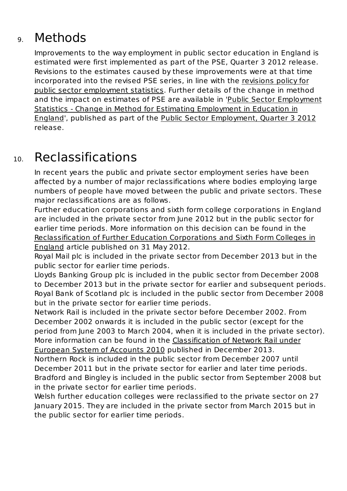### 9. Methods

<span id="page-25-0"></span>Improvements to the way employment in public sector education in England is estimated were first implemented as part of the PSE, Quarter 3 2012 release. Revisions to the estimates caused by these improvements were at that time incorporated into the revised PSE series, in line with the revisions policy for public sector employment statistics. Further details of the change in method and the impact on estimates of PSE are available in 'Public Sector Employment Statistics - Change in Method for Estimating Employment in Education in England', published as part of the Public Sector Employment, Quarter 3 2012 release.

### 10. Reclassifications

In recent years the public and private sector employment series have been affected by a number of major reclassifications where bodies employing large numbers of people have moved between the public and private sectors. These major reclassifications are as follows.

Further education corporations and sixth form college corporations in England are included in the private sector from June 2012 but in the public sector for earlier time periods. More information on this decision can be found in the Reclassification of Further Education Corporations and Sixth Form Colleges in England article published on 31 May 2012.

Royal Mail plc is included in the private sector from December 2013 but in the public sector for earlier time periods.

Lloyds Banking Group plc is included in the public sector from December 2008 to December 2013 but in the private sector for earlier and subsequent periods. Royal Bank of Scotland plc is included in the public sector from December 2008 but in the private sector for earlier time periods.

Network Rail is included in the private sector before December 2002. From December 2002 onwards it is included in the public sector (except for the period from June 2003 to March 2004, when it is included in the private sector). More information can be found in the Classification of Network Rail under European System of Accounts 2010 published in December 2013.

Northern Rock is included in the public sector from December 2007 until December 2011 but in the private sector for earlier and later time periods. Bradford and Bingley is included in the public sector from September 2008 but in the private sector for earlier time periods.

Welsh further education colleges were reclassified to the private sector on 27 January 2015. They are included in the private sector from March 2015 but in the public sector for earlier time periods.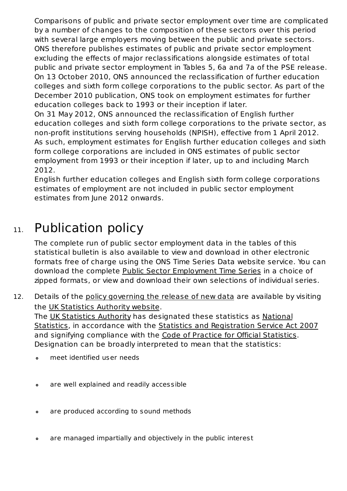Comparisons of public and private sector employment over time are complicated by a number of changes to the composition of these sectors over this period with several large employers moving between the public and private sectors. ONS therefore publishes estimates of public and private sector employment excluding the effects of major reclassifications alongside estimates of total public and private sector employment in Tables 5, 6a and 7a of the PSE release. On 13 October 2010, ONS announced the reclassification of further education colleges and sixth form college corporations to the public sector. As part of the December 2010 publication, ONS took on employment estimates for further education colleges back to 1993 or their inception if later.

On 31 May 2012, ONS announced the reclassification of English further education colleges and sixth form college corporations to the private sector, as non-profit institutions serving households (NPISH), effective from 1 April 2012. As such, employment estimates for English further education colleges and sixth form college corporations are included in ONS estimates of public sector employment from 1993 or their inception if later, up to and including March 2012.

English further education colleges and English sixth form college corporations estimates of employment are not included in public sector employment estimates from lune 2012 onwards.

### 11. Publication policy

The complete run of public sector employment data in the tables of this statistical bulletin is also available to view and download in other electronic formats free of charge using the ONS Time Series Data website service. You can download the complete Public Sector Employment Time Series in a choice of zipped formats, or view and download their own selections of individual series.

12. Details of the policy governing the release of new data are available by visiting the UK Statistics Authority website.

The UK Statistics Authority has designated these statistics as National Statistics, in accordance with the Statistics and Registration Service Act 2007 and signifying compliance with the Code of Practice for Official Statistics. Designation can be broadly interpreted to mean that the statistics:

- meet identified user needs  $\bullet$
- are well explained and readily accessible  $\bullet$
- are produced according to sound methods  $\bullet$
- are managed impartially and objectively in the public interest  $\bullet$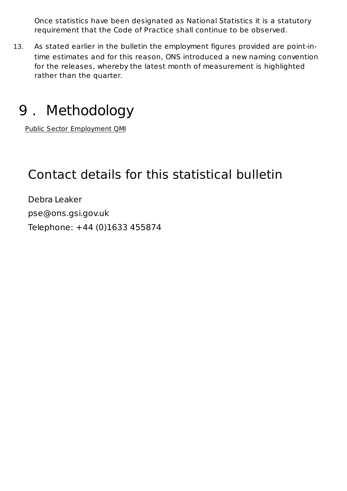<span id="page-27-0"></span>Once statistics have been designated as National Statistics it is a statutory requirement that the Code of Practice shall continue to be observed.

13. As stated earlier in the bulletin the employment figures provided are point-intime estimates and for this reason, ONS introduced a new naming convention for the releases, whereby the latest month of measurement is highlighted rather than the quarter.

# 9. Methodology

Public Sector Employment QMI

### Contact details for this statistical bulletin

Debra Leaker pse@ons.gsi.gov.uk Telephone: +44 (0)1633 455874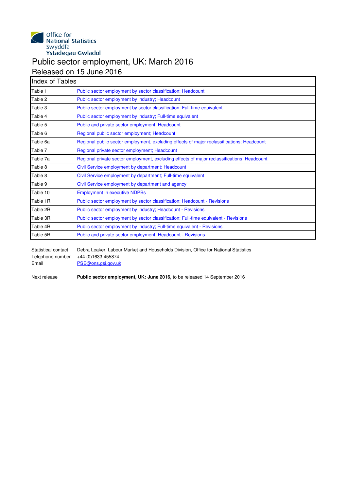

# Office for<br>
National Statistics<br>
Swyddfa<br>
Ystadegau Gwladol<br>
Public sector employment, UK: March 2016 Released on 15 June 2016

| <b>Index of Tables</b> |                                                                                             |
|------------------------|---------------------------------------------------------------------------------------------|
| Table 1                | Public sector employment by sector classification; Headcount                                |
| Table 2                | Public sector employment by industry; Headcount                                             |
| Table 3                | Public sector employment by sector classification; Full-time equivalent                     |
| Table 4                | Public sector employment by industry; Full-time equivalent                                  |
| Table 5                | Public and private sector employment; Headcount                                             |
| Table 6                | Regional public sector employment; Headcount                                                |
| Table 6a               | Regional public sector employment, excluding effects of major reclassifications; Headcount  |
| Table 7                | Regional private sector employment; Headcount                                               |
| Table 7a               | Regional private sector employment, excluding effects of major reclassifications; Headcount |
| Table 8                | Civil Service employment by department; Headcount                                           |
| Table 8                | Civil Service employment by department; Full-time equivalent                                |
| Table 9                | Civil Service employment by department and agency                                           |
| Table 10               | <b>Employment in executive NDPBs</b>                                                        |
| Table 1R               | Public sector employment by sector classification; Headcount - Revisions                    |
| Table 2R               | Public sector employment by industry; Headcount - Revisions                                 |
| Table 3R               | Public sector employment by sector classification; Full-time equivalent - Revisions         |
| Table 4R               | Public sector employment by industry; Full-time equivalent - Revisions                      |
| Table 5R               | Public and private sector employment; Headcount - Revisions                                 |

| Statistical contact | Debra Leaker. Labour Market and Households Division. Office for National Statistics |
|---------------------|-------------------------------------------------------------------------------------|
|                     | Telephone number $+44(0)1633455874$                                                 |
| Email               | PSE@ons.gsi.gov.uk                                                                  |

Next release **Public sector employment, UK: June 2016,** to be released 14 September 2016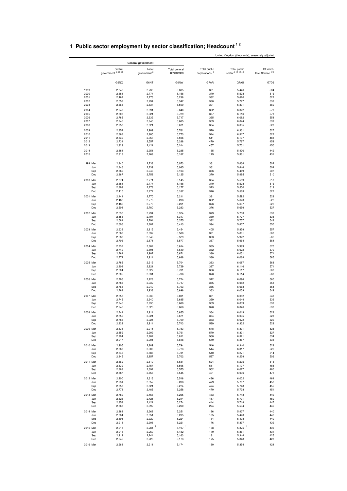|              | United Kingdom (thousands), seasonally adjusted |                          |                             |                                           |                                |                                           |  |  |
|--------------|-------------------------------------------------|--------------------------|-----------------------------|-------------------------------------------|--------------------------------|-------------------------------------------|--|--|
|              |                                                 | General government       |                             |                                           |                                |                                           |  |  |
|              | Central<br>government 34567                     | Local<br>government $^3$ | Total general<br>government | Total public<br>corporations <sup>8</sup> | Total public<br>sector 3456789 | Of which:<br>Civil Service <sup>410</sup> |  |  |
|              | G6NQ                                            | G6NT                     | G6NW                        | G7AR                                      | G7AU                           | G7D6                                      |  |  |
|              |                                                 |                          |                             |                                           |                                |                                           |  |  |
| 1999<br>2000 | 2,346<br>2,384                                  | 2,739<br>2,774           | 5,085<br>5,158              | 361<br>370                                | 5,446<br>5,528                 | 504<br>516                                |  |  |
| 2001         | 2,462                                           | 2,776                    | 5,238                       | 382                                       | 5,620                          | 522                                       |  |  |
| 2002         | 2,553                                           | 2,794                    | 5,347                       | 380                                       | 5,727                          | 538                                       |  |  |
| 2003         | 2,663                                           | 2,837                    | 5,500                       | 391                                       | 5,891                          | 560                                       |  |  |
| 2004         | 2,749                                           | 2,891                    | 5,640                       | 382                                       | 6,022                          | 570                                       |  |  |
| 2005         | 2,808                                           | 2,921                    | 5,729                       | 387                                       | 6,116                          | 571                                       |  |  |
| 2006         | 2,785                                           | 2,932                    | 5,717                       | 365                                       | 6,082                          | 558                                       |  |  |
| 2007         | 2,745                                           | 2,940                    | 5,685                       | 359                                       | 6,044                          | 539                                       |  |  |
| 2008         | 2,750                                           | 2,921                    | 5,671                       | 364                                       | 6,035                          | 523                                       |  |  |
| 2009         | 2,852                                           | 2,909                    | 5,761                       | 570                                       | 6,331                          | 527                                       |  |  |
| 2010<br>2011 | 2,868<br>2,839                                  | 2,905<br>2,757           | 5,773<br>5,596              | 544<br>511                                | 6,317<br>6,107                 | 522<br>488                                |  |  |
| 2012         | 2,731                                           | 2,557                    | 5,288                       | 479                                       | 5,767                          | 458                                       |  |  |
| 2013         | 2,823                                           | 2,421                    | 5,244                       | 457                                       | 5,701                          | 450                                       |  |  |
| 2014         | 2,884                                           | 2,351                    | 5,235                       | 185                                       | 5,420                          | 442                                       |  |  |
| 2015         | 2,913                                           | 2,269                    | 5,182                       | 179                                       | 5,361                          | 431                                       |  |  |
| 1999 Mar     | 2,340                                           | 2,733                    | 5,073                       | 361                                       | 5,434                          | 502                                       |  |  |
|              | Jun<br>2,346<br>Sep<br>2,360                    | 2,739<br>2,743           | 5,085<br>5,103              | 361<br>366                                | 5,446<br>5,469                 | 504<br>507                                |  |  |
|              | $_{\rm Dec}$<br>2,367                           | 2,758                    | 5,125                       | 370                                       | 5,495                          | 510                                       |  |  |
|              |                                                 |                          |                             |                                           |                                |                                           |  |  |
| 2000 Mar     | 2,374<br>2,384<br>Jun                           | 2,771<br>2,774           | 5,145<br>5,158              | 364<br>370                                | 5,509<br>5,528                 | 513<br>516                                |  |  |
|              | Sep<br>2,399                                    | 2,778                    | 5,177                       | 373                                       | 5,550                          | 519                                       |  |  |
|              | Dec<br>2,410                                    | 2,777                    | 5,187                       | 376                                       | 5,563                          | 522                                       |  |  |
| 2001 Mar     | 2,441                                           | 2,770                    | 5,211                       | 381                                       | 5,592                          | 523                                       |  |  |
|              | 2,462<br>Jun                                    | 2,776                    | 5,238                       | 382                                       | 5,620                          | 522                                       |  |  |
|              | 2,482<br>Sep                                    | 2,779                    | 5,261                       | 376                                       | 5,637                          | 522                                       |  |  |
|              | Dec<br>2,503                                    | 2,780                    | 5,283                       | 376                                       | 5,659                          | 527                                       |  |  |
| 2002 Mar     | 2,530                                           | 2,794                    | 5,324                       | 379                                       | 5,703                          | 533                                       |  |  |
|              | 2,553<br>Jun                                    | 2,794                    | 5,347                       | 380                                       | 5,727                          | 538                                       |  |  |
|              | Sep<br>2,581<br>Dec<br>2,606                    | 2,794<br>2,807           | 5,375<br>5,413              | 382<br>394                                | 5,757<br>5,807                 | 543<br>550                                |  |  |
|              |                                                 |                          |                             |                                           |                                |                                           |  |  |
| 2003 Mar     | 2,639<br>2,663<br>Jun                           | 2,815<br>2,837           | 5,454<br>5,500              | 405<br>391                                | 5,859<br>5,891                 | 557<br>560                                |  |  |
|              | 2,683<br>Sep                                    | 2,846                    | 5,529                       | 393                                       | 5,922                          | 562                                       |  |  |
|              | Dec<br>2,706                                    | 2,871                    | 5,577                       | 387                                       | 5,964                          | 564                                       |  |  |
| 2004 Mar     | 2,732                                           | 2,882                    | 5,614                       | 385                                       | 5,999                          | 570                                       |  |  |
|              | 2,749<br>Jun                                    | 2,891                    | 5,640                       | 382                                       | 6,022                          | 570                                       |  |  |
|              | 2,764<br>Sep                                    | 2,907                    | 5,671                       | 380                                       | 6,051                          | 571                                       |  |  |
|              | Dec<br>2,774                                    | 2,914                    | 5,688                       | 380                                       | 6,068                          | 565                                       |  |  |
| 2005 Mar     | 2,785                                           | 2,919                    | 5,704                       | 383                                       | 6,087                          | 563                                       |  |  |
|              | 2,808<br>Jun                                    | 2,921                    | 5,729                       | 387                                       | 6,116                          | 571                                       |  |  |
|              | Sep<br>2,804<br>Dec<br>2,805                    | 2,927<br>2,931           | 5,731<br>5,736              | 386<br>378                                | 6,117<br>6,114                 | 567<br>563                                |  |  |
|              |                                                 |                          |                             |                                           |                                |                                           |  |  |
| 2006 Mar     | 2,796<br>2,785                                  | 2,928<br>2,932           | 5,724<br>5,717              | 372<br>365                                | 6,096<br>6,082                 | 560<br>558                                |  |  |
|              | Jun<br>2,763<br>Sep                             | 2,940                    | 5,703                       | 365                                       | 6,068                          | 554                                       |  |  |
|              | Dec<br>2,763                                    | 2,933                    | 5,696                       | 363                                       | 6,059                          | 549                                       |  |  |
| 2007 Mar     | 2,758                                           | 2,933                    | 5,691                       | 361                                       | 6,052                          | 543                                       |  |  |
|              | 2,745<br>Jun                                    | 2,940                    | 5,685                       | 359                                       | 6,044                          | 539                                       |  |  |
|              | 2,745<br>Sep                                    | 2,935                    | 5,680                       | 359                                       | 6,039                          | 533                                       |  |  |
|              | 2,742<br>Dec                                    | 2,926                    | 5,668                       | 378                                       | 6,046                          | 530                                       |  |  |
| 2008 Mar     | 2,741                                           | 2,914                    | 5,655                       | 364                                       | 6,019                          | 523                                       |  |  |
|              | Jun<br>2,750                                    | 2,921                    | 5,671                       | 364                                       | 6,035                          | 523                                       |  |  |
|              | 2,785<br>Sep<br>Dec<br>2,829                    | 2,924<br>2,914           | 5,709<br>5,743              | 363<br>589                                | 6,072<br>6,332                 | 522<br>523                                |  |  |
|              |                                                 |                          |                             |                                           |                                |                                           |  |  |
| 2009 Mar     | 2,838<br>2,852<br>Jun                           | 2,915<br>2,909           | 5,753<br>5,761              | 578<br>570                                | 6,331<br>6,331                 | 525<br>527                                |  |  |
|              | 2,904<br>Sep                                    | 2,907                    | 5,811                       | 560                                       | 6,371                          | 534                                       |  |  |
|              | 2,917<br>Dec                                    | 2,901                    | 5,818                       | 549                                       | 6,367                          | 533                                       |  |  |
| 2010 Mar     | 2,905                                           | 2,889                    | 5,794                       | 546                                       | 6,340                          | 528                                       |  |  |
|              | 2,868<br>Jun                                    | 2,905                    | 5,773                       | 544                                       | 6,317                          | 522                                       |  |  |
|              | Sep<br>2,845                                    | 2,886                    | 5,731                       | 540                                       | 6,271                          | 514                                       |  |  |
|              | Dec<br>2,845                                    | 2,857                    | 5,702                       | 527                                       | 6,229                          | 506                                       |  |  |
| 2011 Mar     | 2,862                                           | 2,819                    | 5,681                       | 524                                       | 6,205                          | 513                                       |  |  |
|              | Jun<br>2,839<br>Sep<br>2,883                    | 2,757<br>2,692           | 5,596<br>5,575              | 511<br>502                                | 6,107<br>6,077                 | 488<br>480                                |  |  |
|              | 2,887<br>Dec                                    | 2,658                    | 5,545                       | 491                                       | 6,036                          | 471                                       |  |  |
| 2012 Mar     | 2,900                                           | 2,616                    | 5,516                       | 486                                       | 6,002                          | 464                                       |  |  |
|              | 2,731<br>Jun                                    | 2,557                    | 5,288                       | 479                                       | 5,767                          | 458                                       |  |  |
|              | 2,753<br>Sep                                    | 2,521                    | 5,274                       | 474                                       | 5,748                          | 455                                       |  |  |
|              | Dec<br>2,773                                    | 2,485                    | 5,258                       | 470                                       | 5,728                          | 451                                       |  |  |
| 2013 Mar     | 2,789                                           | 2,466                    | 5,255                       | 463                                       | 5,718                          | 449                                       |  |  |
|              | 2,823<br>Jun                                    | 2,421                    | 5,244                       | 457                                       | 5,701                          | 450                                       |  |  |
|              | Sep<br>2,853                                    | 2,421                    | 5,274                       | 444                                       | 5,718                          | 447                                       |  |  |
|              | Dec<br>2,868                                    | 2,392                    | 5,260                       | 274                                       | 5,534                          | 445                                       |  |  |
| 2014 Mar     | 2,883                                           | 2,368                    | 5,251                       | 186                                       | 5,437                          | 440                                       |  |  |
|              | 2,884<br>Jun<br>Sep<br>2,895                    | 2,351<br>2,329           | 5,235<br>5,224              | 185<br>184                                | 5,420<br>5,408                 | 442<br>440                                |  |  |
|              | Dec<br>2,913                                    | 2,308                    | 5,221                       | 176                                       | 5,397                          | 439                                       |  |  |
| 2015 Mar     | 2,913                                           | 2,284                    | 5,197                       | 178                                       | 5,375                          | 439                                       |  |  |
|              | Jun<br>2,913                                    | 2,269                    | 5,182                       | 179                                       | 5,361                          | 431                                       |  |  |
|              | 2,919<br>Sep                                    | 2,244                    | 5,163                       | 181                                       | 5,344                          | 425                                       |  |  |
|              | Dec<br>2,945                                    | 2,228                    | 5,173                       | 175                                       | 5,348                          | 423                                       |  |  |
| 2016 Mar     | 2,963                                           | 2,211                    | 5,174                       | 180                                       | 5,354                          | 424                                       |  |  |
|              |                                                 |                          |                             |                                           |                                |                                           |  |  |

#### <span id="page-29-0"></span>**1 Public sector employment by sector classification; Headcount 1 2**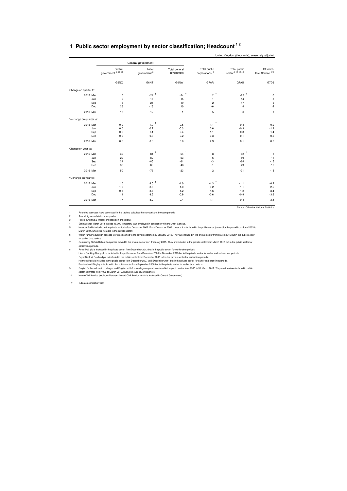#### **1 Public sector employment by sector classification; Headcount 1 2**

| United Kingdom (thousands), seasonally adjusted |                             |                          |                             |                                           |                                |                                           |  |  |
|-------------------------------------------------|-----------------------------|--------------------------|-----------------------------|-------------------------------------------|--------------------------------|-------------------------------------------|--|--|
| General government                              |                             |                          |                             |                                           |                                |                                           |  |  |
|                                                 | Central<br>government 34567 | Local<br>government $^3$ | Total general<br>government | Total public<br>corporations <sup>8</sup> | Total public<br>sector 3456789 | Of which:<br>Civil Service <sup>410</sup> |  |  |
|                                                 | G6NQ                        | G6NT                     | G6NW                        | G7AR                                      | G7AU                           | G7D6                                      |  |  |
| Change on quarter to:                           |                             |                          |                             |                                           |                                |                                           |  |  |
| 2015 Mar                                        | 0                           | -24 $^\dagger$           | -24 $^\dagger$              | Ť<br>$\overline{\mathbf{c}}$              | $\ddagger$<br>$-22$            | $\pmb{0}$                                 |  |  |
| Jun                                             | $\mathbf 0$                 | $-15$                    | $-15$                       | $\mathbf{1}$                              | $-14$                          | $-8$                                      |  |  |
| Sep                                             | 6                           | $-25$                    | $-19$                       | $\overline{\mathbf{c}}$                   | $-17$                          | $-6$                                      |  |  |
| Dec                                             | 26                          | $-16$                    | 10                          | $-6$                                      | $\overline{4}$                 | $-2$                                      |  |  |
| 2016 Mar                                        | 18                          | $-17$                    | $\mathbf{1}$                | 5                                         | 6                              | $\mathbf{1}$                              |  |  |
| % change on quarter to:                         |                             |                          |                             |                                           |                                |                                           |  |  |
| 2015 Mar                                        | 0.0                         | $\textbf{-1.0}^\top$     | $-0.5$                      | t<br>1.1                                  | $-0.4$                         | 0.0                                       |  |  |
| Jun                                             | 0.0                         | $-0.7$                   | $-0.3$                      | 0.6                                       | $-0.3$                         | $-1.8$                                    |  |  |
| Sep                                             | 0.2                         | $-1.1$                   | $-0.4$                      | 1.1                                       | $-0.3$                         | $-1.4$                                    |  |  |
| Dec                                             | 0.9                         | $-0.7$                   | 0.2                         | $-3.3$                                    | 0.1                            | $-0.5$                                    |  |  |
| 2016 Mar                                        | 0.6                         | $-0.8$                   | 0.0                         | 2.9                                       | 0.1                            | 0.2                                       |  |  |
| Change on year to:                              |                             |                          |                             |                                           |                                |                                           |  |  |
| 2015 Mar                                        | 30                          | -84 $^\dagger$           | -54 $^\dagger$              | $\ddagger$<br>$-8$                        | $\ddagger$<br>$-62$            | $-1$                                      |  |  |
| Jun                                             | 29                          | $-82$                    | $-53$                       | $\textbf{-6}$                             | $-59$                          | $-11$                                     |  |  |
| Sep                                             | 24                          | $-85$                    | $-61$                       | $-3$                                      | $-64$                          | $-15$                                     |  |  |
| Dec                                             | 32                          | $-80$                    | $-48$                       | $-1$                                      | $-49$                          | $-16$                                     |  |  |
| 2016 Mar                                        | 50                          | $-73$                    | $-23$                       | $\overline{\mathbf{c}}$                   | $-21$                          | $-15$                                     |  |  |
| % change on year to:                            |                             |                          |                             |                                           |                                |                                           |  |  |
| 2015 Mar                                        | 1.0                         | -3.5 $^\dagger$          | $-1.0$                      | $-4.3$ <sup>+</sup>                       | $-1.1$                         | $-0.2$                                    |  |  |
| Jun                                             | 1.0                         | $-3.5$                   | $-1.0$                      | $-3.2$                                    | $-1.1$                         | $-2.5$                                    |  |  |
| Sep                                             | 0.8                         | $-3.6$                   | $-1.2$                      | $-1.6$                                    | $-1.2$                         | $-3.4$                                    |  |  |
| Dec                                             | 1.1                         | $-3.5$                   | $-0.9$                      | $-0.6$                                    | $-0.9$                         | $-3.6$                                    |  |  |
| 2016 Mar                                        | 1.7                         | $-3.2$                   | $-0.4$                      | 1.1                                       | $-0.4$                         | $-3.4$                                    |  |  |
|                                                 |                             |                          |                             |                                           |                                | Source: Office for National Statistics    |  |  |

1 Rounded estimates have been used in this table to calculate the comparisons between periods.

2 Annual figures relate to June quarter. 3 Police (England & Wales) are based on projections.

4 Estimates for March 2011 include 15,000 temporary staff employed in connection with the 2011 Census.<br>5 Network Rail is included in the private sector before December 2002. From December 2002 onwards it is included in the

March 2004, when it is included in the private sector).<br>6 Welsh further education colleges were reclassified to the private sector on 27 January 2015. They are included in the private sector from March 2015 but in the publ

for earlier time periods. 7 Community Rehabilitation Companies moved to the private sector on 1 February 2015. They are included in the private sector from March 2015 but in the public sector for earlier time periods.

8 Royal Mail plc is included in the private sector from December 2013 but in the public sector for earlier time periods.

Lloyds Banking Group plc is included in the public sector from December 2008 to December 2013 but in the private sector for earlier and subsequent periods.<br>Royal Bank of Scotland plc is included in the public sector from D

Northern Rock is included in the public sector from December 2007 until December 2011 but in the private sector for earlier and later time periods.<br>Bradford and Bingley is included in the public sector from September 2008

† Indicates earliest revision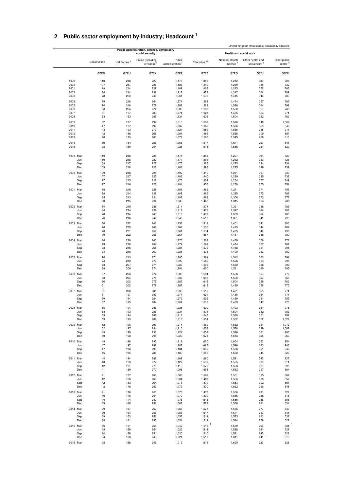#### **2 Public sector employment by industry; Headcount <sup>1</sup>**

|                                     | United Kingdom (thousands), seasonally adjusted |                                         | Public administration, defence, compulsory |                                       |                                              |                        |              |                 |
|-------------------------------------|-------------------------------------------------|-----------------------------------------|--------------------------------------------|---------------------------------------|----------------------------------------------|------------------------|--------------|-----------------|
|                                     | Health and social work                          |                                         |                                            | social security                       |                                              |                        |              |                 |
| Other public<br>sector <sup>9</sup> | Other health and<br>social work <sup>8</sup>    | National Health<br>Service <sup>7</sup> | Education 56                               | Public<br>administration <sup>4</sup> | Police (including<br>civilians) <sup>3</sup> | HM Forces <sup>2</sup> | Construction |                 |
|                                     |                                                 |                                         |                                            |                                       |                                              |                        |              |                 |
| G7FM                                | G7FJ                                            | G7FG                                    | G7F5                                       | G7F2                                  | G7EX                                         | G7EU                   | G7ER         |                 |
| 728                                 | 389                                             | 1,212                                   | 1,386                                      | 1,177                                 | 227                                          | 218                    | 110          | 1999            |
| 732<br>766                          | 385<br>372                                      | 1,239<br>1,285                          | 1,440<br>1,466                             | 1,183<br>1,189                        | 225<br>229                                   | 217<br>214             | 107<br>98    | 2000<br>2001    |
| 789                                 | 364                                             | 1,347                                   | 1,472                                      | 1,217                                 | 238                                          | 214                    | 84           | 2002            |
| 789                                 | 344                                             | 1,415                                   | 1,530                                      | 1,261                                 | 248                                          | 223                    | 78           | 2003            |
| 787                                 | 357                                             | 1,474                                   | 1,568                                      | 1,274                                 | 264                                          | 218                    | 79           | 2004            |
| 798                                 | 364                                             | 1,526                                   | 1,582                                      | 1,292                                 | 272                                          | 210                    | 74           | 2005            |
| 765<br>771                          | 357<br>354                                      | 1,520<br>1,485                          | 1,608<br>1,621                             | 1,288<br>1,274                        | 274<br>283                                   | 204<br>197             | 68<br>61     | 2006<br>2007    |
| 783                                 | 352                                             | 1,504                                   | 1,635                                      | 1,231                                 | 286                                          | 193                    | 53           | 2008            |
| 1,002                               | 349                                             | 1,570                                   | 1,653                                      | 1,215                                 | 294                                          | 197                    | 52           | 2009            |
| 943                                 | 353                                             | 1,596                                   | 1,685                                      | 1,207                                 | 292                                          | 197                    | 47           | 2010            |
| 911                                 | 335                                             | 1,565                                   | 1,659                                      | 1,127                                 | 277                                          | 193                    | 43           | 2011            |
| 857<br>815                          | 309<br>288                                      | 1,556<br>1,545                          | 1,469<br>1,500                             | 1,084<br>1,079                        | 266<br>261                                   | 186<br>175             | 42<br>40     | 2012<br>2013    |
| 541                                 | 267                                             | 1,571                                   | 1,517                                      | 1,066                                 | 256                                          | 164                    | 39           | 2014            |
| 529                                 | 251                                             | 1,588                                   | 1,518                                      | 1,025                                 | 254                                          | 159                    | 35           | 2015            |
| 729                                 | 391                                             | 1,207                                   | 1,385                                      | 1,171                                 | 228                                          | 218                    | 110          | 1999 Mar        |
| 728<br>731                          | 389<br>394                                      | 1,212<br>1,225                          | 1,386<br>1,385                             | 1,177<br>1,175                        | 227<br>226                                   | 218<br>217             | 110<br>109   | Jun<br>Sep      |
| 739                                 | 399                                             | 1,225                                   | 1,396                                      | 1,188                                 | 226                                          | 218                    | 109          | Dec             |
| 730                                 | 397                                             | 1,231                                   | 1,410                                      | 1,192                                 | 225                                          | 218                    | 109          | 2000 Mar        |
| 732                                 | 385                                             | 1,239                                   | 1,440                                      | 1,183                                 | 225                                          | 217                    | 107          | Jun             |
| 749                                 | 377                                             | 1,254                                   | 1,452                                      | 1,175                                 | 226                                          | 215                    | 97           | Sep             |
| 751                                 | 375                                             | 1,259                                   | 1,457                                      | 1,184                                 | 227                                          | 216                    | 97           | Dec             |
| 755                                 | 371                                             | 1,271                                   | 1,466                                      | 1,189                                 | 228                                          | 216                    | 98           | 2001 Mar        |
| 766<br>772                          | 372<br>373                                      | 1,285<br>1,306                          | 1,466<br>1,463                             | 1,189<br>1,187                        | 229<br>231                                   | 214<br>213             | 98<br>85     | Jun<br>Sep      |
| 780                                 | 364                                             | 1,315                                   | 1,467                                      | 1,203                                 | 234                                          | 215                    | 83           | Dec             |
| 789                                 | 366                                             | 1,331                                   | 1,474                                      | 1,211                                 | 236                                          | 215                    | 84           | 2002 Mar        |
| 789                                 | 364                                             | 1,347                                   | 1,472                                      | 1,217                                 | 238                                          | 214                    | 84           | Jun             |
| 785                                 | 352                                             | 1,369                                   | 1,499                                      | 1,216                                 | 240                                          | 214                    | 78           | Sep             |
| 799                                 | 341                                             | 1,381                                   | 1,510                                      | 1,243                                 | 242                                          | 216                    | 76           | Dec             |
| 803                                 | 341                                             | 1,401                                   | 1,518                                      | 1,253                                 | 246                                          | 222<br>223             | 80           | 2003 Mar        |
| 789<br>790                          | 344<br>349                                      | 1,415<br>1,435                          | 1,530<br>1,534                             | 1,261<br>1,261                        | 248<br>252                                   | 221                    | 78<br>78     | Jun<br>Sep      |
| 780                                 | 358                                             | 1,451                                   | 1,557                                      | 1,264                                 | 256                                          | 222                    | 79           | Dec             |
| 778                                 | 358                                             | 1,469                                   | 1,562                                      | 1,273                                 | 260                                          | 220                    | 80           | 2004 Mar        |
| 787                                 | 357                                             | 1,474                                   | 1,568                                      | 1,274                                 | 264                                          | 218                    | 79           | Jun             |
| 791                                 | 361                                             | 1,488                                   | 1,572                                      | 1,281                                 | 265                                          | 215                    | 73           | Sep             |
| 789                                 | 363                                             | 1,499                                   | 1,576                                      | 1,285                                 | 267                                          | 215                    | 74           | Dec             |
| 791<br>798                          | 363<br>364                                      | 1,512<br>1,526                          | 1,581<br>1,582                             | 1,285<br>1,292                        | 271<br>272                                   | 213<br>210             | 74<br>74     | 2005 Mar<br>Jun |
| 799                                 | 358                                             | 1,530                                   | 1,593                                      | 1,287                                 | 271                                          | 207                    | 68           | Sep             |
| 785                                 | 360                                             | 1,531                                   | 1,600                                      | 1,291                                 | 274                                          | 206                    | 68           | Dec             |
| 777                                 | 357                                             | 1,526                                   | 1,604                                      | 1,289                                 | 274                                          | 206                    | 67           | 2006 Mar        |
| 765                                 | 357                                             | 1,520                                   | 1,608                                      | 1,288                                 | 274                                          | 204                    | 68           | Jun             |
| 763<br>775                          | 359<br>356                                      | 1,504<br>1,489                          | 1,612<br>1,612                             | 1,287<br>1,287                        | 276<br>279                                   | 202<br>202             | 60<br>61     | Sep<br>Dec      |
| 771                                 | 355                                             | 1,491                                   | 1,618                                      | 1,280                                 | 281                                          | 200                    | 61           | 2007 Mar        |
| 771                                 | 354                                             | 1,485                                   | 1,621                                      | 1,274                                 | 283                                          | 197                    | 61           | Jun             |
| 755                                 | 351                                             | 1,489                                   | 1,629                                      | 1,272                                 | 284                                          | 194                    | 59           | Sep             |
| 775                                 | 347                                             | 1,489                                   | 1,635                                      | 1,264                                 | 284                                          | 195                    | 57           | Dec             |
| 775                                 | 351                                             | 1,493                                   | 1,630                                      | 1,238                                 | 286                                          | 194                    | 55           | 2008 Mar        |
| 783<br>789                          | 352<br>351                                      | 1,504<br>1,530                          | 1,635<br>1,647                             | 1,231<br>1,211                        | 286<br>287                                   | 193<br>194             | 53<br>53     | Jun<br>Sep      |
| 1,029                               | 352                                             | 1,552                                   | 1,651                                      | 1,218                                 | 289                                          | 193                    | 53           | Dec             |
| 1,013                               | 351                                             | 1,552                                   | 1,662                                      | 1,214                                 | 293                                          | 196                    | 52           | 2009 Mar        |
| 1,002                               | 349                                             | 1,570                                   | 1,653                                      | 1,215                                 | 294                                          | 197                    | 52           | Jun             |
| 983<br>963                          | 361<br>358                                      | 1,596                                   | 1,657                                      | 1,224                                 | 296<br>295                                   | 199                    | 49<br>50     | Sep<br>Dec      |
|                                     |                                                 | 1,613                                   | 1,673                                      | 1,220                                 |                                              | 198                    |              |                 |
| 954<br>943                          | 353<br>353                                      | 1,604<br>1,596                          | 1,670<br>1,685                             | 1,218<br>1,207                        | 295<br>292                                   | 199<br>197             | 49<br>47     | 2010 Mar<br>Jun |
| 940                                 | 351                                             | 1,588                                   | 1,665                                      | 1,184                                 | 290                                          | 196                    | 47           | Sep             |
| 927                                 | 344                                             | 1,592                                   | 1,659                                      | 1,180                                 | 286                                          | 195                    | 45           | Dec             |
| 927                                 | 342                                             | 1,591                                   | 1,660                                      | 1,169                                 | 282                                          | 194                    | 44           | 2011 Mar        |
| 911                                 | 335                                             | 1,565                                   | 1,659                                      | 1,127                                 | 277                                          | 193                    | 43           | Jun             |
| 895<br>884                          | 327<br>327                                      | 1,558<br>1,562                          | 1,670<br>1,665                             | 1,113<br>1,098                        | 273<br>270                                   | 191<br>189             | 42<br>41     | Sep<br>Dec      |
|                                     |                                                 |                                         |                                            |                                       |                                              |                        |              |                 |
| 867<br>857                          | 315<br>309                                      | 1,561<br>1,556                          | 1,683<br>1,469                             | 1,086<br>1,084                        | 268<br>266                                   | 187<br>186             | 41<br>42     | 2012 Mar<br>Jun |
| 851                                 | 302                                             | 1,553                                   | 1,470                                      | 1,073                                 | 264                                          | 183                    | 42           | Sep             |
| 846                                 | 296                                             | 1,562                                   | 1,470                                      | 1,073                                 | 263                                          | 178                    | 42           | Dec             |
| 829                                 | 291                                             | 1,566                                   | 1,478                                      | 1,078                                 | 261                                          | 178                    | 41           | 2013 Mar        |
| 815                                 | 288                                             | 1,545                                   | 1,500                                      | 1,079                                 | 261                                          | 175                    | 40           | Jun             |
| 805<br>634                          | 286<br>281                                      | 1,555<br>1,566                          | 1,516<br>1,522                             | 1,076<br>1,067                        | 259<br>258                                   | 174<br>168             | 40<br>39     | Sep<br>Dec      |
| 540                                 | 277                                             | 1,576                                   | 1,521                                      | 1,066                                 | 257                                          | 167                    | 39           | 2014 Mar        |
| 541                                 | 267                                             | 1,571                                   | 1,517                                      | 1,066                                 | 256                                          | 164                    | 39           | Jun             |
| 537                                 | 263                                             | 1,573                                   | 1,514                                      | 1,057                                 | 256                                          | 163                    | 39           | Sep             |
| 527                                 | 259                                             | 1,584                                   | 1,519                                      | 1,051                                 | 255                                          | 161                    | 38           | Dec             |
| 531                                 | 253                                             | 1,589                                   | $1,515$ <sup>T</sup>                       | 1,042                                 | 255                                          | 161                    | 36           | 2015 Mar        |
| 529                                 | 251                                             | 1,588                                   | 1,518                                      | 1,025                                 | 254                                          | 159                    | 35           | Jun             |
| 526<br>519                          | 245<br>$241$ <sup>+</sup>                       | 1,591<br>1,611                          | 1,510<br>1,513                             | 1,020<br>1,021                        | 251<br>249                                   | 159<br>158             | 34<br>34     | Sep<br>Dec      |
|                                     |                                                 |                                         |                                            |                                       |                                              |                        |              |                 |
| 528                                 | 237                                             | 1,620                                   | 1,515                                      | 1,019                                 | 246                                          | 158                    | 35           | 2016 Mar        |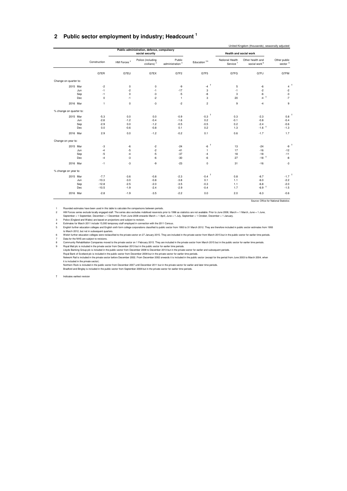#### **2 Public sector employment by industry; Headcount <sup>1</sup>**

| United Kingdom (thousands), seasonally adjusted |     |              |                        |                                                               |                                       |                     |                                         |                                              |                            |
|-------------------------------------------------|-----|--------------|------------------------|---------------------------------------------------------------|---------------------------------------|---------------------|-----------------------------------------|----------------------------------------------|----------------------------|
|                                                 |     |              |                        | Public administration, defence, compulsory<br>social security |                                       |                     | Health and social work                  |                                              |                            |
|                                                 |     | Construction | HM Forces <sup>2</sup> | Police (including<br>civilians) $3$                           | Public<br>administration <sup>4</sup> | Education 56        | National Health<br>Service <sup>7</sup> | Other health and<br>social work <sup>8</sup> | Other public<br>sector $9$ |
|                                                 |     | G7ER         | G7EU                   | G7EX                                                          | G7F2                                  | G7F5                | G7FG                                    | G7FJ                                         | G7FM                       |
| Change on quarter to:                           |     |              |                        |                                                               |                                       |                     |                                         |                                              |                            |
| 2015 Mar                                        |     | $-2$         | $^{\circ}$             | 0                                                             | -9                                    | -4 $^\dagger$       | 5                                       | -6                                           | 4                          |
|                                                 | Jun | $-1$         | $-2$                   | $-1$                                                          | $-17$                                 | 3                   | $-1$                                    | $-2$                                         | $\text{-}2$                |
|                                                 | Sep | $-1$         | $\mathbf 0$            | -3                                                            | $-5$                                  | -8                  | 3                                       | $-6$                                         | $-3$                       |
|                                                 | Dec | $\mathbf 0$  | $-1$                   | $-2$                                                          | $\mathbf{1}$                          | 3                   | 20                                      | $-4$ <sup>+</sup>                            | $-7$                       |
| 2016 Mar                                        |     | $\mathbf{1}$ | $\mathbf 0$            | $-3$                                                          | $-2$                                  | $\overline{c}$      | 9                                       | $-4$                                         | 9                          |
| % change on quarter to:                         |     |              |                        |                                                               |                                       |                     |                                         |                                              |                            |
| 2015 Mar                                        |     | $-5.3$       | 0.0                    | 0.0                                                           | $-0.9$                                | J,<br>$-0.3$        | 0.3                                     | $-2.3$                                       | 0.8                        |
|                                                 | Jun | $-2.8$       | $-1.2$                 | $-0.4$                                                        | $-1.6$                                | 0.2                 | $-0.1$                                  | $-0.8$                                       | $-0.4$                     |
|                                                 | Sep | $-2.9$       | 0.0                    | $-1.2$                                                        | $-0.5$                                | $-0.5$              | 0.2                                     | $-2.4$                                       | $-0.6$                     |
|                                                 | Dec | 0.0          | $-0.6$                 | $-0.8$                                                        | 0.1                                   | 0.2                 | 1.3                                     | $-1.6$ <sup>+</sup>                          | $-1.3$                     |
| 2016 Mar                                        |     | 2.9          | 0.0                    | $-1.2$                                                        | $-0.2$                                | 0.1                 | 0.6                                     | $-1.7$                                       | 1.7                        |
| Change on year to:                              |     |              |                        |                                                               |                                       |                     |                                         |                                              |                            |
| 2015 Mar                                        |     | -3           | -6                     | $-2$                                                          | $-24$                                 | $\ddagger$<br>$-6$  | 13                                      | $-24$                                        | $-9$                       |
|                                                 | Jun | $-4$         | $-5$                   | $-2$                                                          | $-41$                                 | $\overline{1}$      | 17                                      | $-16$                                        | $-12$                      |
|                                                 | Sep | $-5$         | $-4$                   | $-5$                                                          | $-37$                                 | $-4$                | 18                                      | $-18$                                        | $-11$                      |
|                                                 | Dec | $-4$         | $-3$                   | $-6$                                                          | $-30$                                 | -6                  | 27                                      | $-18$ <sup>+</sup>                           | $\mbox{-}8$                |
| 2016 Mar                                        |     | $-1$         | $-3$                   | -9                                                            | $-23$                                 | $\mathbf 0$         | 31                                      | $-16$                                        | $-3$                       |
| % change on year to:                            |     |              |                        |                                                               |                                       |                     |                                         |                                              |                            |
| 2015 Mar                                        |     | $-7.7$       | $-3.6$                 | $-0.8$                                                        | $-2.3$                                | $-0.4$ <sup>+</sup> | 0.8                                     | $-8.7$                                       | $-1.7$                     |
|                                                 | Jun | $-10.3$      | $-3.0$                 | $-0.8$                                                        | $-3.8$                                | 0.1                 | 1.1                                     | $-6.0$                                       | $-2.2$                     |
|                                                 | Sep | $-12.8$      | $-2.5$                 | $-2.0$                                                        | $-3.5$                                | $-0.3$              | 1.1                                     | $-6.8$                                       | $-2.0$                     |
|                                                 | Dec | $-10.5$      | $-1.9$                 | $-2.4$                                                        | $-2.9$                                | $-0.4$              | 1.7                                     | $-6.9$ <sup>+</sup>                          | $-1.5$                     |
| 2016 Mar                                        |     | $-2.8$       | $-1.9$                 | $-3.5$                                                        | $-2.2$                                | 0.0                 | 2.0                                     | $-6.3$                                       | $-0.6$                     |

Source: Office for National Statistics

1 Rounded estimates have been used in this table to calculate the comparisons between periods.<br>12 HM Forces series exclude locally engaged staff. The series also excludes mobilised reservists prior to 1996 as statistics ar

Estimates for March 2011 include 15,000 temporary staff employed in connection with the 2011 Census.<br>English further education colleges and English sixth form college corporations classified to public sector from 1993 to 3

to March 2012, but not in subsequent quarters.<br>6 Welsh further education colleges were reclassified to the private sector on 27 January 2015. They are included in the private sector from March 2015 but in the public sector

Data for the NHS are subject to revisions.

8 Community Rehabilitation Companies moved to the private sector on 1 February 2015. They are included in the private sector from March 2015 but in the public sector for earlier time periods.<br>9 Royal Mail plc

Lloyds Banking Group plc is included in the public sector from December 2008 to December 2013 but in the private sector for earlier and subsequent periods.<br>Royal Bank of Scotland pic is included in the public sector for th

it is included in the private sector).<br>Northern Rock is included in the public sector from December 2007 until December 2011 but in the private sector for earlier and later time periods<br>Bradford and Bingley is included in

<sup>†</sup> Indicates earliest revision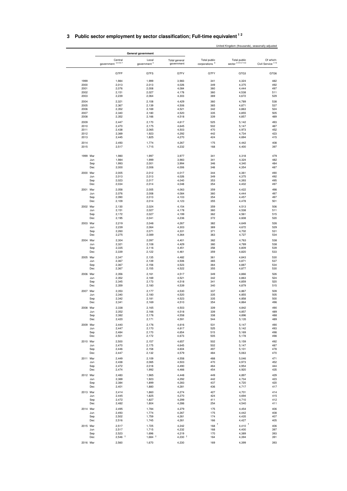| 3 Public sector employment by sector classification; Full-time equivalent <sup>12</sup> |  |
|-----------------------------------------------------------------------------------------|--|
|                                                                                         |  |

|              |                              |                                  |                             | United Kingdom (thousands), seasonally adjusted |                                |                                           |  |  |
|--------------|------------------------------|----------------------------------|-----------------------------|-------------------------------------------------|--------------------------------|-------------------------------------------|--|--|
|              |                              | General government               |                             |                                                 |                                |                                           |  |  |
|              | Central<br>government 34567  | Local<br>government <sup>3</sup> | Total general<br>government | Total public<br>corporations <sup>8</sup>       | Total public<br>sector 3456789 | Of which:<br>Civil Service <sup>410</sup> |  |  |
|              | G7FP                         | G7FS                             | G7FV                        | G7FY                                            | G7G3                           | G7G6                                      |  |  |
| 1999         | 1,984                        | 1,999                            | 3,983                       | 341                                             | 4,324                          | 482                                       |  |  |
| 2000         | 2,013                        | 2,013                            | 4,026                       | 349                                             | 4,375                          | 492                                       |  |  |
| 2001         | 2,076                        | 2,008                            | 4,084                       | 360                                             | 4,444                          | 497                                       |  |  |
| 2002         | 2,151                        | 2,027                            | 4,178                       | 360                                             | 4,538                          | 511                                       |  |  |
| 2003         | 2,239                        | 2,064                            | 4,303                       | 369                                             | 4,672                          | 529                                       |  |  |
| 2004         | 2,321                        | 2,108                            | 4,429                       | 360                                             | 4,789                          | 538                                       |  |  |
| 2005<br>2006 | 2,367                        | 2,139                            | 4,506                       | 365<br>342                                      | 4,871                          | 537<br>524                                |  |  |
| 2007         | 2,352<br>2,340               | 2,169<br>2,180                   | 4,521<br>4,520              | 335                                             | 4,863<br>4,855                 | 505                                       |  |  |
| 2008         | 2,352                        | 2,166                            | 4,518                       | 339                                             | 4,857                          | 489                                       |  |  |
| 2009         | 2,447                        | 2,170                            | 4,617                       | 525                                             | 5,142                          | 493                                       |  |  |
| 2010         | 2,470                        | 2,175                            | 4,645                       | 502                                             | 5,147                          | 487                                       |  |  |
| 2011         | 2,438                        | 2,065                            | 4,503                       | 470                                             | 4,973                          | 452                                       |  |  |
| 2012         | 2,369                        | 1,923                            | 4,292                       | 442                                             | 4,734                          | 423                                       |  |  |
| 2013         | 2,445                        | 1,825                            | 4,270                       | 424                                             | 4,694                          | 415                                       |  |  |
| 2014<br>2015 | 2,493<br>2,517               | 1,774<br>1,715                   | 4,267<br>4,232              | 175<br>168                                      | 4,442<br>4,400                 | 408<br>397                                |  |  |
|              |                              |                                  |                             | 341                                             |                                | 479                                       |  |  |
| 1999 Mar     | 1,980<br>1,984<br>Jun        | 1,997<br>1,999                   | 3,977<br>3,983              | 341                                             | 4,318<br>4,324                 | 482                                       |  |  |
|              | Sep<br>1,993                 | 2,001                            | 3,994                       | 346                                             | 4,340                          | 484                                       |  |  |
|              | Dec<br>2,000                 | 2,006                            | 4,006                       | 348                                             | 4,354                          | 487                                       |  |  |
| 2000 Mar     | 2,005                        | 2,012                            | 4,017                       | 344                                             | 4,361                          | 490                                       |  |  |
|              | Jun<br>2,013                 | 2,013                            | 4,026                       | 349                                             | 4,375                          | 492                                       |  |  |
|              | Sep<br>2,023<br>Dec<br>2,034 | 2,017<br>2,014                   | 4,040<br>4,048              | 353<br>354                                      | 4,393<br>4,402                 | 495<br>497                                |  |  |
|              |                              |                                  |                             |                                                 |                                |                                           |  |  |
| 2001 Mar     | 2,058                        | 2,005                            | 4,063                       | 359                                             | 4,422                          | 498                                       |  |  |
|              | Jun<br>2,076<br>Sep<br>2,090 | 2,008<br>2,013                   | 4,084<br>4,103              | 360<br>354                                      | 4,444<br>4,457                 | 497<br>497                                |  |  |
|              | Dec<br>2,109                 | 2,014                            | 4,123                       | 355                                             | 4,478                          | 501                                       |  |  |
| 2002 Mar     | 2,130                        | 2,024                            | 4,154                       | 359                                             | 4,513                          | 506                                       |  |  |
|              | 2,151<br>Jun                 | 2,027                            | 4,178                       | 360                                             | 4,538                          | 511                                       |  |  |
|              | Sep<br>2,172                 | 2,027                            | 4,199                       | 362                                             | 4,561                          | 515                                       |  |  |
|              | Dec<br>2,195                 | 2,041                            | 4,236                       | 372                                             | 4,608                          | 520                                       |  |  |
| 2003 Mar     | 2,219                        | 2,048                            | 4,267                       | 382                                             | 4,649                          | 526                                       |  |  |
|              | 2,239<br>Jun                 | 2,064                            | 4,303                       | 369                                             | 4,672                          | 529                                       |  |  |
|              | Sep<br>2,260                 | 2,071                            | 4,331                       | 371                                             | 4,702                          | 531<br>534                                |  |  |
|              | 2,275<br>Dec                 | 2,089                            | 4,364                       | 363                                             | 4,727                          |                                           |  |  |
| 2004 Mar     | 2,304<br>2,321               | 2,097<br>2,108                   | 4,401<br>4,429              | 362<br>360                                      | 4,763<br>4,789                 | 538<br>538                                |  |  |
|              | Jun<br>Sep<br>2,335          | 2,116                            | 4,451                       | 358                                             | 4,809                          | 539                                       |  |  |
|              | Dec<br>2,339                 | 2,122                            | 4,461                       | 359                                             | 4,820                          | 533                                       |  |  |
|              | 2,347<br>2005 Mar            | 2,135                            | 4,482                       | 361                                             | 4,843                          | 530                                       |  |  |
|              | Jun<br>2,367                 | 2,139                            | 4,506                       | 365                                             | 4,871                          | 537                                       |  |  |
|              | Sep<br>2,367                 | 2,156                            | 4,523                       | 364                                             | 4,887                          | 534                                       |  |  |
|              | Dec<br>2,367                 | 2,155                            | 4,522                       | 355                                             | 4,877                          | 530                                       |  |  |
| 2006 Mar     | 2,356                        | 2,161                            | 4,517                       | 349                                             | 4,866                          | 526                                       |  |  |
|              | Jun<br>2,352<br>Sep<br>2,345 | 2,169<br>2,173                   | 4,521<br>4,518              | 342<br>341                                      | 4,863<br>4,859                 | 524<br>520                                |  |  |
|              | Dec<br>2,359                 | 2,180                            | 4,539                       | 340                                             | 4,879                          | 515                                       |  |  |
| 2007 Mar     | 2,353                        | 2,177                            | 4,530                       | 337                                             | 4,867                          | 509                                       |  |  |
|              | 2,340<br>Jun                 | 2,180                            | 4,520                       | 335                                             | 4,855                          | 505                                       |  |  |
|              | Sep<br>2,342                 | 2,181                            | 4,523                       | 335                                             | 4,858                          | 500                                       |  |  |
|              | Dec<br>2,341                 | 2,169                            | 4,510                       | 354                                             | 4,864                          | 496                                       |  |  |
| 2008 Mar     | 2,338                        | 2,165                            | 4,503                       | 339                                             | 4,842                          | 490                                       |  |  |
|              | 2,352<br>Jun                 | 2,166                            | 4,518                       | 339                                             | 4,857                          | 489                                       |  |  |
|              | 2,382<br>Sep<br>2,420<br>Dec | 2,176<br>2,171                   | 4,558<br>4,591              | 338<br>544                                      | 4,896<br>5,135                 | 488<br>489                                |  |  |
|              |                              |                                  |                             |                                                 |                                |                                           |  |  |
| 2009 Mar     | 2,440<br>2,447<br>Jun        | 2,176<br>2,170                   | 4,616<br>4,617              | 531<br>525                                      | 5,147<br>5,142                 | 490<br>493                                |  |  |
|              | 2,484<br>Sep                 | 2,170                            | 4,654                       | 515                                             | 5,169                          | 498                                       |  |  |
|              | Dec<br>2,501                 | 2,172                            | 4,673                       | 505                                             | 5,178                          | 498                                       |  |  |
|              | 2010 Mar<br>2,500            | 2,157                            | 4,657                       | 502                                             | 5,159                          | 492                                       |  |  |
|              | 2,470<br>Jun                 | 2,175                            | 4,645                       | 502                                             | 5,147                          | 487                                       |  |  |
|              | Sep<br>2,446                 | 2,158                            | 4,604                       | 497                                             | 5,101                          | 478                                       |  |  |
|              | Dec<br>2,447                 | 2,132                            | 4,579                       | 484                                             | 5,063                          | 470                                       |  |  |
| 2011 Mar     | 2,449                        | 2,109                            | 4,558                       | 488<br>470                                      | 5,046                          | 471                                       |  |  |
|              | 2,438<br>Jun<br>Sep<br>2,472 | 2,065<br>2,018                   | 4,503<br>4,490              | 464                                             | 4,973<br>4,954                 | 452<br>444                                |  |  |
|              | 2,474<br>Dec                 | 1,992                            | 4,466                       | 454                                             | 4,920                          | 435                                       |  |  |
| 2012 Mar     | 2,483                        | 1,965                            | 4,448                       | 449                                             | 4,897                          | 429                                       |  |  |
|              | Jun<br>2,369                 | 1,923                            | 4,292                       | 442                                             | 4,734                          | 423                                       |  |  |
|              | Sep<br>2,384                 | 1,899                            | 4,283                       | 437                                             | 4,720                          | 420                                       |  |  |
|              | Dec<br>2,401                 | 1,880                            | 4,281                       | 436                                             | 4,717                          | 417                                       |  |  |
| 2013 Mar     | 2,414                        | 1,860                            | 4,274                       | 427                                             | 4,701                          | 414                                       |  |  |
|              | 2,445<br>Jun                 | 1,825                            | 4,270                       | 424                                             | 4,694                          | 415                                       |  |  |
|              | Sep<br>2,472<br>Dec<br>2,482 | 1,827<br>1,804                   | 4,299<br>4,286              | 411<br>254                                      | 4,710<br>4,540                 | 412<br>411                                |  |  |
|              |                              |                                  |                             |                                                 |                                |                                           |  |  |
| 2014 Mar     | 2,495<br>2,493<br>Jun        | 1,784<br>1,774                   | 4,279<br>4,267              | 175<br>175                                      | 4,454<br>4,442                 | 406<br>408                                |  |  |
|              | Sep<br>2,502                 | 1,759                            | 4,261                       | 174                                             | 4,435                          | 407                                       |  |  |
|              | Dec<br>2,516                 | 1,745                            | 4,261                       | 166                                             | 4,427                          | 405                                       |  |  |
| 2015 Mar     | 2,517                        | 1,725                            | 4,242                       | 168                                             | 4,410                          | 406                                       |  |  |
|              | 2,517<br>Jun                 | 1,715                            | 4,232                       | 168                                             | 4,400                          | 397                                       |  |  |
|              | 2,523<br>Sep                 | 1,696                            | 4,219                       | 170                                             | 4,389                          | 393                                       |  |  |
|              | $2,546$ <sup>t</sup><br>Dec  | $1,684$ <sup>t</sup>             | $4,230$ <sup>t</sup>        | 164                                             | 4,394                          | 391                                       |  |  |
| 2016 Mar     | 2,560                        | 1,670                            | 4,230                       | 169                                             | 4,399                          | 393                                       |  |  |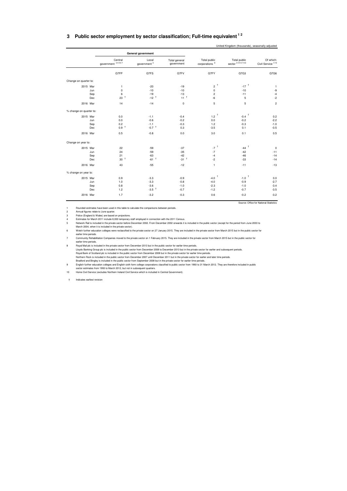#### **3 Public sector employment by sector classification; Full-time equivalent 1 2**

|                         |                             | General government               |                             |                                           |                                |                                           |
|-------------------------|-----------------------------|----------------------------------|-----------------------------|-------------------------------------------|--------------------------------|-------------------------------------------|
|                         | Central<br>government 34567 | Local<br>government <sup>3</sup> | Total general<br>government | Total public<br>corporations <sup>8</sup> | Total public<br>sector 3456789 | Of which:<br>Civil Service <sup>410</sup> |
|                         | G7FP                        | G7FS                             | G7FV                        | G7FY                                      | G7G3                           | G7G6                                      |
| Change on quarter to:   |                             |                                  |                             |                                           |                                |                                           |
| 2015 Mar                | $\mathbf{1}$                | $-20$                            | $-19$                       | $2^+$                                     | $-17$ <sup>+</sup>             | $\mathbf{1}$                              |
|                         | $\mathbf 0$<br>Jun          | $-10$                            | $-10$                       | $\mathsf 0$                               | $-10$                          | $\text{-}9$                               |
|                         | 6<br>Sep                    | $-19$                            | $-13$                       | 2                                         | $-11$                          | $-4$                                      |
|                         | $23$ <sup>+</sup><br>Dec    | $-12^{-1}$                       | $11^{-1}$                   | $-6$                                      | 5                              | $-2$                                      |
| 2016 Mar                | 14                          | $-14$                            | $\mathbf 0$                 | 5                                         | 5                              | $\overline{c}$                            |
| % change on quarter to: |                             |                                  |                             |                                           |                                |                                           |
| 2015 Mar                | 0.0                         | $-1.1$                           | $-0.4$                      | $1.2$ <sup>†</sup>                        | $-0.4$ <sup>+</sup>            | 0.2                                       |
|                         | 0.0<br>Jun                  | $-0.6$                           | $-0.2$                      | 0.0                                       | $-0.2$                         | $-2.2$                                    |
|                         | Sep<br>0.2                  | $-1.1$                           | $-0.3$                      | 1.2                                       | $-0.3$                         | $-1.0$                                    |
|                         | 0.9 <sup>†</sup><br>Dec     | $-0.7$ <sup>+</sup>              | 0.3                         | $-3.5$                                    | 0.1                            | $-0.5$                                    |
| 2016 Mar                | 0.5                         | $-0.8$                           | 0.0                         | 3.0                                       | 0.1                            | 0.5                                       |
| Change on year to:      |                             |                                  |                             |                                           |                                |                                           |
| 2015 Mar                | 22                          | $-59$                            | $-37$                       | $-7$ <sup>t</sup>                         | $-44$ <sup>+</sup>             | $\mathbf 0$                               |
|                         | 24<br>Jun                   | $-59$                            | $-35$                       | $-7$                                      | $-42$                          | $-11$                                     |
|                         | 21<br>Sep                   | $-63$                            | $-42$                       | $-4$                                      | $-46$                          | $-14$                                     |
|                         | 30 <sup>†</sup><br>Dec      | $-61$ <sup>+</sup>               | $-31$ <sup>+</sup>          | $-2$                                      | $-33$                          | $-14$                                     |
| 2016 Mar                | 43                          | $-55$                            | $-12$                       | $\mathbf{1}$                              | $-11$                          | $-13$                                     |
| % change on year to:    |                             |                                  |                             |                                           |                                |                                           |
| 2015 Mar                | 0.9                         | $-3.3$                           | $-0.9$                      | $-4.0$ <sup>+</sup>                       | $-1.0$ <sup>t</sup>            | 0.0                                       |
|                         | Jun<br>1.0                  | $-3.3$                           | $-0.8$                      | $-4.0$                                    | $-0.9$                         | $-2.7$                                    |
|                         | 0.8<br>Sep                  | $-3.6$                           | $-1.0$                      | $-2.3$                                    | $-1.0$                         | $-3.4$                                    |
|                         | Dec<br>1.2                  | $-3.5$ <sup>+</sup>              | $-0.7$                      | $-1.2$                                    | $-0.7$                         | $-3.5$                                    |
| 2016 Mar                | 1.7                         | $-3.2$                           | $-0.3$                      | 0.6                                       | $-0.2$                         | $-3.2$                                    |
|                         |                             |                                  |                             |                                           |                                | Source: Office for National Statistics    |

United Kingdom (thousands), seasonally adjusted

1 Rounded estimates have been used in this table to calculate the comparisons between periods.<br>2 Annual figures relate to June quarter.<br>19 Police (England & Wales) are based on projections.<br>5 Network Rail is included in th March 2004, when it is included in the private sector).

6 Welsh further education colleges were reclassified to the private sector on 27 January 2015. They are included in the private sector from March 2015 but in the public sector for earlier time periods. 7 Community Rehabilitation Companies moved to the private sector on 1 February 2015. They are included in the private sector from March 2015 but in the public sector for

earlier time periods. 8 Royal Mail plc is included in the private sector from December 2013 but in the public sector for earlier time periods.

Lloyds Banking Group plc is included in the public sector from December 2008 to December 2013 but in the private sector for earlier and subsequent periods<br>Royal Bank of Scotland plc is included in the public sector from De

Bradford and Bingley is included in the public sector from September 2008 but in the private sector for earlier time periods.<br>English further education colleges and English sixth form college corporations classified to pub

† Indicates earliest revision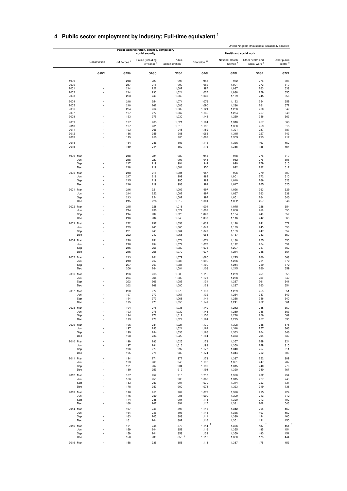#### **4 Public sector employment by industry; Full-time equivalent <sup>1</sup>**

|                 |              |                        |                                                               |                                       |                      |                              | United Kingdom (thousands), seasonally adjusted |                                     |
|-----------------|--------------|------------------------|---------------------------------------------------------------|---------------------------------------|----------------------|------------------------------|-------------------------------------------------|-------------------------------------|
|                 |              |                        | Public administration, defence, compulsory<br>social security |                                       |                      | Health and social work       |                                                 |                                     |
|                 | Construction | HM Forces <sup>2</sup> | Police (including<br>civilians) <sup>3</sup>                  | Public<br>administration <sup>4</sup> | Education 56         | National Health<br>Service ' | Other health and<br>social work <sup>8</sup>    | Other public<br>sector <sup>9</sup> |
|                 | G9BC         | G7G9                   | G7GC                                                          | G7GF                                  | G7GI                 | G7GL                         | G7GR                                            | G7K2                                |
| 1999            |              | 218                    | 220                                                           | 993                                   | 948                  | 982                          | 276                                             | 608                                 |
| 2000            |              | 217                    | 218                                                           | 999                                   | 982                  | 1,001                        | 272                                             | 610                                 |
| 2001<br>2002    |              | 214<br>214             | 222<br>230                                                    | 1,002<br>1,024                        | 997                  | 1,037                        | 263<br>259                                      | 638<br>655                          |
| 2003            |              | 223                    | 240                                                           | 1,060                                 | 1,007<br>1,049       | 1,088<br>1,139               | 245                                             | 656                                 |
| 2004            |              | 218                    | 254                                                           | 1,074                                 | 1,076                | 1,192                        | 254                                             | 659                                 |
| 2005            |              | 210                    | 262                                                           | 1,086                                 | 1,090                | 1,236                        | 261                                             | 672                                 |
| 2006            |              | 204                    | 264                                                           | 1,082                                 | 1,121                | 1,238                        | 260                                             | 642                                 |
| 2007            |              | 197                    | 272                                                           | 1,067                                 | 1,132                | 1,234                        | 257                                             | 649                                 |
| 2008            |              | 193                    | 275                                                           | 1,030                                 | 1,143                | 1,259                        | 256                                             | 663                                 |
| 2009            |              | 197                    | 283                                                           | 1,021                                 | 1,164                | 1,318                        | 257                                             | 863                                 |
| 2010<br>2011    |              | 197<br>193             | 281<br>266                                                    | 1,016<br>945                          | 1,193<br>1,182       | 1,350<br>1,321               | 259<br>247                                      | 815<br>787                          |
| 2012            |              | 186                    | 255                                                           | 908                                   | 1,066                | 1,315                        | 227                                             | 743                                 |
| 2013            |              | 175                    | 250                                                           | 905                                   | 1,099                | 1,309                        | 213                                             | 712                                 |
| 2014            |              | 164                    | 246                                                           | 893                                   | 1,113                | 1,336                        | 197                                             | 462                                 |
| 2015            |              | 159                    | 244                                                           | 859                                   | 1,116                | 1,355                        | 185                                             | 454                                 |
| 1999 Mar<br>Jun |              | 218<br>218             | 221<br>220                                                    | 989<br>993                            | 945<br>948           | 978<br>982                   | 276<br>276                                      | 610<br>608                          |
| Sep             |              | 217                    | 219                                                           | 994                                   | 944                  | 990                          | 279                                             | 610                                 |
| Dec             |              | 218                    | 219                                                           | 1,001                                 | 950                  | 992                          | 282                                             | 617                                 |
| 2000 Mar        |              | 218                    | 218                                                           | 1,004                                 | 957                  | 996                          | 279                                             | 609                                 |
| Jun             |              | 217                    | 218                                                           | 999                                   | 982                  | 1,001                        | 272                                             | 610                                 |
| Sep<br>Dec      |              | 215<br>216             | 219                                                           | 995<br>998                            | 989                  | 1,010                        | 266<br>265                                      | 623<br>625                          |
|                 |              |                        | 219                                                           |                                       | 994                  | 1,017                        |                                                 |                                     |
| 2001 Mar<br>Jun |              | 216<br>214             | 221<br>222                                                    | 1,002<br>1,002                        | 997<br>997           | 1,026                        | 263<br>263                                      | 629<br>638                          |
| Sep             |              | 213                    | 224                                                           | 1,002                                 | 997                  | 1,037<br>1,051               | 264                                             | 640                                 |
| Dec             |              | 215                    | 226                                                           | 1,012                                 | 1,001                | 1,062                        | 257                                             | 646                                 |
| 2002 Mar        |              | 215                    | 228                                                           | 1,018                                 | 1,004                | 1,075                        | 258                                             | 654                                 |
| Jun             |              | 214                    | 230                                                           | 1,024                                 | 1,007                | 1,088                        | 259                                             | 655                                 |
| Sep             |              | 214                    | 232                                                           | 1,026                                 | 1,023                | 1,104                        | 249                                             | 652                                 |
| Dec             |              | 216                    | 234                                                           | 1,045                                 | 1,033                | 1,116                        | 242                                             | 665                                 |
| 2003 Mar        |              | 222                    | 237                                                           | 1,053                                 | 1,039                | 1,128                        | 241                                             | 672                                 |
| Jun<br>Sep      |              | 223<br>221             | 240<br>243                                                    | 1,060<br>1,064                        | 1,049<br>1,049       | 1,139<br>1,159               | 245<br>247                                      | 656<br>657                          |
| Dec             |              | 222                    | 247                                                           | 1,065                                 | 1,065                | 1,167                        | 253                                             | 650                                 |
| 2004 Mar        |              | 220                    | 251                                                           | 1,071                                 | 1,071                | 1,188                        | 255                                             | 650                                 |
| Jun             |              | 218                    | 254                                                           | 1,074                                 | 1,076                | 1,192                        | 254                                             | 659                                 |
| Sep             |              | 215                    | 256                                                           | 1,080                                 | 1,076                | 1,207                        | 257                                             | 662                                 |
| Dec             |              | 215                    | 258                                                           | 1,079                                 | 1,077                | 1,214                        | 258                                             | 664                                 |
| 2005 Mar        |              | 213                    | 261                                                           | 1,079                                 | 1,085                | 1,225                        | 260                                             | 668                                 |
| Jun             |              | 210                    | 262                                                           | 1,086                                 | 1,090                | 1,236                        | 261                                             | 672                                 |
| Sep<br>Dec      |              | 207<br>206             | 263<br>264                                                    | 1,085<br>1,084                        | 1,102<br>1,108       | 1,244<br>1,245               | 259<br>260                                      | 672<br>659                          |
|                 |              |                        |                                                               |                                       |                      |                              |                                                 |                                     |
| 2006 Mar<br>Jun |              | 206<br>204             | 263<br>264                                                    | 1,083<br>1,082                        | 1,115<br>1,121       | 1,239<br>1,238               | 259<br>260                                      | 655<br>642                          |
| Sep             |              | 202                    | 266                                                           | 1,082                                 | 1,121                | 1,237                        | 261                                             | 641                                 |
| Dec             |              | 202                    | 268                                                           | 1,080                                 | 1,128                | 1,237                        | 260                                             | 654                                 |
| 2007 Mar        |              | 200                    | 272                                                           | 1,073                                 | 1,130                | 1,239                        | 258                                             | 651                                 |
| Jun             |              | 197                    | 272                                                           | 1,067                                 | 1,132                | 1,234                        | 257                                             | 649                                 |
| Sep<br>Dec      |              | 194<br>195             | 273<br>273                                                    | 1,068                                 | 1,141                | 1,238                        | 256<br>252                                      | 640<br>661                          |
|                 |              |                        |                                                               | 1,056                                 | 1,141                | 1,241                        |                                                 |                                     |
| 2008 Mar<br>Jun |              | 194<br>193             | 275<br>275                                                    | 1,038<br>1,030                        | 1,140<br>1,143       | 1,242<br>1,259               | 255<br>256                                      | 660<br>663                          |
| Sep             |              | 194                    | 276                                                           | 1,019                                 | 1,156                | 1,278                        | 256                                             | 669                                 |
| Dec             |              | 193                    | 278                                                           | 1,022                                 | 1,161                | 1,295                        | 257                                             | 890                                 |
| 2009 Mar        |              | 196                    | 281                                                           | 1,021                                 | 1,170                | 1,308                        | 258                                             | 876                                 |
| Jun             |              | 197                    | 283                                                           | 1,021                                 | 1,164                | 1,318                        | 257                                             | 863                                 |
| Sep             | ż            | 199                    | 284                                                           | 1,033                                 | 1,168                | 1,333                        | 264                                             | 846                                 |
| Dec             |              | 198                    | 283                                                           | 1,029                                 | 1,184                | 1,353                        | 264                                             | 830                                 |
| 2010 Mar<br>Jun |              | 199<br>197             | 283<br>281                                                    | 1,025<br>1,016                        | 1,178<br>1,193       | 1,357<br>1,350               | 259<br>259                                      | 824<br>815                          |
| Sep             |              | 196                    | 279                                                           | 997                                   | 1,177                | 1,340                        | 257                                             | 811                                 |
| Dec             |              | 195                    | 275                                                           | 989                                   | 1,174                | 1,344                        | 252                                             | 803                                 |
| 2011 Mar        |              | 194                    | 271                                                           | 977                                   | 1,178                | 1,337                        | 252                                             | 809                                 |
| Jun             |              | 193                    | 266                                                           | 945                                   | 1,182                | 1,321                        | 247                                             | 787                                 |
| Sep             |              | 191                    | 262                                                           | 934                                   | 1,196                | 1,315                        | 240                                             | 776                                 |
| Dec             |              | 189                    | 259                                                           | 919                                   | 1,194                | 1,320                        | 240                                             | 767                                 |
| 2012 Mar        |              | 187                    | 257                                                           | 910                                   | 1,210                | 1,320                        | 232                                             | 754                                 |
| Jun<br>Sep      |              | 186<br>183             | 255<br>253                                                    | 908<br>901                            | 1,066<br>1,070       | 1,315<br>1,314               | 227<br>223                                      | 743<br>737                          |
| Dec             |              | 178                    | 252                                                           | 900                                   | 1,075                | 1,323                        | 219                                             | 738                                 |
| 2013 Mar        |              | 178                    | 251                                                           | 902                                   | 1,079                | 1,328                        | 215                                             | 724                                 |
| Jun             |              | 175                    | 250                                                           | 905                                   | 1,099                | 1,309                        | 213                                             | 712                                 |
| Sep             |              | 174                    | 248                                                           | 904                                   | 1,113                | 1,320                        | 212                                             | 702                                 |
| Dec             |              | 168                    | 247                                                           | 894                                   | 1,117                | 1,331                        | 208                                             | 546                                 |
| 2014 Mar        |              | 167                    | 246                                                           | 893                                   | 1,116                | 1,342                        | 205                                             | 462                                 |
| Jun             |              | 164                    | 246                                                           | 893                                   | 1,113                | 1,336                        | 197                                             | 462                                 |
| Sep             |              | 163                    | 245                                                           | 888                                   | 1,111                | 1,339                        | 194                                             | 460                                 |
| Dec             |              | 161                    | 244                                                           | 882                                   | 1,116                | 1,351                        | 191                                             | 450                                 |
| 2015 Mar        |              | 161                    | 244                                                           | 873                                   | $1,114$ <sup>T</sup> | 1,356                        | 187                                             | 454<br>454                          |
| Jun<br>Sep      |              | 159<br>159             | 244<br>241                                                    | 859<br>858                            | 1,116<br>1,109       | 1,355<br>1,359               | 185<br>180                                      | 451                                 |
| Dec             |              | 158                    | 238                                                           | $858$ $†$                             | 1,112                | 1,380                        | 178                                             | 444                                 |
| 2016 Mar        |              | 158                    | 235                                                           | 855                                   | 1,113                | 1,387                        | 175                                             | 453                                 |
|                 |              |                        |                                                               |                                       |                      |                              |                                                 |                                     |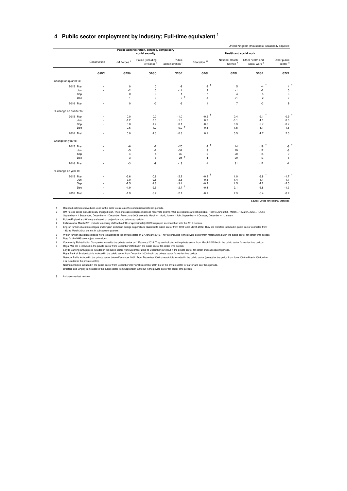#### **4 Public sector employment by industry; Full-time equivalent <sup>1</sup>**

|                         |          |              |                        | Public administration, defence, compulsory   |                                       |                     |                                         | United Kingdom (thousands), seasonally adjusted |                                        |
|-------------------------|----------|--------------|------------------------|----------------------------------------------|---------------------------------------|---------------------|-----------------------------------------|-------------------------------------------------|----------------------------------------|
|                         |          |              |                        | social security                              |                                       |                     |                                         | Health and social work                          |                                        |
|                         |          | Construction | HM Forces <sup>2</sup> | Police (including<br>civilians) <sup>3</sup> | Public<br>administration <sup>4</sup> | Education 56        | National Health<br>Service <sup>7</sup> | Other health and<br>social work 8               | Other public<br>sector $9$             |
|                         |          | G9BC         | G7G9                   | G7GC                                         | G7GF                                  | G7GI                | G7GL                                    | G7GR                                            | G7K2                                   |
| Change on quarter to:   |          |              |                        |                                              |                                       |                     |                                         |                                                 |                                        |
|                         | 2015 Mar |              | 0                      | 0                                            | -9                                    | $-2$ <sup>+</sup>   | 5                                       | -4 $^\dagger$                                   | 4                                      |
|                         | Jun      |              | $-2$                   | 0                                            | $-14$                                 | $\overline{c}$      | $-1$                                    | $-2$                                            | $\mathbf 0$                            |
|                         | Sep      |              | $^{\circ}$             | $-3$                                         | $-1$                                  | $-7$                | $\overline{4}$                          | $-5$                                            | $-3$                                   |
|                         | Dec      |              | $-1$                   | $-3$                                         | 0 <sup>†</sup>                        | 3                   | 21                                      | $-2$                                            | $-7$                                   |
|                         | 2016 Mar |              | $\mathbf 0$            | -3                                           | $-3$                                  | $\overline{1}$      | $\overline{7}$                          | $-3$                                            | 9                                      |
| % change on quarter to: |          |              |                        |                                              |                                       |                     |                                         |                                                 |                                        |
|                         | 2015 Mar |              | 0.0                    | 0.0                                          | $-1.0$                                | $-0.2$ <sup>+</sup> | 0.4                                     | $-2.1$ <sup>+</sup>                             | 0.9                                    |
|                         | Jun      |              | $-1.2$                 | 0.0                                          | $-1.6$                                | 0.2                 | $-0.1$                                  | $-1.1$                                          | 0.0                                    |
|                         | Sep      |              | 0.0                    | $-1.2$                                       | $-0.1$                                | $-0.6$              | 0.3                                     | $-2.7$                                          | $-0.7$                                 |
|                         | Dec      |              | $-0.6$                 | $-1.2$                                       | 0.0 <sup>†</sup>                      | 0.3                 | 1.5                                     | $-1.1$                                          | $-1.6$                                 |
|                         | 2016 Mar |              | 0.0                    | $-1.3$                                       | $-0.3$                                | 0.1                 | 0.5                                     | $-1.7$                                          | 2.0                                    |
| Change on year to:      |          |              |                        |                                              |                                       |                     |                                         |                                                 |                                        |
|                         | 2015 Mar |              | -6                     | $-2$                                         | $-20$                                 | - 1<br>$-2$         | 14                                      | $-18$                                           | -8                                     |
|                         | Jun      |              | $-5$                   | $-2$                                         | $-34$                                 | $\mathbf 3$         | 19                                      | $-12$                                           | $\mbox{-}8$                            |
|                         | Sep      |              | $-4$                   | $-4$                                         | $-30$                                 | $-2$                | 20                                      | $-14$                                           | $-9$                                   |
|                         | Dec      |              | $-3$                   | $-6$                                         | $-24$ $+$                             | $-4$                | 29                                      | $-13$                                           | $-6$                                   |
|                         | 2016 Mar |              | $-3$                   | -9                                           | $-18$                                 | $-1$                | 31                                      | $-12$                                           | $-1$                                   |
| % change on year to:    |          |              |                        |                                              |                                       |                     |                                         |                                                 |                                        |
|                         | 2015 Mar |              | $-3.6$                 | $-0.8$                                       | $-2.2$                                | $-0.2$ <sup>t</sup> | 1.0                                     | $-8.8$                                          | $-1.7$                                 |
|                         | Jun      |              | $-3.0$                 | $-0.8$                                       | $-3.8$                                | 0.3                 | 1.4                                     | $-6.1$                                          | $-1.7$                                 |
|                         | Sep      |              | $-2.5$                 | $-1.6$                                       | $-3.4$                                | $-0.2$              | 1.5                                     | $-7.2$                                          | $-2.0$                                 |
|                         | Dec      |              | $-1.9$                 | $-2.5$                                       | $-2.7$ <sup>†</sup>                   | $-0.4$              | 2.1                                     | $-6.8$                                          | $-1.3$                                 |
|                         | 2016 Mar |              | $-1.9$                 | $-3.7$                                       | $-2.1$                                | $-0.1$              | 2.3                                     | $-6.4$                                          | $-0.2$                                 |
|                         |          |              |                        |                                              |                                       |                     |                                         |                                                 | Source: Office for National Statistics |

1 Rounded estimates have been used in this table to calculate the comparisons between periods.<br>2 HM Forces series exclude locally engaged staff. The series also excludes mobilised reservists prior to 1996 as statistics ar

6 Welsh further education colleges were reclassified to the private sector on 27 January 2015. They are included in the private sector from March 2015 but in the public sector for earlier time periods.

7 Data for the NHS are subject to revisions.<br>8 Community Renabilitation Companies moved to the private sector on 1 February 2015. They are included in the private sector from March 2015 but in the public sector for earlier

Lloyds Banking Group plc is included in the public sector from December 2008 to December 2013 but in the private sector for earlier and subsequent periods<br>Royal Bank of Scotland plc is included in the public sector from De

Network Rail is included in the private sector before December 2002. From December 2002 onwards it is included in the public sector (except for the period from June 2003 to March 2004, when

it is included in the private sector).<br>Northern Rock is included in the public sector from December 2007 until December 2011 but in the private sector for earlier and later time periods<br>Bradford and Bingley is included in

† Indicates earliest revision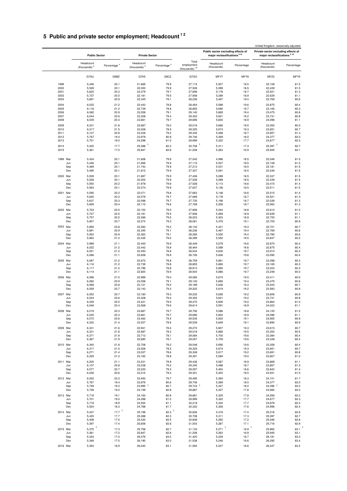#### **5 Public and private sector employment; Headcount 1 2**

|                 |                              |                         |                                       |                         |                                                  |                                                                              |                     | United Kingdom, seasonally adjusted                                            |                     |
|-----------------|------------------------------|-------------------------|---------------------------------------|-------------------------|--------------------------------------------------|------------------------------------------------------------------------------|---------------------|--------------------------------------------------------------------------------|---------------------|
|                 | <b>Public Sector</b>         |                         | <b>Private Sector</b>                 |                         |                                                  | Public sector excluding effects of<br>major reclassifications <sup>910</sup> |                     | Private sector excluding effects of<br>major reclassifications <sup>9 10</sup> |                     |
|                 | Headcount<br>(thousands) $3$ | Percentage <sup>4</sup> | Headcount<br>(thousands) <sup>5</sup> | Percentage <sup>6</sup> | Total<br>employment<br>(thousands) <sup>78</sup> | Headcount<br>(thousands)                                                     | Percentage          | Headcount<br>(thousands)                                                       | Percentage          |
|                 | G7AU                         | G9BZ                    | G7K5                                  | G9C2                    | G7GO                                             | MFY7                                                                         | MFY9                | MFZ2                                                                           | MFY5                |
| 1999            | 5,446                        | 20.1                    | 21,669                                | 79.9                    | 27,115                                           | 5,007                                                                        | 18.5                | 22,108                                                                         | 81.5                |
| 2000            | 5,528                        | 20.1                    | 22,000                                | 79.9                    | 27,528                                           | 5,089                                                                        | 18.5                | 22,439                                                                         | 81.5                |
| 2001            | 5,620                        | 20.3                    | 22,079                                | 79.7                    | 27,699                                           | 5,178                                                                        | 18.7                | 22,521                                                                         | 81.3                |
| 2002<br>2003    | 5,727<br>5,891               | 20.5<br>20.9            | 22,181<br>22,345                      | 79.5<br>79.1            | 27,908<br>28,236                                 | 5,269<br>5,467                                                               | 18.9<br>19.4        | 22,639<br>22,769                                                               | 81.1<br>80.6        |
|                 |                              |                         |                                       |                         |                                                  |                                                                              |                     |                                                                                |                     |
| 2004            | 6,022                        | 21.2                    | 22,442                                | 78.8                    | 28,464                                           | 5,589                                                                        | 19.6                | 22,875                                                                         | 80.4                |
| 2005<br>2006    | 6,116<br>6,082               | 21.2<br>20.9            | 22,739                                | 78.8<br>79.1            | 28,855<br>29,140                                 | 5,690                                                                        | 19.7<br>19.4        | 23,165                                                                         | 80.3<br>80.6        |
| 2007            | 6,044                        | 20.6                    | 23,058<br>23,308                      | 79.4                    | 29,352                                           | 5,665<br>5,621                                                               | 19.2                | 23,475<br>23,731                                                               | 80.8                |
| 2008            | 6,035                        | 20.3                    | 23,661                                | 79.7                    | 29,696                                           | 5,600                                                                        | 18.9                | 24,096                                                                         | 81.1                |
|                 |                              | 21.8                    |                                       | 78.2                    | 29,018                                           |                                                                              | 19.5                |                                                                                | 80.5                |
| 2009<br>2010    | 6,331<br>6,317               | 21.5                    | 22,687<br>23,008                      | 78.5                    | 29,325                                           | 5,666<br>5,674                                                               | 19.3                | 23,352<br>23,651                                                               | 80.7                |
| 2011            | 6,107                        | 20.8                    | 23,238                                | 79.2                    | 29,345                                           | 5,488                                                                        | 18.7                | 23,857                                                                         | 81.3                |
| 2012            | 5,767                        | 19.4                    | 23,979                                | 80.6                    | 29,746                                           | 5,369                                                                        | 18.0                | 24,377                                                                         | 82.0                |
| 2013            | 5,701                        | 19.0                    | 24,298                                | 81.0                    | 29,999                                           | 5,322                                                                        | 17.7                | 24,677                                                                         | 82.3                |
| 2014            | 5,420                        | 17.7                    | 25,288                                | 82.3                    | 30,708                                           | 5,311                                                                        | 17.3                | 25,397                                                                         | 82.7                |
| 2015            | 5,361                        | 17.2                    | 25,847                                | 82.8                    | 31,208                                           | 5,263                                                                        | 16.9                | 25,945                                                                         | 83.1                |
| 1999<br>Mar     | 5,434                        | 20.1                    | 21,608                                | 79.9                    | 27,042                                           | 4,996                                                                        | 18.5                | 22,046                                                                         | 81.5                |
| Jun             | 5,446                        | 20.1<br>20.1            | 21,669                                | 79.9<br>79.9            | 27,115                                           | 5,007                                                                        | 18.5                | 22,108                                                                         | 81.5                |
| Sep<br>Dec      | 5,469<br>5,495               | 20.1                    | 21,743<br>21,812                      | 79.9                    | 27,212<br>27,307                                 | 5,031<br>5,061                                                               | 18.5<br>18.5        | 22,181<br>22,246                                                               | 81.5<br>81.5        |
|                 |                              |                         |                                       |                         |                                                  |                                                                              |                     |                                                                                |                     |
| 2000<br>Mar     | 5,509<br>5,528               | 20.1<br>20.1            | 21,897<br>22,000                      | 79.9<br>79.9            | 27,406<br>27,528                                 | 5,069<br>5,089                                                               | 18.5<br>18.5        | 22,337<br>22,439                                                               | 81.5<br>81.5        |
| Jun<br>Sep      | 5,550                        | 20.2                    | 21,978                                | 79.8                    | 27,528                                           | 5,113                                                                        | 18.6                | 22,415                                                                         | 81.4                |
| Dec             | 5,563                        | 20.1                    | 22,074                                | 79.9                    | 27,637                                           | 5,126                                                                        | 18.5                | 22,511                                                                         | 81.5                |
| 2001<br>Mar     | 5,592                        | 20.2                    | 22,071                                | 79.8                    | 27,663                                           | 5,148                                                                        | 18.6                | 22,515                                                                         | 81.4                |
| Jun             | 5,620                        | 20.3                    | 22,079                                | 79.7                    | 27,699                                           | 5,178                                                                        | 18.7                | 22,521                                                                         | 81.3                |
| Sep             | 5,637                        | 20.3                    | 22,098                                | 79.7                    | 27,735                                           | 5,196                                                                        | 18.7                | 22,539                                                                         | 81.3                |
| Dec             | 5,659                        | 20.4                    | 22,110                                | 79.6                    | 27,769                                           | 5,206                                                                        | 18.7                | 22,563                                                                         | 81.3                |
| 2002 Mar        | 5,703                        | 20.5                    | 22,153                                | 79.5                    | 27,856                                           | 5,244                                                                        | 18.8                | 22,612                                                                         | 81.2                |
| Jun             | 5,727                        | 20.5                    | 22,181                                | 79.5                    | 27,908                                           | 5,269                                                                        | 18.9                | 22,639                                                                         | 81.1                |
| Sep             | 5,757                        | 20.5                    | 22,266                                | 79.5                    | 28,023                                           | 5,303                                                                        | 18.9                | 22,720                                                                         | 81.1                |
| Dec             | 5,807                        | 20.7                    | 22,274                                | 79.3                    | 28,081                                           | 5,376                                                                        | 19.1                | 22,705                                                                         | 80.9                |
| 2003 Mar        | 5,859                        | 20.8                    | 22,283                                | 79.2                    | 28,142                                           | 5,421                                                                        | 19.3                | 22,721                                                                         | 80.7                |
| Jun             | 5,891                        | 20.9                    | 22,345                                | 79.1                    | 28,236                                           | 5,467                                                                        | 19.4                | 22,769                                                                         | 80.6                |
| Sep             | 5,922                        | 20.9                    | 22,363                                | 79.1                    | 28,285                                           | 5,500                                                                        | 19.4                | 22,785                                                                         | 80.6                |
| Dec             | 5,964                        | 21.0                    | 22,435                                | 79.0                    | 28,399                                           | 5,552                                                                        | 19.5                | 22,847                                                                         | 80.5                |
| 2004 Mar        | 5,999                        | 21.1                    | 22,450                                | 78.9                    | 28,449                                           | 5,579                                                                        | 19.6                | 22,870                                                                         | 80.4                |
| Jun             | 6,022                        | 21.2                    | 22,442                                | 78.8                    | 28,464                                           | 5,589                                                                        | 19.6                | 22,875                                                                         | 80.4                |
| Sep             | 6,051                        | 21.2                    | 22,493                                | 78.8                    | 28,544                                           | 5,630                                                                        | 19.7                | 22,914                                                                         | 80.3                |
| Dec             | 6,068                        | 21.1                    | 22,658                                | 78.9                    | 28,726                                           | 5,636                                                                        | 19.6                | 23,090                                                                         | 80.4                |
| 2005 Mar        | 6,087                        | 21.2                    | 22,672                                | 78.8                    | 28,759                                           | 5,661                                                                        | 19.7                | 23,098                                                                         | 80.3                |
| Jun             | 6,116                        | 21.2                    | 22,739                                | 78.8                    | 28,855                                           | 5,690                                                                        | 19.7                | 23,165                                                                         | 80.3                |
| Sep             | 6,117                        | 21.2<br>21.1            | 22,796<br>22,820                      | 78.8<br>78.9            | 28,913                                           | 5,690                                                                        | 19.7<br>19.7        | 23,223                                                                         | 80.3<br>80.3        |
| Dec             | 6,114                        |                         |                                       |                         | 28,934                                           | 5,686                                                                        |                     | 23,248                                                                         |                     |
| 2006 Mar        | 6,096                        | 21.0                    | 22,989                                | 79.0                    | 29,085                                           | 5,674                                                                        | 19.5                | 23,411                                                                         | 80.5                |
| Jun<br>Sep      | 6,082<br>6,068               | 20.9<br>20.8            | 23,058<br>23,121                      | 79.1<br>79.2            | 29,140<br>29,189                                 | 5,665<br>5,646                                                               | 19.4<br>19.3        | 23,475<br>23,543                                                               | 80.6<br>80.7        |
| Dec             | 6,059                        | 20.7                    | 23,143                                | 79.3                    | 29,202                                           | 5,619                                                                        | 19.2                | 23,583                                                                         | 80.8                |
|                 |                              |                         |                                       |                         |                                                  |                                                                              |                     |                                                                                |                     |
| 2007 Mar<br>Jun | 6,052<br>6,044               | 20.7<br>20.6            | 23,180<br>23,308                      | 79.3<br>79.4            | 29,232<br>29,352                                 | 5,626<br>5,621                                                               | 19.2<br>19.2        | 23,606<br>23,731                                                               | 80.8<br>80.8        |
| Sep             | 6,039                        | 20.5                    | 23,431                                | 79.5                    | 29,470                                           | 5,606                                                                        | 19.0                | 23,864                                                                         | 81.0                |
| υес             | 6,046                        | 20.4                    | 23,568                                | 79.6                    | 29,614                                           | 5,591                                                                        | 18.9                | 24,023                                                                         | 81.1                |
| 2008 Mar        | 6,019                        | 20.3                    | 23,687                                | 79.7                    | 29,706                                           | 5,586                                                                        | 18.8                | 24,120                                                                         | 81.2                |
| Jun             | 6,035                        | 20.3                    | 23,661                                | 79.7                    | 29,696                                           | 5,600                                                                        | 18.9                | 24,096                                                                         | 81.1                |
| Sep             | 6,072                        | 20.6                    | 23,463                                | 79.4                    | 29,535                                           | 5,630                                                                        | 19.1                | 23,905                                                                         | 80.9                |
| Dec             | 6,332                        | 21.4                    | 23,207                                | 78.6                    | 29,539                                           | 5,649                                                                        | 19.1                | 23,890                                                                         | 80.9                |
| 2009 Mar        | 6,331                        | 21.6                    | 22,941                                | 78.4                    | 29,272                                           | 5,657                                                                        | 19.3                | 23,615                                                                         | 80.7                |
| Jun             | 6,331                        | 21.8                    | 22,687                                | 78.2                    | 29,018                                           | 5,666                                                                        | 19.5                | 23,352                                                                         | 80.5                |
| Sep             | 6,371                        | 21.9                    | 22,713                                | 78.1                    | 29,084                                           | 5,700                                                                        | 19.6                | 23,384                                                                         | 80.4                |
| Dec             | 6,367                        | 21.9                    | 22,690                                | 78.1                    | 29,057                                           | 5,709                                                                        | 19.6                | 23,348                                                                         | 80.4                |
| 2010 Mar        | 6,340                        | 21.8                    | 22,708                                | 78.2                    | 29,048                                           | 5,690                                                                        | 19.6                | 23,358                                                                         | 80.4                |
| Jun             | 6,317                        | 21.5                    | 23,008                                | 78.5                    | 29,325                                           | 5,674                                                                        | 19.3                | 23,651                                                                         | 80.7                |
| Sep             | 6,271                        | 21.4                    | 23,037                                | 78.6                    | 29,308                                           | 5,617                                                                        | 19.2                | 23,691                                                                         | 80.8                |
| Dec             | 6,229                        | 21.2                    | 23,162                                | 78.8                    | 29,391                                           | 5,584                                                                        | 19.0                | 23,807                                                                         | 81.0                |
| 2011 Mar        | 6,205                        | 21.1                    | 23,231                                | 78.9                    | 29,436                                           | 5,567                                                                        | 18.9                | 23,869                                                                         | 81.1                |
| Jun             | 6,107                        | 20.8                    | 23,238                                | 79.2                    | 29,345                                           | 5,488                                                                        | 18.7                | 23,857                                                                         | 81.3                |
| Sep             | 6,077                        | 20.7                    | 23,220                                | 79.3                    | 29,297                                           | 5,454                                                                        | 18.6                | 23,843                                                                         | 81.4                |
| Dec             | 6,036                        | 20.6                    | 23,315                                | 79.4                    | 29,351                                           | 5,420                                                                        | 18.5                | 23,931                                                                         | 81.5                |
| 2012 Mar        | 6,002                        | 20.3                    | 23,493                                | 79.7                    | 29,495                                           | 5,394                                                                        | 18.3                | 24,101                                                                         | 81.7                |
| Jun             | 5,767<br>5,748               | 19.4                    | 23,979<br>23,995                      | 80.6<br>80.7            | 29,746<br>$29,743$ <sup>+</sup>                  | 5,369<br>5,347                                                               | 18.0                | 24,377                                                                         | 82.0<br>82.0        |
| Sep<br>Dec      | 5,728                        | 19.3<br>19.2            | 24,159                                | 80.8                    | 29,887                                           | 5,327                                                                        | 18.0<br>17.8        | 24,396<br>24,560                                                               | 82.2                |
|                 |                              |                         |                                       |                         |                                                  |                                                                              |                     |                                                                                |                     |
| 2013 Mar        | 5,718                        | 19.1                    | 24,163                                | 80.9                    | 29,881                                           | 5,325                                                                        | 17.8                | 24,556                                                                         | 82.2                |
| Jun             | 5,701<br>5,718               | 19.0<br>18.9            | 24,298<br>24,500                      | 81.0<br>81.1            | 29,999<br>30,218                                 | 5,322<br>5,340                                                               | 17.7<br>17.7        | 24,677<br>24,878                                                               | 82.3<br>82.3        |
| Sep<br>Dec      | 5,534                        | 18.3                    | 24,788                                | 81.7                    | 30,322                                           | 5,326                                                                        | 17.6                | 24,996                                                                         | 82.4                |
|                 | 5,437                        | $17.7$ <sup>T</sup>     | 25,199                                | 82.3 $†$                |                                                  | 5,318                                                                        |                     |                                                                                | 82.6                |
| 2014 Mar<br>Jun | 5,420                        | 17.7                    | 25,288                                | 82.3                    | 30,636<br>30,708                                 | 5,311                                                                        | 17.4<br>17.3        | 25,318<br>25,397                                                               | 82.7                |
| Sep             | 5,408                        | 17.5                    | 25,430                                | 82.5                    | 30,838                                           | 5,292                                                                        | 17.2                | 25,546                                                                         | 82.8                |
| Dec             | 5,397                        | 17.4                    | 25,606                                | 82.6                    | 31,003                                           | 5,287                                                                        | 17.1                | 25,716                                                                         | 82.9                |
| 2015 Mar        | $5.375$ <sup>T</sup>         | 17.3                    | 25,758                                | 82.7                    | 31,133                                           | $5,271$ <sup>+</sup>                                                         | $16.9$ <sup>T</sup> | 25,862                                                                         | $83.1$ <sup>t</sup> |
| Jun             | 5,361                        | 17.2                    | 25,847                                | 82.8                    | 31,208                                           | 5,263                                                                        | 16.9                | 25,945                                                                         | 83.1                |
| Sep             | 5,344                        | 17.0                    | 26,076                                | 83.0                    | 31,420                                           | 5,239                                                                        | 16.7                | 26,181                                                                         | 83.3                |
| Dec             | 5,348                        | 17.0                    | 26,190                                | 83.0                    | 31,538                                           | 5,246                                                                        | 16.6                | 26,292                                                                         | 83.4                |
| 2016 Mar        | 5,354                        | 16.9                    | 26,240                                | 83.1                    | 31,594                                           | 5,247                                                                        | 16.6                | 26,347                                                                         | 83.4                |
|                 |                              |                         |                                       |                         |                                                  |                                                                              |                     |                                                                                |                     |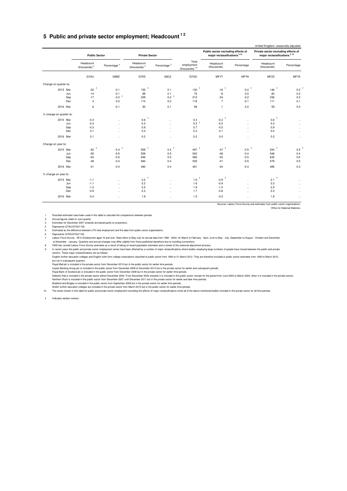#### **5 Public and private sector employment; Headcount 1 2**

|                         |     |                                       |                         |                                       |                         |                                                  |                                                                              |                      | United Kingdom, seasonally adjusted                                            |                      |
|-------------------------|-----|---------------------------------------|-------------------------|---------------------------------------|-------------------------|--------------------------------------------------|------------------------------------------------------------------------------|----------------------|--------------------------------------------------------------------------------|----------------------|
|                         |     | <b>Public Sector</b>                  |                         | <b>Private Sector</b>                 |                         |                                                  | Public sector excluding effects of<br>major reclassifications <sup>910</sup> |                      | Private sector excluding effects of<br>major reclassifications <sup>9 10</sup> |                      |
|                         |     | Headcount<br>(thousands) <sup>3</sup> | Percentage <sup>4</sup> | Headcount<br>(thousands) <sup>5</sup> | Percentage <sup>6</sup> | Total<br>employment<br>(thousands) <sup>78</sup> | Headcount<br>(thousands)                                                     | Percentage           | Headcount<br>(thousands)                                                       | Percentage           |
|                         |     | G7AU                                  | G9BZ                    | G7K5                                  | G9C2                    | G7GO                                             | MFY7                                                                         | MFY9                 | MFZ2                                                                           | MFY5                 |
| Change on quarter to:   |     |                                       |                         |                                       |                         |                                                  |                                                                              |                      |                                                                                |                      |
| 2015 Mar                |     | $-22$                                 | $-0.1$                  | 152                                   | 0.1                     | 130                                              | $-16$                                                                        | $-0.2$ <sup>t</sup>  | 146                                                                            | 0.2                  |
|                         | Jun | $-14$                                 | $-0.1$                  | 89                                    | 0.1                     | 75                                               | -8                                                                           | 0.0                  | 83                                                                             | 0.0                  |
|                         | Sep | $-17$                                 | $-0.2$ <sup>+</sup>     | 229                                   | 0.2 <sup>†</sup>        | 212                                              | $-24$                                                                        | $-0.2$               | 236                                                                            | 0.2                  |
|                         | Dec | $\overline{4}$                        | 0.0                     | 114                                   | 0.0                     | 118                                              | $\overline{7}$                                                               | $-0.1$               | 111                                                                            | 0.1                  |
| 2016 Mar                |     | 6                                     | $-0.1$                  | 50                                    | 0.1                     | 56                                               | $\mathbf{1}$                                                                 | 0.0                  | 55                                                                             | 0.0                  |
| % change on quarter to: |     |                                       |                         |                                       |                         |                                                  |                                                                              |                      |                                                                                |                      |
| 2015 Mar                |     | $-0.4$                                | $\ddot{\phantom{a}}$    | $0.6$ <sup>t</sup>                    | $\ddotsc$               | 0.4                                              | $-0.3$                                                                       | $\ddot{\phantom{a}}$ | 0.6                                                                            | $\ddot{\phantom{a}}$ |
|                         | Jun | $-0.3$                                | $\ddot{\phantom{a}}$    | 0.3                                   | $\ddot{\phantom{a}}$    | 0.2 <sup>†</sup>                                 | $-0.2$                                                                       | $\ddot{\phantom{a}}$ | 0.3                                                                            | $\ddot{\phantom{a}}$ |
|                         | Sep | $-0.3$                                | $\ddot{\phantom{a}}$    | 0.9                                   | $\ddot{\phantom{a}}$    | 0.7                                              | $-0.5$                                                                       | $\ddot{\phantom{a}}$ | 0.9                                                                            | $\sim$               |
|                         | Dec | 0.1                                   | $\ddot{\phantom{a}}$    | 0.4                                   | $\ddot{\phantom{a}}$    | 0.4                                              | 0.1                                                                          | $\ddot{\phantom{a}}$ | 0.4                                                                            | $\sim$               |
| 2016 Mar                |     | 0.1                                   | $\ddotsc$               | 0.2                                   | $\ddot{\phantom{a}}$    | 0.2                                              | 0.0                                                                          | $\ddot{\phantom{a}}$ | 0.2                                                                            | $\ddot{\phantom{0}}$ |
| Change on year to:      |     |                                       |                         |                                       |                         |                                                  |                                                                              |                      |                                                                                |                      |
| 2015 Mar                |     | J,<br>$-62$                           | $-0.4$                  | $559$ <sup>1</sup>                    | 0.4                     | 497 $†$                                          | $-47$ <sup>1</sup>                                                           | $-0.5$ <sup>+</sup>  | 544                                                                            | 0.5                  |
|                         | Jun | $-59$                                 | $-0.5$                  | 559                                   | 0.5                     | 500                                              | $-48$                                                                        | $-0.4$               | 548                                                                            | 0.4                  |
|                         | Sep | $-64$                                 | $-0.5$                  | 646                                   | 0.5                     | 582                                              | $-53$                                                                        | $-0.5$               | 635                                                                            | 0.5                  |
|                         | Dec | $-49$                                 | $-0.4$                  | 584                                   | 0.4                     | 535                                              | $-41$                                                                        | $-0.5$               | 576                                                                            | 0.5                  |
| 2016 Mar                |     | $-21$                                 | $-0.4$                  | 482                                   | 0.4                     | 461                                              | $-24$                                                                        | $-0.3$               | 485                                                                            | 0.3                  |
| % change on year to:    |     |                                       |                         |                                       |                         |                                                  |                                                                              |                      |                                                                                |                      |
| 2015 Mar                |     | $-1.1$                                | $\ddot{\phantom{a}}$    | 2.2 <sup>†</sup>                      | $\ddot{\phantom{a}}$    | 1.6                                              | $-0.9$                                                                       | $\ddot{\phantom{a}}$ | -1<br>2.1                                                                      | $\ddotsc$            |
|                         | Jun | $-1.1$                                | $\ddotsc$               | 2.2                                   | $\ddotsc$               | 1.6                                              | $-0.9$                                                                       | $\ddotsc$            | 2.2                                                                            | $\ddot{\phantom{0}}$ |
|                         | Sep | $-1.2$                                | $\ddot{\phantom{a}}$    | 2.5                                   | $\ddot{\phantom{a}}$    | 1.9                                              | $-1.0$                                                                       | $\ddot{\phantom{a}}$ | 2.5                                                                            | $\ddot{\phantom{0}}$ |
|                         | Dec | $-0.9$                                | $\ddot{\phantom{a}}$    | 2.3                                   | $\ddot{\phantom{a}}$    | 1.7                                              | $-0.8$                                                                       | $\ddot{\phantom{a}}$ | 2.2                                                                            | $\ddotsc$            |
| 2016 Mar                |     | $-0.4$                                | $\ddotsc$               | 1.9                                   | $\ddot{\phantom{a}}$    | 1.5                                              | $-0.5$                                                                       | $\ddot{\phantom{a}}$ | 1.9                                                                            | $\ddotsc$            |
|                         |     |                                       |                         |                                       |                         |                                                  |                                                                              |                      | Sources: Labour Force Survey and estimates from public sector organisations;   |                      |

m public sector organisations;<br>Office for National Statistics

1 Rounded estimates have been used in this table to calculate the comparisons between periods.

2 Annual figures relate to June quarter. 3 Estimates for December 2007 onwards are based partly on projections. 4 Represents G7AU/G7GO\*100.

5 Estimated as the difference between LFS total employment and the data from public sector organisations.

6 Represents G7K5(G7GO\*100.<br>7 Labour Force Survey - All in Employment aged 16 and over. Data refers to May-July for annual data from 1992 - 2004, for March to February - April, June to May - July, September t

to November - January. Quarterly and annual changes may differ slightly from those published elsewhere due to rounding conventions.<br>B ONS has revised Labour Force Survey estimates as a result of taking on board population

Royal Mail plc is included in the private sector from December 2013 but in the public sector for earlier time periods.

Lloyds Banking Group plc is included in the public sector from December 2008 to December 2013 but in the private sector for earlier and subsequent periods<br>Royal Bank of Scotland plc is included in the public sector from De

Network Rail is included in the private sector before December 2002. From December 2002 onwards it is included in the public sector (except for the period from June 2003 to March 2004, when it is included in the private se

Welsh further education colleges are included in the private sector from March 2015 but in the public sector for earint time periods.<br>The series shown in this table for public and private sector employment excluding the ef

† Indicates earliest revision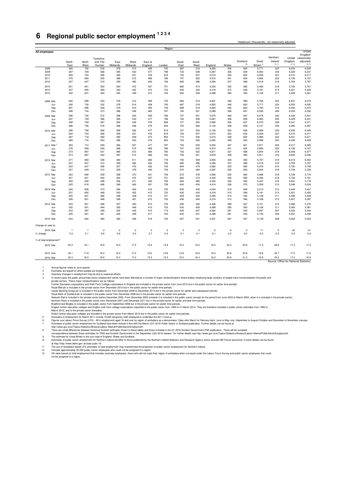#### **6 Regional public sector employment 1 2 3 4**

|                                    |                |                |               |                 |                 |                | Region        |             |             |                  |              |                |                               |                  |                                        |                    |
|------------------------------------|----------------|----------------|---------------|-----------------|-----------------|----------------|---------------|-------------|-------------|------------------|--------------|----------------|-------------------------------|------------------|----------------------------------------|--------------------|
| All employees                      |                |                |               |                 |                 |                |               |             |             |                  |              |                |                               |                  |                                        | United             |
|                                    |                |                |               |                 |                 |                |               |             |             |                  |              |                |                               | Northern         |                                        | Kingdom            |
|                                    |                |                | Yorkshire     |                 |                 |                |               |             |             |                  |              |                |                               |                  | United                                 | (seasonally        |
|                                    | North          | North          | and The       | East            | West            | East of        |               | South       | South       |                  |              | Scotland<br>78 | Great<br>Britain <sup>9</sup> | Ireland<br>10 11 | Kingdom<br>12 13                       | adjusted)<br>12 13 |
| 2008                               | East<br>292    | West<br>700    | Humber<br>532 | Midlands<br>378 | Midlands<br>514 | England<br>458 | London<br>745 | East<br>687 | West<br>518 | England<br>4,825 | Wales<br>346 | 600            | 5,771                         | 223              | 6,033                                  | 6,035              |
| 2009                               | 297            | 729            | 566           | 395             | 533             | 477            | 798           | 722         | 548         | 5,067            | 356          | 639            | 6,062                         | 230              | 6,329                                  | 6,331              |
| 2010                               | 294            | 724            | 566           | 395             | 531             | 478            | 818           | 720         | 547         | 5,074            | 353          | 632            | 6,059                         | 227              | 6,315                                  | 6,317              |
| 2011                               | 276            | 694            | 550           | 388             | 515             | 469            | 786           | 707         | 525         | 4,910            | 341          | 604            | 5,856                         | 222              | 6,106                                  | 6,107              |
| 2012                               | 257            | 647            | 510           | 359             | 482             | 442            | 746           | 665         | 486         | 4,594            | 337          | 588            | 5,518                         | 218              | 5,764                                  | 5,767              |
|                                    | 251            | 641            | 504           | 354             | 472             | 427            | 751           | 660         | 474         | 4,535            | 335          | 585            | 5,456                         | 218              |                                        |                    |
| 2013<br>2014                       | 237            | 605            | 469           | 343             | 452             | 415            | 723           | 630         | 443         | 4,318            | 315          | 548            | 5,181                         | 213              | 5,700<br>5,421                         | 5,701<br>5,420     |
| 2015                               | 232            | 601            | 464           | 335             | 449             | 413            | 723           | 633         | 439         | 4,288            | 295          | 545            | 5,128                         | 211              | 5,360                                  | 5,361              |
|                                    |                |                |               |                 |                 |                |               |             |             |                  |              |                |                               |                  |                                        |                    |
| 2008 Mar                           | 292            | 698            | 533           | 378             | 514             | 459            | 745           | 684         | 519         | 4,821            | 346          | 599            | 5,766                         | 225              | 6,031                                  | 6,019              |
| Jun                                | 292            | 700            | 532           | 378             | 514             | 458            | 745           | 687         | 518         | 4,825            | 346          | 600            | 5,771                         | 223              | 6,033                                  | 6,035              |
| Sep                                | 291            | 696            | 539           | 379             | 514             | 455            | 748           | 698         | 519         | 4,840            | 345          | 600            | 5,785                         | 219              | 6,042                                  | 6,072              |
| Dec                                | 298            | 734            | 573           | 396             | 536             | 465            | 797           | 740         | 551         | 5,089            | 358          | 647            | 6,095                         | 228              | 6,355                                  | 6,332              |
| 2009 Mar                           | 296            | 730            | 572           | 396             | 534             | 459            | 796           | 737         | 551         | 5,070            | 358          | 647            | 6,076                         | 230              | 6,343                                  | 6,331              |
| Jun                                | 297            | 729            | 566           | 395             | 533             | 477            | 798           | 722         | 548         | 5,067            | 356          | 639            | 6,062                         | 230              | 6,329                                  | 6,331              |
| Sep                                | 298            | 729            | 567           | 394             | 535             | 476            | 806           | 727         | 550         | 5,082            | 356          | 637            | 6,075                         | 228              | 6,341                                  | 6,371              |
| Dec                                | 296            | 736            | 576           | 396             | 536             | 479            | 824           | 730         | 560         | 5,134            | 358          | 639            | 6,131                         | 230              | 6,390                                  | 6,367              |
| 2010 Mar                           | 296            | 728            | 568           | 399             | 532             | 477            | 819           | 727         | 554         | 5,100            | 354          | 636            | 6,089                         | 229              | 6,350                                  | 6,340              |
| Jun                                | 294            | 724            | 566           | 395             | 531             | 478            | 818           | 720         | 547         | 5,074            | 353          | 632            | 6,059                         | 227              | 6,315                                  | 6,317              |
| Sep                                | 287            | 718            | 560           | 393             | 529             | 472            | 803           | 715         | 536         | 5,015            | 349          | 625            | 5,989                         | 222              | 6,241                                  | 6,271              |
| Dec                                | 285            | 716            | 553           | 396             | 533             | 479            | 804           | 723         | 536         | 5,025            | 349          | 625            | 5,998                         | 224              | 6,248                                  | 6,229              |
| 2011 Mar                           | 284            | 712            | 559           | 394             | 527             | 477            | 797           | 720         | 535         | 5,004            | 347          | 621            | 5,971                         | 223              | 6,217                                  | 6,205              |
| Jun                                | 276            | 694            | 550           | 388             | 515             | 469            | 786           | 707         | 525         | 4,910            | 341          | 604            | 5,856                         | 222              | 6,106                                  | 6,107              |
| Sep                                | 273            | 687            | 541           | 386             | 512             | 466            | 782           | 702         | 522         | 4,871            | 337          | 596            | 5,804                         | 218              | 6,048                                  | 6,077              |
| Dec                                | 273            | 687            | 544           | 387             | 514             | 466            | 783           | 704         | 521         | 4,878            | 339          | 594            | 5,811                         | 218              | 6,055                                  | 6,036              |
|                                    |                |                |               |                 |                 |                |               |             |             |                  |              |                |                               |                  |                                        |                    |
| 2012 Mar                           | 271<br>257     | 683<br>647     | 536<br>510    | 384<br>359      | 511<br>482      | 465<br>442     | 778<br>746    | 700<br>665  | 509<br>486  | 4,835<br>4,594   | 340<br>337   | 592<br>588     | 5,767<br>5,518                | 219<br>218       | 6,014<br>5,764                         | 6,002<br>5,767     |
| Jun<br>Sep                         | 254            | 647            | 506           | 357             | 478             | 432            | 745           | 664         | 479         | 4,562            | 333          | 583            | 5,478                         | 215              | 5,720                                  | 5,748              |
| Dec                                | 257            | 649            | 510           | 359             | 479             | 430            | 749           | 670         | 484         | 4,587            | 335          | 583            | 5,504                         | 218              | 5,748                                  | 5,728              |
|                                    |                |                |               |                 |                 |                |               |             |             |                  |              |                |                               |                  |                                        |                    |
| 2013 Mar                           | 254            | 646            | 509           | 358             | 473             | 431            | 746           | 672         | 478         | 4,566            | 335          | 584            | 5,486                         | 218              | 5,728                                  | 5,718              |
| Jun                                | 251            | 641            | 504           | 354             | 472             | 427            | 751           | 660         | 474         | 4,535            | 335          | 585            | 5,456                         | 218              | 5,700                                  | 5,701              |
| Sep<br>Dec                         | 250<br>245     | 628<br>616     | 499<br>486    | 356<br>348      | 471<br>464      | 425<br>421     | 758<br>736    | 664<br>643  | 480<br>454  | 4,532<br>4,414   | 333<br>326   | 583<br>570     | 5,447<br>5,309                | 216<br>213       | 5,691<br>5,548                         | 5,718<br>5,534     |
|                                    |                |                |               |                 |                 |                |               |             |             |                  |              |                |                               |                  |                                        |                    |
| 2014 Mar                           | 240            | 608            | 473           | 346             | 454             | 418            | 725           | 635         | 445         | 4,344            | 318          | 548            | 5,210                         | 213              | 5,449                                  | 5,437              |
| Jun                                | 237            | 605            | 469           | 343<br>338      | 452             | 415            | 723           | 630         | 443<br>440  | 4,318            | 315          | 548            | 5,181                         | 213              | 5,421<br>5,385                         | 5,420              |
| Sep<br>Dec                         | 235<br>236     | 601<br>601     | 466<br>468    | 338             | 449<br>451      | 412<br>415     | 721<br>725    | 629<br>636  | 440         | 4,290<br>4,310   | 313<br>313   | 545<br>546     | 5,148<br>5,168                | 211<br>213       | 5,407                                  | 5,408<br>5,397     |
|                                    |                |                |               |                 |                 |                |               |             |             |                  |              |                |                               |                  |                                        |                    |
| 2015 Mar                           | 233            | 601            | 468           | 337             | 450             | 415            | 725           | 636         | 440         | 4,306            | 298          | 547            | 5,151                         | 213              | 5,386                                  | 5,375              |
| Jun                                | 232            | 601            | 464           | 335             | 449             | 413            | 723           | 633         | 439         | 4,288            | 295          | 545            | 5,128                         | 211              | 5,360                                  | 5,361              |
| Sep                                | 233<br>235     | 597<br>601     | 458<br>461    | 334<br>335      | 445<br>449      | 410<br>417     | 719<br>724    | 629<br>635  | 437<br>441  | 4,262<br>4,296   | 291<br>291   | 545<br>545     | 5,097<br>5,133                | 207<br>208       | 5,322<br>5,357                         | 5,344<br>5,348     |
| Dec                                |                |                |               |                 |                 |                |               |             |             |                  |              |                |                               |                  |                                        |                    |
| 2016 Mar                           | 234            | 602            | 465           | 335             | 449             | 418            | 722           | 637         | 441         | 4,301            | 291          | 547            | 5,139                         | 208              | 5,364                                  | 5,354              |
| Change on year to:                 |                |                |               |                 |                 |                |               |             |             |                  |              |                |                               |                  |                                        |                    |
| 2016 Mar                           | $\overline{1}$ | $\overline{1}$ | $-3$          | $-2$            | $-2$            | 3              | $-3$          | $\circ$     | $\mathbf 0$ | $-5$             | -6           | $\mathbf 0$    | $-11$                         | $-5$             | $-22$                                  | $-21$              |
| % change                           | 0.3            | 0.1            | $-0.6$        | $-0.6$          | $-0.4$          | 0.7            | $-0.4$        | 0.1         | 0.1         | $-0.1$           | $-2.2$       | 0.0            | $-0.2$                        | $-2.3$           | $-0.4$                                 | $-0.4$             |
|                                    |                |                |               |                 |                 |                |               |             |             |                  |              |                |                               |                  |                                        |                    |
| % of total employment <sup>6</sup> |                |                |               |                 |                 |                |               |             |             |                  |              |                |                               |                  |                                        |                    |
| 2015 Mar                           | 20.3           | 18.1           | 18.8          | 16.0            | 17.5            | 15.4           | 14.9          | 15.3        | 16.5        | 16.5             | 22.3         | 20.9           | 17.2                          | 26.6             | 17.3                                   | 17.3               |
|                                    |                |                |               |                 |                 |                |               |             |             |                  |              |                |                               |                  |                                        |                    |
| 2015 Dec                           | 20.1           | 17.8           | 18.4          | 15.5            | 17.2            | 15.2           | 14.6          | 14.9        | 16.6        | 16.2             | 20.8         | 20.9           | 16.8                          | 25.7             | 17.0                                   | 17.0               |
| 2016 Mar                           | 20.3           | 18.0           | 18.6          | 15.4            | 17.2            | 15.3           | 14.3          | 15.0        | 16.4        | 16.2             | 20.8         | 21.3           | 16.9                          | 25.2             | 17.0                                   | 16.9               |
|                                    |                |                |               |                 |                 |                |               |             |             |                  |              |                |                               |                  | Source: Office for National Statistics |                    |

Headcount (thousands), not seasonally adjusted

1 Annual figure relate b June quarket and replayed and employed and relate the beach and relate the relate the properties and the control of the control of the control of the control of the control of the control of the co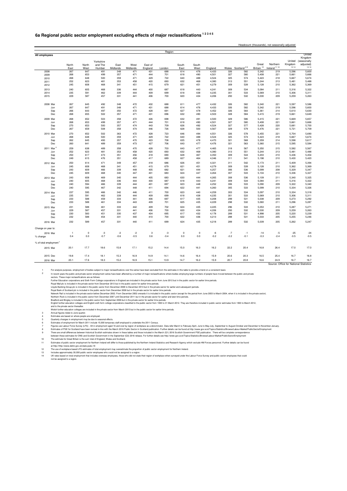#### **6a Regional public sector employment excluding effects of major reclassifications 1 2 3 4 5**

Headcount (thousands), not seasonally adjusted

|                                    |                |             |            |            |            |            | Region     |             |             |                |            |                   |                       |                         |                |                                        |
|------------------------------------|----------------|-------------|------------|------------|------------|------------|------------|-------------|-------------|----------------|------------|-------------------|-----------------------|-------------------------|----------------|----------------------------------------|
| All employees                      |                |             |            |            |            |            |            |             |             |                |            |                   |                       |                         |                | United<br>Kingdom                      |
|                                    |                |             | Yorkshire  |            |            |            |            |             |             |                |            |                   |                       |                         |                | United (seasonally                     |
|                                    | North          | North       | and The    | East       | West       | East of    |            | South       | South       |                |            |                   | Great                 | Northern                | Kingdom        | adjusted)                              |
|                                    | East           | West        | Humber     | Midlands   | Midlands   | England    | London     | East        | West        | England        |            | Wales Scotland 89 | Britain <sup>10</sup> | Ireland <sup>1112</sup> | 13 14          | 13 14                                  |
| 2008                               | 267            | 647         | 491        | 348        | 471        | 431        | 688        | 614         | 476         | 4.433          | 326        | 582               | 5.342                 | 219                     | 5,596          | 5,600                                  |
| 2009                               | 268            | 653         | 499        | 357        | 471        | 444        | 701        | 618         | 490         | 4,501          | 327        | 580               | 5,408                 | 221                     | 5,661          | 5,666                                  |
| 2010                               | 268            | 648         | 500        | 359        | 471        | 429        | 722        | 640         | 488         | 4,524          | 325        | 574               | 5.423                 | 218                     | 5,667          | 5,674                                  |
| 2011                               | 252            | 623         | 481        | 353        | 458        | 420        | 693        | 632         | 468         | 4,380          | 313        | 551               | 5,244                 | 213                     | 5,481          | 5,488                                  |
| 2012                               | 245            | 608         | 468        | 341        | 451        | 415        | 679        | 621         | 451         | 4,279          | 309        | 539               | 5,128                 | 210                     | 5,362          | 5,369                                  |
| 2013                               | 240            | 605         | 468        | 336        | 444        | 400        | 687        | 618         | 443         | 4,241          | 309        | 534               | 5,084                 | 211                     | 5,316          | 5,322                                  |
| 2014                               | 235            | 591         | 462        | 339        | 444        | 409        | 699        | 618         | 438         | 4,235          | 301        | 533               | 5,069                 | 210                     | 5,306          | 5,311                                  |
| 2015                               | 229            | 587         | 457        | 331        | 441        | 406        | 700        | 620         | 434         | 4,206          | 293        | 532               | 5,030                 | 209                     | 5,259          | 5,263                                  |
|                                    |                | 645         |            | 348        |            |            | 688        | 611         | 477         |                | 326        |                   |                       |                         |                |                                        |
| 2008 Mar                           | 267<br>267     | 647         | 492<br>491 | 348        | 472<br>471 | 432<br>431 | 688        | 614         | 476         | 4,432<br>4,433 | 326        | 582<br>582        | 5,340<br>5,342        | 221<br>219              | 5,597<br>5,596 | 5,586<br>5,600                         |
| Jun<br>Sep                         | 266            | 643         | 497        | 350        | 472        | 428        | 691        | 627         | 478         | 4,452          | 326        | 583               | 5,361                 | 214                     | 5,610          | 5,630                                  |
| Dec                                | 268            | 655         | 502        | 357        | 471        | 431        | 696        | 632         | 490         | 4,503          | 328        | 584               | 5,415                 | 219                     | 5,661          | 5,649                                  |
|                                    |                |             |            |            |            |            |            |             |             |                |            |                   |                       |                         |                |                                        |
| 2009 Mar                           | 268<br>268     | 652<br>653  | 503<br>499 | 358<br>357 | 472<br>471 | 426<br>444 | 698<br>701 | 632<br>618  | 491<br>490  | 4,500<br>4,501 | 329<br>327 | 586<br>580        | 5,415<br>5,408        | 221<br>221              | 5,669<br>5,661 | 5,657<br>5,666                         |
| Jun<br>Sep                         | 270            | 653         | 500        | 357        | 474        | 443        | 709        | 626         | 492         | 4,524          | 327        | 577               | 5,428                 | 220                     | 5,681          | 5,700                                  |
| Dec                                | 267            | 659         | 508        | 358        | 474        | 446        | 726        | 628         | 500         | 4,567          | 329        | 579               | 5,476                 | 221                     | 5,721          | 5,709                                  |
|                                    | 270            | 652         | 502        | 363        | 472        | 428        | 723        | 646         | 494         | 4,551          | 326        | 578               | 5.455                 | 221                     | 5,704          | 5,690                                  |
| 2010 Mar<br>Jun                    | 268            | 648         | 500        | 359        | 471        | 429        | 722        | 640         | 488         | 4,524          | 325        | 574               | 5,423                 | 218                     | 5,667          | 5,674                                  |
| Sep                                | 262            | 645         | 493        | 357        | 470        | 423        | 708        | 635         | 478         | 4,470          | 321        | 568               | 5,359                 | 214                     | 5,598          | 5,617                                  |
| Dec                                | 260            | 641         | 489        | 359        | 473        | 427        | 706        | 643         | 477         | 4,476          | 321        | 563               | 5,360                 | 215                     | 5,595          | 5,584                                  |
| 2011 Mar                           | 259            | 638         | 489        | 358        | 470        | 428        | 703        | 643         | 477         | 4,465          | 318        | 567               | 5,350                 | 215                     | 5,582          | 5,567                                  |
| Jun                                | 252            | 623         | 481        | 353        | 458        | 420        | 693        | 632         | 468         | 4,380          | 313        | 551               | 5.244                 | 213                     | 5,481          | 5,488                                  |
| Sep                                | 250            | 617         | 473        | 351        | 456        | 418        | 690        | 628         | 467         | 4,350          | 309        | 544               | 5,203                 | 210                     | 5,436          | 5,454                                  |
| Dec                                | 249            | 615         | 476        | 351        | 458        | 417        | 689        | 627         | 464         | 4,346          | 311        | 541               | 5,198                 | 210                     | 5,430          | 5,420                                  |
| 2012 Mar                           | 250            | 614         | 471        | 349        | 457        | 418        | 686        | 626         | 451         | 4,321          | 311        | 542               | 5,173                 | 211                     | 5,409          | 5,394                                  |
| Jun                                | 245            | 608         | 468        | 341        | 451        | 415        | 679        | 621         | 451         | 4,279          | 309        | 539               | 5,128                 | 210                     | 5,362          | 5,369                                  |
| Sep                                | 243            | 609         | 466        | 339        | 448        | 405        | 682        | 621         | 444         | 4,257          | 306        | 536               | 5,099                 | 208                     | 5,329          | 5,347                                  |
| Dec                                | 245            | 609         | 468        | 340        | 447        | 401        | 683        | 624         | 447         | 4,264          | 307        | 533               | 5,104                 | 210                     | 5,336          | 5,327                                  |
| 2013 Mar                           | 243            | 608         | 469        | 340        | 444        | 405        | 683        | 630         | 444         | 4,265          | 308        | 536               | 5,109                 | 211                     | 5,340          | 5,325                                  |
| Jun                                | 240            | 605         | 468        | 336        | 444        | 400        | 687        | 618         | 443         | 4,241          | 309        | 534               | 5,084                 | 211                     | 5,316          | 5,322                                  |
| Sep                                | 240            | 594         | 466        | 339        | 444        | 401        | 697        | 623         | 448         | 4,252          | 306        | 533               | 5,090                 | 209                     | 5,322          | 5,340                                  |
| Dec                                | 240            | 595         | 467        | 342        | 448        | 411        | 694        | 622         | 441         | 4,260          | 305        | 533               | 5,099                 | 210                     | 5,334          | 5,326                                  |
| 2014 Mar                           | 237            | 595         | 466        | 342        | 446        | 411        | 700        | 623         | 440         | 4,259          | 303        | 534               | 5,097                 | 210                     | 5,334          | 5,318                                  |
| Jun                                | 235            | 591         | 462        | 339        | 444        | 409        | 699        | 618         | 438         | 4,235          | 301        | 533               | 5,069                 | 210                     | 5,306          | 5,311                                  |
| Sep                                | 233            | 588         | 459        | 334        | 441        | 406        | 697        | 617         | 435         | 4,208          | 299        | 531               | 5,038                 | 209                     | 5,273          | 5,292                                  |
| Dec                                | 233            | 588         | 461        | 334        | 443        | 409        | 701        | 625         | 435         | 4,229          | 298        | 532               | 5,060                 | 211                     | 5,296          | 5,287                                  |
| 2015 Mar                           | 231            | 588         | 461        | 333        | 442        | 409        | 702        | 624         | 435         | 4,225          | 296        | 533               | 5,053                 | 210                     | 5,287          | 5,271                                  |
| Jun                                | 229            | 587         | 457        | 331        | 441        | 406        | 700        | 620         | 434         | 4,206          | 293        | 532               | 5,030                 | 209                     | 5,259          | 5,263                                  |
| Sep                                | 230            | 583         | 451        | 330        | 437        | 404        | 695        | 617         | 432         | 4,178          | 289        | 531               | 4,998                 | 205                     | 5,220          | 5,239                                  |
| Dec                                | 232            | 588         | 454        | 331        | 440        | 410        | 700        | 622         | 436         | 4,213          | 288        | 531               | 5,033                 | 205                     | 5,255          | 5,246                                  |
| 2016 Mar                           | 232            | 589         | 457        | 331        | 440        | 411        | 699        | 624         | 435         | 4,218          | 289        | 532               | 5,039                 | 205                     | 5,262          | 5,247                                  |
| Change on year to:                 |                |             |            |            |            |            |            |             |             |                |            |                   |                       |                         |                |                                        |
| 2016 Mar                           | $\overline{1}$ | $\mathbf 0$ | $\cdot 3$  | $-2$       | $\cdot 2$  | 3          | -3         | $\mathbf 0$ | $\mathbf 0$ | -6             | $-7$       | $-1$              | $-14$                 | $\cdot 5$               | $-25$          | $-24$                                  |
| % change                           | 0.4            | 0.0         | $-0.7$     | $-0.6$     | $-0.5$     | 0.6        | $-0.4$     | 0.0         | 0.0         | $-0.2$         | $-2.2$     | $-0.1$            | $-0.3$                | $-2.4$                  | $-0.5$         | $-0.5$                                 |
| % of total employment <sup>7</sup> |                |             |            |            |            |            |            |             |             |                |            |                   |                       |                         |                |                                        |
| 2015 Mar                           | 20.1           | 17.7        | 18.6       | 15.8       | 17.1       | 15.2       | 14.4       | 15.0        | 16.3        | 16.2           | 22.2       | 20.4              | 16.8                  | 26.4                    | 17.0           | 17.0                                   |
|                                    |                |             |            |            |            |            |            |             |             |                |            |                   |                       |                         |                |                                        |
| 2015 Dec                           | 19.8           | 17.4        | 18.1       | 15.3       | 16.9       | 14.9       | 14.1       | 14.6        | 16.4        | 15.9           | 20.6       | 20.3              | 16.5                  | 25.4                    | 16.7           | 16.8                                   |
| 2016 Mar                           | 20.1           | 17.6        | 18.3       | 15.2       | 16.9       | 15.1       | 13.9       | 14.7        | 16.2        | 15.9           | 20.7       | 20.8              | 16.6                  | 24.9                    | 16.7           | 16.7                                   |
|                                    |                |             |            |            |            |            |            |             |             |                |            |                   |                       |                         |                | Source: Office for National Statistics |

1<br>
For analysis purposes, employment of boties subject to major relates<br>if an each years the public and private sector employment series have been affected by a number of major reclassifications where boties employing larg

Estimates are based on where people are employed.<br>
Estimates are based on where people are employed to undertake the 2011 Census.<br>
Such are the state of employment fray be due to seasonal effects.<br>
Estimates of employment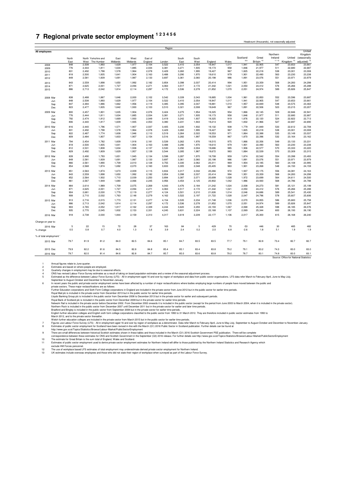#### **7 Regional private sector employment 1 2 3 4 5 6**

| All employees<br>Northern<br>Kingdom<br>Scotland<br>Great<br>Ireland<br>(seasonally<br>United<br>North<br>East<br>West<br>South<br>North Yorkshire and<br>East of<br>South<br>11 12<br>89<br>Britain <sup>10</sup><br>Kingdom <sup>13</sup><br>adjusted) <sup>13</sup><br>East<br>The Humber<br>Midlands<br>Midlands<br>England<br>London<br>East<br>West<br>Wales<br>West<br>England<br>848<br>1,629<br>3,410<br>2,054<br>19,947<br>1,017<br>1,941<br>22,905<br>547<br>23,653<br>23,661<br>2,508<br>1,893<br>1,977<br>2,104<br>3,522<br>2008<br>2009<br>776<br>1,811<br>1,634<br>2,034<br>3,381<br>3,271<br>1,935<br>22,680<br>22,687<br>2,444<br>1,885<br>19,173<br>958<br>1,846<br>21,977<br>511<br>23,008<br>2010<br>831<br>2,492<br>1,798<br>1,578<br>1,964<br>2,078<br>3,429<br>3,260<br>1,995<br>19,427<br>967<br>1,825<br>22,218<br>538<br>23,001<br>979<br>23,238<br>2011<br>818<br>2,500<br>1,835<br>1,904<br>2,163<br>3,488<br>3,290<br>1,970<br>19,610<br>1,901<br>22,490<br>563<br>23,230<br>1,641<br>2012<br>849<br>2,581<br>1,839<br>1,691<br>2,133<br>3,697<br>3,361<br>2,060<br>20,198<br>986<br>23,076<br>551<br>23,971<br>23,979<br>1,987<br>1,891<br>2013<br>843<br>2,559<br>1,898<br>1,650<br>1,992<br>2,182<br>3,854<br>3,398<br>2,037<br>20,414<br>994<br>1,951<br>23,359<br>568<br>24,283<br>24,298<br>871<br>2014<br>2,625<br>2,001<br>1,727<br>2,094<br>2,271<br>4,063<br>3,517<br>2,172<br>21,342<br>1,021<br>24,412<br>576<br>25,266<br>25,288<br>2,050<br>2015<br>886<br>2,713<br>4,172<br>2,278<br>21,852<br>1,070<br>25,826<br>25,847<br>2,042<br>1,814<br>2,297<br>3,536<br>2,051<br>24,974<br>589<br>2,114<br>1,887<br>2,000<br>2,102<br>3,542<br>3,339<br>2,043<br>1,004<br>552<br>23,596<br>23,687<br>838<br>2,488<br>1,646<br>19,885<br>1,961<br>22,850<br>2008 Mar<br>3,522<br>547<br>848<br>2,508<br>1,893<br>1,629<br>1,977<br>2,104<br>3,410<br>2,054<br>19,947<br>1,017<br>22,905<br>23,653<br>23,661<br>1,941<br>Jun<br>847<br>3,485<br>2,484<br>1,886<br>1,662<br>1,956<br>2,119<br>3,395<br>2,047<br>19,881<br>1,010<br>1,957<br>22,849<br>548<br>23,575<br>23,463<br>Sep<br>823<br>2,477<br>1,835<br>1,642<br>1,930<br>2,103<br>3,510<br>3,321<br>2,008<br>19,649<br>967<br>1,891<br>22,506<br>523<br>23,215<br>23,207<br>Dec<br>2,457<br>3,424<br>3,275<br>22,145<br>22,941<br>800<br>1,801<br>1,635<br>1,904<br>2,076<br>1,954<br>19,325<br>954<br>1,866<br>509<br>22,846<br>2009 Mar<br>776<br>1,811<br>1,885<br>2,034<br>3,381<br>3,271<br>1,935<br>958<br>21,977<br>511<br>22,680<br>22,687<br>2,444<br>1,634<br>19,173<br>1,846<br>Jun<br>792<br>2,474<br>1,812<br>2,049<br>3,419<br>3,242<br>1,937<br>919<br>22,120<br>524<br>22,822<br>22,713<br>1,669<br>1,930<br>19,325<br>1,876<br>Sep<br>806<br>527<br>22,690<br>2,440<br>1,817<br>1,609<br>1,935<br>2,053<br>3,380<br>3,231<br>1,943<br>19,214<br>920<br>1,832<br>21,966<br>22,697<br>Dec<br>1,796<br>3,405<br>22,612<br>22,708<br>816<br>2,440<br>1,571<br>1,907<br>2,037<br>3,230<br>1,932<br>19,132<br>938<br>1,779<br>21,849<br>533<br>2010 Mar<br>2,492<br>3,429<br>538<br>23,008<br>831<br>1,798<br>1,578<br>1,964<br>2,078<br>3,260<br>1,995<br>19,427<br>967<br>1,825<br>22,218<br>23,001<br>Jun<br>822<br>1,774<br>3,519<br>2,022<br>971<br>535<br>23,037<br>2,487<br>1,608<br>1,946<br>2,110<br>3,264<br>19,553<br>1,864<br>22,388<br>23,149<br>Sep<br>809<br>1,807<br>3,282<br>1,997<br>19,559<br>967<br>532<br>2,484<br>1,603<br>1,907<br>2,154<br>3,516<br>1,870<br>22,396<br>23,164<br>23,162<br>Dec<br>975<br>23,231<br>794<br>2,454<br>1,782<br>1,609<br>1,918<br>2,181<br>3,539<br>3,262<br>1,976<br>19,515<br>22,356<br>549<br>23,133<br>2011 Mar<br>1,866<br>1,835<br>3,488<br>979<br>563<br>23,230<br>23,238<br>818<br>2,500<br>1,641<br>1,904<br>2,163<br>3,290<br>1,970<br>19,610<br>1,901<br>22,490<br>Jun<br>985<br>Sep<br>812<br>2,531<br>1,808<br>1,634<br>1,938<br>2,137<br>3.530<br>3.292<br>2,004<br>19,686<br>1,906<br>22,577<br>570<br>23,333<br>23,220<br>829<br>2,492<br>3,285<br>1,987<br>983<br>22,539<br>570<br>23,309<br>23,315<br>Dec<br>1,809<br>1,629<br>1,957<br>2,139<br>3,544<br>19,672<br>1,884<br>3,598<br>959<br>554<br>23,398<br>23,493<br>2012 Mar<br>839<br>2,490<br>1,793<br>1,651<br>1,945<br>2,134<br>3,287<br>1,970<br>19,708<br>1,874<br>22,542<br>849<br>2,581<br>1,839<br>1,691<br>1,987<br>2,133<br>3,697<br>3,361<br>2,060<br>20,198<br>986<br>1,891<br>23,076<br>551<br>23,971<br>23,979<br>Jun<br>23,995<br>866<br>2,561<br>1,890<br>1,709<br>2,010<br>2,128<br>3,755<br>3,330<br>2,062<br>20,311<br>969<br>1,904<br>23,185<br>560<br>24,108<br>Sep<br>854<br>1,874<br>1,692<br>3,833<br>3,305<br>2,048<br>20,405<br>963<br>23,268<br>548<br>24,159<br>2,568<br>2,070<br>2,160<br>1,901<br>24,150<br>Dec<br>851<br>2,563<br>1,874<br>1,673<br>2,009<br>2,115<br>3,834<br>3,317<br>2,032<br>20,266<br>972<br>23,175<br>556<br>24,163<br>1,937<br>24,081<br>2013 Mar<br>843<br>2,559<br>3,398<br>2,037<br>994<br>23,359<br>24,298<br>1,898<br>1,650<br>1,992<br>2,182<br>3,854<br>20,414<br>1,951<br>568<br>24,283<br>Jun<br>852<br>2,564<br>1,932<br>1,710<br>2,039<br>2,250<br>3,894<br>3,387<br>2,071<br>20,699<br>1,028<br>1,972<br>23,699<br>564<br>24,611<br>24,500<br>Sep<br>24,788<br>861<br>2,567<br>1,949<br>1,680<br>2,066<br>2,245<br>3,956<br>3,454<br>2,125<br>20,902<br>1,042<br>1,986<br>23,930<br>568<br>24,786<br>Dec<br>884<br>2,614<br>1,989<br>1,709<br>2,075<br>2,269<br>4,043<br>3,476<br>2,184<br>21,242<br>1,024<br>2,008<br>24,273<br>581<br>25,121<br>25,199<br>2014 Mar<br>871<br>2,625<br>2,271<br>4,063<br>3,517<br>576<br>25,288<br>2,001<br>1,727<br>2,094<br>2,172<br>21,342<br>1,021<br>2,050<br>24,412<br>25,266<br>Jun<br>904<br>2,681<br>2,030<br>1,779<br>2,119<br>2,277<br>4,124<br>3,501<br>2,210<br>21,626<br>1,014<br>2,046<br>24,686<br>589<br>25,541<br>25,430<br>Sep<br>908<br>3,522<br>25,607<br>25,606<br>2,710<br>2,032<br>1,763<br>2,148<br>2,279<br>4,162<br>2,197<br>21,722<br>1,028<br>2,047<br>24,796<br>578<br>Dec<br>25,758<br>913<br>2,716<br>2,015<br>1,773<br>2,277<br>4,154<br>3,535<br>2,234<br>21,748<br>1,036<br>2,070<br>24,855<br>586<br>25,683<br>2015 Mar<br>2,131<br>886<br>2,713<br>2,042<br>1,814<br>2,297<br>4,172<br>3,536<br>2,278<br>21,852<br>1,070<br>24,974<br>589<br>25,826<br>25,847<br>2,114<br>2,051<br>Jun<br>903<br>2,765<br>2,052<br>1,817<br>2,162<br>2,339<br>4,244<br>3,620<br>2,293<br>22,193<br>1,067<br>2,068<br>25,328<br>598<br>26,185<br>26,076<br>Sep<br>935<br>2,770<br>2,045<br>1,832<br>2,153<br>2,331<br>4,245<br>3,631<br>2,224<br>22,168<br>2,069<br>25,344<br>600<br>26,193<br>26,190<br>Dec<br>1,107<br>26,240<br>918<br>2.738<br>2.030<br>1.844<br>2.159<br>2.313<br>4.317<br>3.619<br>2.239<br>22.177<br>1.106<br>2,017<br>25.300<br>615<br>2016 Mar<br>26,168<br>Change on year to:<br>5<br>15<br>37<br>5<br>2016 Mar<br>22<br>72<br>28<br>163<br>84<br>429<br>70<br>$-53$<br>446<br>30<br>485<br>482<br>0.7<br>0.5<br>0.8<br>4.0<br>1.3<br>1.6<br>3.9<br>2.4<br>0.2<br>2.0<br>6.8<br>$-2.6$<br>1.8<br>5.1<br>1.9<br>1.9<br>% change<br>% of total employment '<br>79.7<br>81.9<br>81.2<br>84.0<br>82.5<br>85.1<br>84.7<br>83.5<br>83.5<br>77.7<br>79.1<br>82.8<br>73.4<br>82.7<br>82.7<br>2015 Mar<br>84.6<br>79.9<br>74.3<br>83.0<br>2015 Dec<br>82.2<br>81.6<br>84.5<br>82.8<br>84.8<br>85.4<br>85.1<br>83.4<br>83.8<br>79.2<br>79.1<br>83.2<br>83.0<br>79.7<br>82.0<br>82.8<br>84.7<br>85.7<br>85.0<br>83.6<br>83.8<br>79.2<br>78.7<br>83.1<br>81.4<br>84.6<br>83.1<br>74.8<br>83.0<br>2016 Mar<br>Source: Office for National Statistics |  |  |  | Region |  |  |  |  |        |
|---------------------------------------------------------------------------------------------------------------------------------------------------------------------------------------------------------------------------------------------------------------------------------------------------------------------------------------------------------------------------------------------------------------------------------------------------------------------------------------------------------------------------------------------------------------------------------------------------------------------------------------------------------------------------------------------------------------------------------------------------------------------------------------------------------------------------------------------------------------------------------------------------------------------------------------------------------------------------------------------------------------------------------------------------------------------------------------------------------------------------------------------------------------------------------------------------------------------------------------------------------------------------------------------------------------------------------------------------------------------------------------------------------------------------------------------------------------------------------------------------------------------------------------------------------------------------------------------------------------------------------------------------------------------------------------------------------------------------------------------------------------------------------------------------------------------------------------------------------------------------------------------------------------------------------------------------------------------------------------------------------------------------------------------------------------------------------------------------------------------------------------------------------------------------------------------------------------------------------------------------------------------------------------------------------------------------------------------------------------------------------------------------------------------------------------------------------------------------------------------------------------------------------------------------------------------------------------------------------------------------------------------------------------------------------------------------------------------------------------------------------------------------------------------------------------------------------------------------------------------------------------------------------------------------------------------------------------------------------------------------------------------------------------------------------------------------------------------------------------------------------------------------------------------------------------------------------------------------------------------------------------------------------------------------------------------------------------------------------------------------------------------------------------------------------------------------------------------------------------------------------------------------------------------------------------------------------------------------------------------------------------------------------------------------------------------------------------------------------------------------------------------------------------------------------------------------------------------------------------------------------------------------------------------------------------------------------------------------------------------------------------------------------------------------------------------------------------------------------------------------------------------------------------------------------------------------------------------------------------------------------------------------------------------------------------------------------------------------------------------------------------------------------------------------------------------------------------------------------------------------------------------------------------------------------------------------------------------------------------------------------------------------------------------------------------------------------------------------------------------------------------------------------------------------------------------------------------------------------------------------------------------------------------------------------------------------------------------------------------------------------------------------------------------------------------------------------------------------------------------------------------------------------------------------------------------------------------------------------------------------------------------------------------------------------------------------------------------------------------------------------------------------------------------------------------------------------------------------------------------------------------------------------------------------------------------------------------------------------------------------------------------------------------------------------------------------------------------------------------------------------------------------------------------------------------------------------------------------------------------------------------------------------------------------------------------------------------------------------------------------------------------------------------------------------------------------------------------------------------------------------------------------------------------------------------------------------------------------------------------------------------------------------------------------------------------------------------------------------------------------------------------------------------------------------------------------------------------------------------------------------------------------------------------------------------------------------------------------------------------------------------------------------------------------------------------------------------------------------------------------------------------------------------------------------------------------------------------------------------------------------------------------------------------------------------------------------------------------------------------------------------------------------------------------------------------------------------------------------------------------------------------------------------------------------------------------------------------------------------------------------------------------------------------------------------------------------------------------------------------------------------------------------------------------------------------------------------------------------------------------------------------------------------------------------------------------------------------------------------------------|--|--|--|--------|--|--|--|--|--------|
|                                                                                                                                                                                                                                                                                                                                                                                                                                                                                                                                                                                                                                                                                                                                                                                                                                                                                                                                                                                                                                                                                                                                                                                                                                                                                                                                                                                                                                                                                                                                                                                                                                                                                                                                                                                                                                                                                                                                                                                                                                                                                                                                                                                                                                                                                                                                                                                                                                                                                                                                                                                                                                                                                                                                                                                                                                                                                                                                                                                                                                                                                                                                                                                                                                                                                                                                                                                                                                                                                                                                                                                                                                                                                                                                                                                                                                                                                                                                                                                                                                                                                                                                                                                                                                                                                                                                                                                                                                                                                                                                                                                                                                                                                                                                                                                                                                                                                                                                                                                                                                                                                                                                                                                                                                                                                                                                                                                                                                                                                                                                                                                                                                                                                                                                                                                                                                                                                                                                                                                                                                                                                                                                                                                                                                                                                                                                                                                                                                                                                                                                                                                                                                                                                                                                                                                                                                                                                                                                                                                                                                                                                                                                                                                                                                                                                                                                                                                                                                                                                                                                                                                                                           |  |  |  |        |  |  |  |  | United |
|                                                                                                                                                                                                                                                                                                                                                                                                                                                                                                                                                                                                                                                                                                                                                                                                                                                                                                                                                                                                                                                                                                                                                                                                                                                                                                                                                                                                                                                                                                                                                                                                                                                                                                                                                                                                                                                                                                                                                                                                                                                                                                                                                                                                                                                                                                                                                                                                                                                                                                                                                                                                                                                                                                                                                                                                                                                                                                                                                                                                                                                                                                                                                                                                                                                                                                                                                                                                                                                                                                                                                                                                                                                                                                                                                                                                                                                                                                                                                                                                                                                                                                                                                                                                                                                                                                                                                                                                                                                                                                                                                                                                                                                                                                                                                                                                                                                                                                                                                                                                                                                                                                                                                                                                                                                                                                                                                                                                                                                                                                                                                                                                                                                                                                                                                                                                                                                                                                                                                                                                                                                                                                                                                                                                                                                                                                                                                                                                                                                                                                                                                                                                                                                                                                                                                                                                                                                                                                                                                                                                                                                                                                                                                                                                                                                                                                                                                                                                                                                                                                                                                                                                                           |  |  |  |        |  |  |  |  |        |
|                                                                                                                                                                                                                                                                                                                                                                                                                                                                                                                                                                                                                                                                                                                                                                                                                                                                                                                                                                                                                                                                                                                                                                                                                                                                                                                                                                                                                                                                                                                                                                                                                                                                                                                                                                                                                                                                                                                                                                                                                                                                                                                                                                                                                                                                                                                                                                                                                                                                                                                                                                                                                                                                                                                                                                                                                                                                                                                                                                                                                                                                                                                                                                                                                                                                                                                                                                                                                                                                                                                                                                                                                                                                                                                                                                                                                                                                                                                                                                                                                                                                                                                                                                                                                                                                                                                                                                                                                                                                                                                                                                                                                                                                                                                                                                                                                                                                                                                                                                                                                                                                                                                                                                                                                                                                                                                                                                                                                                                                                                                                                                                                                                                                                                                                                                                                                                                                                                                                                                                                                                                                                                                                                                                                                                                                                                                                                                                                                                                                                                                                                                                                                                                                                                                                                                                                                                                                                                                                                                                                                                                                                                                                                                                                                                                                                                                                                                                                                                                                                                                                                                                                                           |  |  |  |        |  |  |  |  |        |
|                                                                                                                                                                                                                                                                                                                                                                                                                                                                                                                                                                                                                                                                                                                                                                                                                                                                                                                                                                                                                                                                                                                                                                                                                                                                                                                                                                                                                                                                                                                                                                                                                                                                                                                                                                                                                                                                                                                                                                                                                                                                                                                                                                                                                                                                                                                                                                                                                                                                                                                                                                                                                                                                                                                                                                                                                                                                                                                                                                                                                                                                                                                                                                                                                                                                                                                                                                                                                                                                                                                                                                                                                                                                                                                                                                                                                                                                                                                                                                                                                                                                                                                                                                                                                                                                                                                                                                                                                                                                                                                                                                                                                                                                                                                                                                                                                                                                                                                                                                                                                                                                                                                                                                                                                                                                                                                                                                                                                                                                                                                                                                                                                                                                                                                                                                                                                                                                                                                                                                                                                                                                                                                                                                                                                                                                                                                                                                                                                                                                                                                                                                                                                                                                                                                                                                                                                                                                                                                                                                                                                                                                                                                                                                                                                                                                                                                                                                                                                                                                                                                                                                                                                           |  |  |  |        |  |  |  |  |        |
|                                                                                                                                                                                                                                                                                                                                                                                                                                                                                                                                                                                                                                                                                                                                                                                                                                                                                                                                                                                                                                                                                                                                                                                                                                                                                                                                                                                                                                                                                                                                                                                                                                                                                                                                                                                                                                                                                                                                                                                                                                                                                                                                                                                                                                                                                                                                                                                                                                                                                                                                                                                                                                                                                                                                                                                                                                                                                                                                                                                                                                                                                                                                                                                                                                                                                                                                                                                                                                                                                                                                                                                                                                                                                                                                                                                                                                                                                                                                                                                                                                                                                                                                                                                                                                                                                                                                                                                                                                                                                                                                                                                                                                                                                                                                                                                                                                                                                                                                                                                                                                                                                                                                                                                                                                                                                                                                                                                                                                                                                                                                                                                                                                                                                                                                                                                                                                                                                                                                                                                                                                                                                                                                                                                                                                                                                                                                                                                                                                                                                                                                                                                                                                                                                                                                                                                                                                                                                                                                                                                                                                                                                                                                                                                                                                                                                                                                                                                                                                                                                                                                                                                                                           |  |  |  |        |  |  |  |  |        |
|                                                                                                                                                                                                                                                                                                                                                                                                                                                                                                                                                                                                                                                                                                                                                                                                                                                                                                                                                                                                                                                                                                                                                                                                                                                                                                                                                                                                                                                                                                                                                                                                                                                                                                                                                                                                                                                                                                                                                                                                                                                                                                                                                                                                                                                                                                                                                                                                                                                                                                                                                                                                                                                                                                                                                                                                                                                                                                                                                                                                                                                                                                                                                                                                                                                                                                                                                                                                                                                                                                                                                                                                                                                                                                                                                                                                                                                                                                                                                                                                                                                                                                                                                                                                                                                                                                                                                                                                                                                                                                                                                                                                                                                                                                                                                                                                                                                                                                                                                                                                                                                                                                                                                                                                                                                                                                                                                                                                                                                                                                                                                                                                                                                                                                                                                                                                                                                                                                                                                                                                                                                                                                                                                                                                                                                                                                                                                                                                                                                                                                                                                                                                                                                                                                                                                                                                                                                                                                                                                                                                                                                                                                                                                                                                                                                                                                                                                                                                                                                                                                                                                                                                                           |  |  |  |        |  |  |  |  |        |
|                                                                                                                                                                                                                                                                                                                                                                                                                                                                                                                                                                                                                                                                                                                                                                                                                                                                                                                                                                                                                                                                                                                                                                                                                                                                                                                                                                                                                                                                                                                                                                                                                                                                                                                                                                                                                                                                                                                                                                                                                                                                                                                                                                                                                                                                                                                                                                                                                                                                                                                                                                                                                                                                                                                                                                                                                                                                                                                                                                                                                                                                                                                                                                                                                                                                                                                                                                                                                                                                                                                                                                                                                                                                                                                                                                                                                                                                                                                                                                                                                                                                                                                                                                                                                                                                                                                                                                                                                                                                                                                                                                                                                                                                                                                                                                                                                                                                                                                                                                                                                                                                                                                                                                                                                                                                                                                                                                                                                                                                                                                                                                                                                                                                                                                                                                                                                                                                                                                                                                                                                                                                                                                                                                                                                                                                                                                                                                                                                                                                                                                                                                                                                                                                                                                                                                                                                                                                                                                                                                                                                                                                                                                                                                                                                                                                                                                                                                                                                                                                                                                                                                                                                           |  |  |  |        |  |  |  |  |        |
|                                                                                                                                                                                                                                                                                                                                                                                                                                                                                                                                                                                                                                                                                                                                                                                                                                                                                                                                                                                                                                                                                                                                                                                                                                                                                                                                                                                                                                                                                                                                                                                                                                                                                                                                                                                                                                                                                                                                                                                                                                                                                                                                                                                                                                                                                                                                                                                                                                                                                                                                                                                                                                                                                                                                                                                                                                                                                                                                                                                                                                                                                                                                                                                                                                                                                                                                                                                                                                                                                                                                                                                                                                                                                                                                                                                                                                                                                                                                                                                                                                                                                                                                                                                                                                                                                                                                                                                                                                                                                                                                                                                                                                                                                                                                                                                                                                                                                                                                                                                                                                                                                                                                                                                                                                                                                                                                                                                                                                                                                                                                                                                                                                                                                                                                                                                                                                                                                                                                                                                                                                                                                                                                                                                                                                                                                                                                                                                                                                                                                                                                                                                                                                                                                                                                                                                                                                                                                                                                                                                                                                                                                                                                                                                                                                                                                                                                                                                                                                                                                                                                                                                                                           |  |  |  |        |  |  |  |  |        |
|                                                                                                                                                                                                                                                                                                                                                                                                                                                                                                                                                                                                                                                                                                                                                                                                                                                                                                                                                                                                                                                                                                                                                                                                                                                                                                                                                                                                                                                                                                                                                                                                                                                                                                                                                                                                                                                                                                                                                                                                                                                                                                                                                                                                                                                                                                                                                                                                                                                                                                                                                                                                                                                                                                                                                                                                                                                                                                                                                                                                                                                                                                                                                                                                                                                                                                                                                                                                                                                                                                                                                                                                                                                                                                                                                                                                                                                                                                                                                                                                                                                                                                                                                                                                                                                                                                                                                                                                                                                                                                                                                                                                                                                                                                                                                                                                                                                                                                                                                                                                                                                                                                                                                                                                                                                                                                                                                                                                                                                                                                                                                                                                                                                                                                                                                                                                                                                                                                                                                                                                                                                                                                                                                                                                                                                                                                                                                                                                                                                                                                                                                                                                                                                                                                                                                                                                                                                                                                                                                                                                                                                                                                                                                                                                                                                                                                                                                                                                                                                                                                                                                                                                                           |  |  |  |        |  |  |  |  |        |
|                                                                                                                                                                                                                                                                                                                                                                                                                                                                                                                                                                                                                                                                                                                                                                                                                                                                                                                                                                                                                                                                                                                                                                                                                                                                                                                                                                                                                                                                                                                                                                                                                                                                                                                                                                                                                                                                                                                                                                                                                                                                                                                                                                                                                                                                                                                                                                                                                                                                                                                                                                                                                                                                                                                                                                                                                                                                                                                                                                                                                                                                                                                                                                                                                                                                                                                                                                                                                                                                                                                                                                                                                                                                                                                                                                                                                                                                                                                                                                                                                                                                                                                                                                                                                                                                                                                                                                                                                                                                                                                                                                                                                                                                                                                                                                                                                                                                                                                                                                                                                                                                                                                                                                                                                                                                                                                                                                                                                                                                                                                                                                                                                                                                                                                                                                                                                                                                                                                                                                                                                                                                                                                                                                                                                                                                                                                                                                                                                                                                                                                                                                                                                                                                                                                                                                                                                                                                                                                                                                                                                                                                                                                                                                                                                                                                                                                                                                                                                                                                                                                                                                                                                           |  |  |  |        |  |  |  |  |        |
|                                                                                                                                                                                                                                                                                                                                                                                                                                                                                                                                                                                                                                                                                                                                                                                                                                                                                                                                                                                                                                                                                                                                                                                                                                                                                                                                                                                                                                                                                                                                                                                                                                                                                                                                                                                                                                                                                                                                                                                                                                                                                                                                                                                                                                                                                                                                                                                                                                                                                                                                                                                                                                                                                                                                                                                                                                                                                                                                                                                                                                                                                                                                                                                                                                                                                                                                                                                                                                                                                                                                                                                                                                                                                                                                                                                                                                                                                                                                                                                                                                                                                                                                                                                                                                                                                                                                                                                                                                                                                                                                                                                                                                                                                                                                                                                                                                                                                                                                                                                                                                                                                                                                                                                                                                                                                                                                                                                                                                                                                                                                                                                                                                                                                                                                                                                                                                                                                                                                                                                                                                                                                                                                                                                                                                                                                                                                                                                                                                                                                                                                                                                                                                                                                                                                                                                                                                                                                                                                                                                                                                                                                                                                                                                                                                                                                                                                                                                                                                                                                                                                                                                                                           |  |  |  |        |  |  |  |  |        |
|                                                                                                                                                                                                                                                                                                                                                                                                                                                                                                                                                                                                                                                                                                                                                                                                                                                                                                                                                                                                                                                                                                                                                                                                                                                                                                                                                                                                                                                                                                                                                                                                                                                                                                                                                                                                                                                                                                                                                                                                                                                                                                                                                                                                                                                                                                                                                                                                                                                                                                                                                                                                                                                                                                                                                                                                                                                                                                                                                                                                                                                                                                                                                                                                                                                                                                                                                                                                                                                                                                                                                                                                                                                                                                                                                                                                                                                                                                                                                                                                                                                                                                                                                                                                                                                                                                                                                                                                                                                                                                                                                                                                                                                                                                                                                                                                                                                                                                                                                                                                                                                                                                                                                                                                                                                                                                                                                                                                                                                                                                                                                                                                                                                                                                                                                                                                                                                                                                                                                                                                                                                                                                                                                                                                                                                                                                                                                                                                                                                                                                                                                                                                                                                                                                                                                                                                                                                                                                                                                                                                                                                                                                                                                                                                                                                                                                                                                                                                                                                                                                                                                                                                                           |  |  |  |        |  |  |  |  |        |
|                                                                                                                                                                                                                                                                                                                                                                                                                                                                                                                                                                                                                                                                                                                                                                                                                                                                                                                                                                                                                                                                                                                                                                                                                                                                                                                                                                                                                                                                                                                                                                                                                                                                                                                                                                                                                                                                                                                                                                                                                                                                                                                                                                                                                                                                                                                                                                                                                                                                                                                                                                                                                                                                                                                                                                                                                                                                                                                                                                                                                                                                                                                                                                                                                                                                                                                                                                                                                                                                                                                                                                                                                                                                                                                                                                                                                                                                                                                                                                                                                                                                                                                                                                                                                                                                                                                                                                                                                                                                                                                                                                                                                                                                                                                                                                                                                                                                                                                                                                                                                                                                                                                                                                                                                                                                                                                                                                                                                                                                                                                                                                                                                                                                                                                                                                                                                                                                                                                                                                                                                                                                                                                                                                                                                                                                                                                                                                                                                                                                                                                                                                                                                                                                                                                                                                                                                                                                                                                                                                                                                                                                                                                                                                                                                                                                                                                                                                                                                                                                                                                                                                                                                           |  |  |  |        |  |  |  |  |        |
|                                                                                                                                                                                                                                                                                                                                                                                                                                                                                                                                                                                                                                                                                                                                                                                                                                                                                                                                                                                                                                                                                                                                                                                                                                                                                                                                                                                                                                                                                                                                                                                                                                                                                                                                                                                                                                                                                                                                                                                                                                                                                                                                                                                                                                                                                                                                                                                                                                                                                                                                                                                                                                                                                                                                                                                                                                                                                                                                                                                                                                                                                                                                                                                                                                                                                                                                                                                                                                                                                                                                                                                                                                                                                                                                                                                                                                                                                                                                                                                                                                                                                                                                                                                                                                                                                                                                                                                                                                                                                                                                                                                                                                                                                                                                                                                                                                                                                                                                                                                                                                                                                                                                                                                                                                                                                                                                                                                                                                                                                                                                                                                                                                                                                                                                                                                                                                                                                                                                                                                                                                                                                                                                                                                                                                                                                                                                                                                                                                                                                                                                                                                                                                                                                                                                                                                                                                                                                                                                                                                                                                                                                                                                                                                                                                                                                                                                                                                                                                                                                                                                                                                                                           |  |  |  |        |  |  |  |  |        |
|                                                                                                                                                                                                                                                                                                                                                                                                                                                                                                                                                                                                                                                                                                                                                                                                                                                                                                                                                                                                                                                                                                                                                                                                                                                                                                                                                                                                                                                                                                                                                                                                                                                                                                                                                                                                                                                                                                                                                                                                                                                                                                                                                                                                                                                                                                                                                                                                                                                                                                                                                                                                                                                                                                                                                                                                                                                                                                                                                                                                                                                                                                                                                                                                                                                                                                                                                                                                                                                                                                                                                                                                                                                                                                                                                                                                                                                                                                                                                                                                                                                                                                                                                                                                                                                                                                                                                                                                                                                                                                                                                                                                                                                                                                                                                                                                                                                                                                                                                                                                                                                                                                                                                                                                                                                                                                                                                                                                                                                                                                                                                                                                                                                                                                                                                                                                                                                                                                                                                                                                                                                                                                                                                                                                                                                                                                                                                                                                                                                                                                                                                                                                                                                                                                                                                                                                                                                                                                                                                                                                                                                                                                                                                                                                                                                                                                                                                                                                                                                                                                                                                                                                                           |  |  |  |        |  |  |  |  |        |
|                                                                                                                                                                                                                                                                                                                                                                                                                                                                                                                                                                                                                                                                                                                                                                                                                                                                                                                                                                                                                                                                                                                                                                                                                                                                                                                                                                                                                                                                                                                                                                                                                                                                                                                                                                                                                                                                                                                                                                                                                                                                                                                                                                                                                                                                                                                                                                                                                                                                                                                                                                                                                                                                                                                                                                                                                                                                                                                                                                                                                                                                                                                                                                                                                                                                                                                                                                                                                                                                                                                                                                                                                                                                                                                                                                                                                                                                                                                                                                                                                                                                                                                                                                                                                                                                                                                                                                                                                                                                                                                                                                                                                                                                                                                                                                                                                                                                                                                                                                                                                                                                                                                                                                                                                                                                                                                                                                                                                                                                                                                                                                                                                                                                                                                                                                                                                                                                                                                                                                                                                                                                                                                                                                                                                                                                                                                                                                                                                                                                                                                                                                                                                                                                                                                                                                                                                                                                                                                                                                                                                                                                                                                                                                                                                                                                                                                                                                                                                                                                                                                                                                                                                           |  |  |  |        |  |  |  |  |        |
|                                                                                                                                                                                                                                                                                                                                                                                                                                                                                                                                                                                                                                                                                                                                                                                                                                                                                                                                                                                                                                                                                                                                                                                                                                                                                                                                                                                                                                                                                                                                                                                                                                                                                                                                                                                                                                                                                                                                                                                                                                                                                                                                                                                                                                                                                                                                                                                                                                                                                                                                                                                                                                                                                                                                                                                                                                                                                                                                                                                                                                                                                                                                                                                                                                                                                                                                                                                                                                                                                                                                                                                                                                                                                                                                                                                                                                                                                                                                                                                                                                                                                                                                                                                                                                                                                                                                                                                                                                                                                                                                                                                                                                                                                                                                                                                                                                                                                                                                                                                                                                                                                                                                                                                                                                                                                                                                                                                                                                                                                                                                                                                                                                                                                                                                                                                                                                                                                                                                                                                                                                                                                                                                                                                                                                                                                                                                                                                                                                                                                                                                                                                                                                                                                                                                                                                                                                                                                                                                                                                                                                                                                                                                                                                                                                                                                                                                                                                                                                                                                                                                                                                                                           |  |  |  |        |  |  |  |  |        |
|                                                                                                                                                                                                                                                                                                                                                                                                                                                                                                                                                                                                                                                                                                                                                                                                                                                                                                                                                                                                                                                                                                                                                                                                                                                                                                                                                                                                                                                                                                                                                                                                                                                                                                                                                                                                                                                                                                                                                                                                                                                                                                                                                                                                                                                                                                                                                                                                                                                                                                                                                                                                                                                                                                                                                                                                                                                                                                                                                                                                                                                                                                                                                                                                                                                                                                                                                                                                                                                                                                                                                                                                                                                                                                                                                                                                                                                                                                                                                                                                                                                                                                                                                                                                                                                                                                                                                                                                                                                                                                                                                                                                                                                                                                                                                                                                                                                                                                                                                                                                                                                                                                                                                                                                                                                                                                                                                                                                                                                                                                                                                                                                                                                                                                                                                                                                                                                                                                                                                                                                                                                                                                                                                                                                                                                                                                                                                                                                                                                                                                                                                                                                                                                                                                                                                                                                                                                                                                                                                                                                                                                                                                                                                                                                                                                                                                                                                                                                                                                                                                                                                                                                                           |  |  |  |        |  |  |  |  |        |
|                                                                                                                                                                                                                                                                                                                                                                                                                                                                                                                                                                                                                                                                                                                                                                                                                                                                                                                                                                                                                                                                                                                                                                                                                                                                                                                                                                                                                                                                                                                                                                                                                                                                                                                                                                                                                                                                                                                                                                                                                                                                                                                                                                                                                                                                                                                                                                                                                                                                                                                                                                                                                                                                                                                                                                                                                                                                                                                                                                                                                                                                                                                                                                                                                                                                                                                                                                                                                                                                                                                                                                                                                                                                                                                                                                                                                                                                                                                                                                                                                                                                                                                                                                                                                                                                                                                                                                                                                                                                                                                                                                                                                                                                                                                                                                                                                                                                                                                                                                                                                                                                                                                                                                                                                                                                                                                                                                                                                                                                                                                                                                                                                                                                                                                                                                                                                                                                                                                                                                                                                                                                                                                                                                                                                                                                                                                                                                                                                                                                                                                                                                                                                                                                                                                                                                                                                                                                                                                                                                                                                                                                                                                                                                                                                                                                                                                                                                                                                                                                                                                                                                                                                           |  |  |  |        |  |  |  |  |        |
|                                                                                                                                                                                                                                                                                                                                                                                                                                                                                                                                                                                                                                                                                                                                                                                                                                                                                                                                                                                                                                                                                                                                                                                                                                                                                                                                                                                                                                                                                                                                                                                                                                                                                                                                                                                                                                                                                                                                                                                                                                                                                                                                                                                                                                                                                                                                                                                                                                                                                                                                                                                                                                                                                                                                                                                                                                                                                                                                                                                                                                                                                                                                                                                                                                                                                                                                                                                                                                                                                                                                                                                                                                                                                                                                                                                                                                                                                                                                                                                                                                                                                                                                                                                                                                                                                                                                                                                                                                                                                                                                                                                                                                                                                                                                                                                                                                                                                                                                                                                                                                                                                                                                                                                                                                                                                                                                                                                                                                                                                                                                                                                                                                                                                                                                                                                                                                                                                                                                                                                                                                                                                                                                                                                                                                                                                                                                                                                                                                                                                                                                                                                                                                                                                                                                                                                                                                                                                                                                                                                                                                                                                                                                                                                                                                                                                                                                                                                                                                                                                                                                                                                                                           |  |  |  |        |  |  |  |  |        |
|                                                                                                                                                                                                                                                                                                                                                                                                                                                                                                                                                                                                                                                                                                                                                                                                                                                                                                                                                                                                                                                                                                                                                                                                                                                                                                                                                                                                                                                                                                                                                                                                                                                                                                                                                                                                                                                                                                                                                                                                                                                                                                                                                                                                                                                                                                                                                                                                                                                                                                                                                                                                                                                                                                                                                                                                                                                                                                                                                                                                                                                                                                                                                                                                                                                                                                                                                                                                                                                                                                                                                                                                                                                                                                                                                                                                                                                                                                                                                                                                                                                                                                                                                                                                                                                                                                                                                                                                                                                                                                                                                                                                                                                                                                                                                                                                                                                                                                                                                                                                                                                                                                                                                                                                                                                                                                                                                                                                                                                                                                                                                                                                                                                                                                                                                                                                                                                                                                                                                                                                                                                                                                                                                                                                                                                                                                                                                                                                                                                                                                                                                                                                                                                                                                                                                                                                                                                                                                                                                                                                                                                                                                                                                                                                                                                                                                                                                                                                                                                                                                                                                                                                                           |  |  |  |        |  |  |  |  |        |
|                                                                                                                                                                                                                                                                                                                                                                                                                                                                                                                                                                                                                                                                                                                                                                                                                                                                                                                                                                                                                                                                                                                                                                                                                                                                                                                                                                                                                                                                                                                                                                                                                                                                                                                                                                                                                                                                                                                                                                                                                                                                                                                                                                                                                                                                                                                                                                                                                                                                                                                                                                                                                                                                                                                                                                                                                                                                                                                                                                                                                                                                                                                                                                                                                                                                                                                                                                                                                                                                                                                                                                                                                                                                                                                                                                                                                                                                                                                                                                                                                                                                                                                                                                                                                                                                                                                                                                                                                                                                                                                                                                                                                                                                                                                                                                                                                                                                                                                                                                                                                                                                                                                                                                                                                                                                                                                                                                                                                                                                                                                                                                                                                                                                                                                                                                                                                                                                                                                                                                                                                                                                                                                                                                                                                                                                                                                                                                                                                                                                                                                                                                                                                                                                                                                                                                                                                                                                                                                                                                                                                                                                                                                                                                                                                                                                                                                                                                                                                                                                                                                                                                                                                           |  |  |  |        |  |  |  |  |        |
|                                                                                                                                                                                                                                                                                                                                                                                                                                                                                                                                                                                                                                                                                                                                                                                                                                                                                                                                                                                                                                                                                                                                                                                                                                                                                                                                                                                                                                                                                                                                                                                                                                                                                                                                                                                                                                                                                                                                                                                                                                                                                                                                                                                                                                                                                                                                                                                                                                                                                                                                                                                                                                                                                                                                                                                                                                                                                                                                                                                                                                                                                                                                                                                                                                                                                                                                                                                                                                                                                                                                                                                                                                                                                                                                                                                                                                                                                                                                                                                                                                                                                                                                                                                                                                                                                                                                                                                                                                                                                                                                                                                                                                                                                                                                                                                                                                                                                                                                                                                                                                                                                                                                                                                                                                                                                                                                                                                                                                                                                                                                                                                                                                                                                                                                                                                                                                                                                                                                                                                                                                                                                                                                                                                                                                                                                                                                                                                                                                                                                                                                                                                                                                                                                                                                                                                                                                                                                                                                                                                                                                                                                                                                                                                                                                                                                                                                                                                                                                                                                                                                                                                                                           |  |  |  |        |  |  |  |  |        |
|                                                                                                                                                                                                                                                                                                                                                                                                                                                                                                                                                                                                                                                                                                                                                                                                                                                                                                                                                                                                                                                                                                                                                                                                                                                                                                                                                                                                                                                                                                                                                                                                                                                                                                                                                                                                                                                                                                                                                                                                                                                                                                                                                                                                                                                                                                                                                                                                                                                                                                                                                                                                                                                                                                                                                                                                                                                                                                                                                                                                                                                                                                                                                                                                                                                                                                                                                                                                                                                                                                                                                                                                                                                                                                                                                                                                                                                                                                                                                                                                                                                                                                                                                                                                                                                                                                                                                                                                                                                                                                                                                                                                                                                                                                                                                                                                                                                                                                                                                                                                                                                                                                                                                                                                                                                                                                                                                                                                                                                                                                                                                                                                                                                                                                                                                                                                                                                                                                                                                                                                                                                                                                                                                                                                                                                                                                                                                                                                                                                                                                                                                                                                                                                                                                                                                                                                                                                                                                                                                                                                                                                                                                                                                                                                                                                                                                                                                                                                                                                                                                                                                                                                                           |  |  |  |        |  |  |  |  |        |
|                                                                                                                                                                                                                                                                                                                                                                                                                                                                                                                                                                                                                                                                                                                                                                                                                                                                                                                                                                                                                                                                                                                                                                                                                                                                                                                                                                                                                                                                                                                                                                                                                                                                                                                                                                                                                                                                                                                                                                                                                                                                                                                                                                                                                                                                                                                                                                                                                                                                                                                                                                                                                                                                                                                                                                                                                                                                                                                                                                                                                                                                                                                                                                                                                                                                                                                                                                                                                                                                                                                                                                                                                                                                                                                                                                                                                                                                                                                                                                                                                                                                                                                                                                                                                                                                                                                                                                                                                                                                                                                                                                                                                                                                                                                                                                                                                                                                                                                                                                                                                                                                                                                                                                                                                                                                                                                                                                                                                                                                                                                                                                                                                                                                                                                                                                                                                                                                                                                                                                                                                                                                                                                                                                                                                                                                                                                                                                                                                                                                                                                                                                                                                                                                                                                                                                                                                                                                                                                                                                                                                                                                                                                                                                                                                                                                                                                                                                                                                                                                                                                                                                                                                           |  |  |  |        |  |  |  |  |        |
|                                                                                                                                                                                                                                                                                                                                                                                                                                                                                                                                                                                                                                                                                                                                                                                                                                                                                                                                                                                                                                                                                                                                                                                                                                                                                                                                                                                                                                                                                                                                                                                                                                                                                                                                                                                                                                                                                                                                                                                                                                                                                                                                                                                                                                                                                                                                                                                                                                                                                                                                                                                                                                                                                                                                                                                                                                                                                                                                                                                                                                                                                                                                                                                                                                                                                                                                                                                                                                                                                                                                                                                                                                                                                                                                                                                                                                                                                                                                                                                                                                                                                                                                                                                                                                                                                                                                                                                                                                                                                                                                                                                                                                                                                                                                                                                                                                                                                                                                                                                                                                                                                                                                                                                                                                                                                                                                                                                                                                                                                                                                                                                                                                                                                                                                                                                                                                                                                                                                                                                                                                                                                                                                                                                                                                                                                                                                                                                                                                                                                                                                                                                                                                                                                                                                                                                                                                                                                                                                                                                                                                                                                                                                                                                                                                                                                                                                                                                                                                                                                                                                                                                                                           |  |  |  |        |  |  |  |  |        |
|                                                                                                                                                                                                                                                                                                                                                                                                                                                                                                                                                                                                                                                                                                                                                                                                                                                                                                                                                                                                                                                                                                                                                                                                                                                                                                                                                                                                                                                                                                                                                                                                                                                                                                                                                                                                                                                                                                                                                                                                                                                                                                                                                                                                                                                                                                                                                                                                                                                                                                                                                                                                                                                                                                                                                                                                                                                                                                                                                                                                                                                                                                                                                                                                                                                                                                                                                                                                                                                                                                                                                                                                                                                                                                                                                                                                                                                                                                                                                                                                                                                                                                                                                                                                                                                                                                                                                                                                                                                                                                                                                                                                                                                                                                                                                                                                                                                                                                                                                                                                                                                                                                                                                                                                                                                                                                                                                                                                                                                                                                                                                                                                                                                                                                                                                                                                                                                                                                                                                                                                                                                                                                                                                                                                                                                                                                                                                                                                                                                                                                                                                                                                                                                                                                                                                                                                                                                                                                                                                                                                                                                                                                                                                                                                                                                                                                                                                                                                                                                                                                                                                                                                                           |  |  |  |        |  |  |  |  |        |
|                                                                                                                                                                                                                                                                                                                                                                                                                                                                                                                                                                                                                                                                                                                                                                                                                                                                                                                                                                                                                                                                                                                                                                                                                                                                                                                                                                                                                                                                                                                                                                                                                                                                                                                                                                                                                                                                                                                                                                                                                                                                                                                                                                                                                                                                                                                                                                                                                                                                                                                                                                                                                                                                                                                                                                                                                                                                                                                                                                                                                                                                                                                                                                                                                                                                                                                                                                                                                                                                                                                                                                                                                                                                                                                                                                                                                                                                                                                                                                                                                                                                                                                                                                                                                                                                                                                                                                                                                                                                                                                                                                                                                                                                                                                                                                                                                                                                                                                                                                                                                                                                                                                                                                                                                                                                                                                                                                                                                                                                                                                                                                                                                                                                                                                                                                                                                                                                                                                                                                                                                                                                                                                                                                                                                                                                                                                                                                                                                                                                                                                                                                                                                                                                                                                                                                                                                                                                                                                                                                                                                                                                                                                                                                                                                                                                                                                                                                                                                                                                                                                                                                                                                           |  |  |  |        |  |  |  |  |        |
|                                                                                                                                                                                                                                                                                                                                                                                                                                                                                                                                                                                                                                                                                                                                                                                                                                                                                                                                                                                                                                                                                                                                                                                                                                                                                                                                                                                                                                                                                                                                                                                                                                                                                                                                                                                                                                                                                                                                                                                                                                                                                                                                                                                                                                                                                                                                                                                                                                                                                                                                                                                                                                                                                                                                                                                                                                                                                                                                                                                                                                                                                                                                                                                                                                                                                                                                                                                                                                                                                                                                                                                                                                                                                                                                                                                                                                                                                                                                                                                                                                                                                                                                                                                                                                                                                                                                                                                                                                                                                                                                                                                                                                                                                                                                                                                                                                                                                                                                                                                                                                                                                                                                                                                                                                                                                                                                                                                                                                                                                                                                                                                                                                                                                                                                                                                                                                                                                                                                                                                                                                                                                                                                                                                                                                                                                                                                                                                                                                                                                                                                                                                                                                                                                                                                                                                                                                                                                                                                                                                                                                                                                                                                                                                                                                                                                                                                                                                                                                                                                                                                                                                                                           |  |  |  |        |  |  |  |  |        |
|                                                                                                                                                                                                                                                                                                                                                                                                                                                                                                                                                                                                                                                                                                                                                                                                                                                                                                                                                                                                                                                                                                                                                                                                                                                                                                                                                                                                                                                                                                                                                                                                                                                                                                                                                                                                                                                                                                                                                                                                                                                                                                                                                                                                                                                                                                                                                                                                                                                                                                                                                                                                                                                                                                                                                                                                                                                                                                                                                                                                                                                                                                                                                                                                                                                                                                                                                                                                                                                                                                                                                                                                                                                                                                                                                                                                                                                                                                                                                                                                                                                                                                                                                                                                                                                                                                                                                                                                                                                                                                                                                                                                                                                                                                                                                                                                                                                                                                                                                                                                                                                                                                                                                                                                                                                                                                                                                                                                                                                                                                                                                                                                                                                                                                                                                                                                                                                                                                                                                                                                                                                                                                                                                                                                                                                                                                                                                                                                                                                                                                                                                                                                                                                                                                                                                                                                                                                                                                                                                                                                                                                                                                                                                                                                                                                                                                                                                                                                                                                                                                                                                                                                                           |  |  |  |        |  |  |  |  |        |
|                                                                                                                                                                                                                                                                                                                                                                                                                                                                                                                                                                                                                                                                                                                                                                                                                                                                                                                                                                                                                                                                                                                                                                                                                                                                                                                                                                                                                                                                                                                                                                                                                                                                                                                                                                                                                                                                                                                                                                                                                                                                                                                                                                                                                                                                                                                                                                                                                                                                                                                                                                                                                                                                                                                                                                                                                                                                                                                                                                                                                                                                                                                                                                                                                                                                                                                                                                                                                                                                                                                                                                                                                                                                                                                                                                                                                                                                                                                                                                                                                                                                                                                                                                                                                                                                                                                                                                                                                                                                                                                                                                                                                                                                                                                                                                                                                                                                                                                                                                                                                                                                                                                                                                                                                                                                                                                                                                                                                                                                                                                                                                                                                                                                                                                                                                                                                                                                                                                                                                                                                                                                                                                                                                                                                                                                                                                                                                                                                                                                                                                                                                                                                                                                                                                                                                                                                                                                                                                                                                                                                                                                                                                                                                                                                                                                                                                                                                                                                                                                                                                                                                                                                           |  |  |  |        |  |  |  |  |        |
|                                                                                                                                                                                                                                                                                                                                                                                                                                                                                                                                                                                                                                                                                                                                                                                                                                                                                                                                                                                                                                                                                                                                                                                                                                                                                                                                                                                                                                                                                                                                                                                                                                                                                                                                                                                                                                                                                                                                                                                                                                                                                                                                                                                                                                                                                                                                                                                                                                                                                                                                                                                                                                                                                                                                                                                                                                                                                                                                                                                                                                                                                                                                                                                                                                                                                                                                                                                                                                                                                                                                                                                                                                                                                                                                                                                                                                                                                                                                                                                                                                                                                                                                                                                                                                                                                                                                                                                                                                                                                                                                                                                                                                                                                                                                                                                                                                                                                                                                                                                                                                                                                                                                                                                                                                                                                                                                                                                                                                                                                                                                                                                                                                                                                                                                                                                                                                                                                                                                                                                                                                                                                                                                                                                                                                                                                                                                                                                                                                                                                                                                                                                                                                                                                                                                                                                                                                                                                                                                                                                                                                                                                                                                                                                                                                                                                                                                                                                                                                                                                                                                                                                                                           |  |  |  |        |  |  |  |  |        |
|                                                                                                                                                                                                                                                                                                                                                                                                                                                                                                                                                                                                                                                                                                                                                                                                                                                                                                                                                                                                                                                                                                                                                                                                                                                                                                                                                                                                                                                                                                                                                                                                                                                                                                                                                                                                                                                                                                                                                                                                                                                                                                                                                                                                                                                                                                                                                                                                                                                                                                                                                                                                                                                                                                                                                                                                                                                                                                                                                                                                                                                                                                                                                                                                                                                                                                                                                                                                                                                                                                                                                                                                                                                                                                                                                                                                                                                                                                                                                                                                                                                                                                                                                                                                                                                                                                                                                                                                                                                                                                                                                                                                                                                                                                                                                                                                                                                                                                                                                                                                                                                                                                                                                                                                                                                                                                                                                                                                                                                                                                                                                                                                                                                                                                                                                                                                                                                                                                                                                                                                                                                                                                                                                                                                                                                                                                                                                                                                                                                                                                                                                                                                                                                                                                                                                                                                                                                                                                                                                                                                                                                                                                                                                                                                                                                                                                                                                                                                                                                                                                                                                                                                                           |  |  |  |        |  |  |  |  |        |
|                                                                                                                                                                                                                                                                                                                                                                                                                                                                                                                                                                                                                                                                                                                                                                                                                                                                                                                                                                                                                                                                                                                                                                                                                                                                                                                                                                                                                                                                                                                                                                                                                                                                                                                                                                                                                                                                                                                                                                                                                                                                                                                                                                                                                                                                                                                                                                                                                                                                                                                                                                                                                                                                                                                                                                                                                                                                                                                                                                                                                                                                                                                                                                                                                                                                                                                                                                                                                                                                                                                                                                                                                                                                                                                                                                                                                                                                                                                                                                                                                                                                                                                                                                                                                                                                                                                                                                                                                                                                                                                                                                                                                                                                                                                                                                                                                                                                                                                                                                                                                                                                                                                                                                                                                                                                                                                                                                                                                                                                                                                                                                                                                                                                                                                                                                                                                                                                                                                                                                                                                                                                                                                                                                                                                                                                                                                                                                                                                                                                                                                                                                                                                                                                                                                                                                                                                                                                                                                                                                                                                                                                                                                                                                                                                                                                                                                                                                                                                                                                                                                                                                                                                           |  |  |  |        |  |  |  |  |        |
|                                                                                                                                                                                                                                                                                                                                                                                                                                                                                                                                                                                                                                                                                                                                                                                                                                                                                                                                                                                                                                                                                                                                                                                                                                                                                                                                                                                                                                                                                                                                                                                                                                                                                                                                                                                                                                                                                                                                                                                                                                                                                                                                                                                                                                                                                                                                                                                                                                                                                                                                                                                                                                                                                                                                                                                                                                                                                                                                                                                                                                                                                                                                                                                                                                                                                                                                                                                                                                                                                                                                                                                                                                                                                                                                                                                                                                                                                                                                                                                                                                                                                                                                                                                                                                                                                                                                                                                                                                                                                                                                                                                                                                                                                                                                                                                                                                                                                                                                                                                                                                                                                                                                                                                                                                                                                                                                                                                                                                                                                                                                                                                                                                                                                                                                                                                                                                                                                                                                                                                                                                                                                                                                                                                                                                                                                                                                                                                                                                                                                                                                                                                                                                                                                                                                                                                                                                                                                                                                                                                                                                                                                                                                                                                                                                                                                                                                                                                                                                                                                                                                                                                                                           |  |  |  |        |  |  |  |  |        |
|                                                                                                                                                                                                                                                                                                                                                                                                                                                                                                                                                                                                                                                                                                                                                                                                                                                                                                                                                                                                                                                                                                                                                                                                                                                                                                                                                                                                                                                                                                                                                                                                                                                                                                                                                                                                                                                                                                                                                                                                                                                                                                                                                                                                                                                                                                                                                                                                                                                                                                                                                                                                                                                                                                                                                                                                                                                                                                                                                                                                                                                                                                                                                                                                                                                                                                                                                                                                                                                                                                                                                                                                                                                                                                                                                                                                                                                                                                                                                                                                                                                                                                                                                                                                                                                                                                                                                                                                                                                                                                                                                                                                                                                                                                                                                                                                                                                                                                                                                                                                                                                                                                                                                                                                                                                                                                                                                                                                                                                                                                                                                                                                                                                                                                                                                                                                                                                                                                                                                                                                                                                                                                                                                                                                                                                                                                                                                                                                                                                                                                                                                                                                                                                                                                                                                                                                                                                                                                                                                                                                                                                                                                                                                                                                                                                                                                                                                                                                                                                                                                                                                                                                                           |  |  |  |        |  |  |  |  |        |
|                                                                                                                                                                                                                                                                                                                                                                                                                                                                                                                                                                                                                                                                                                                                                                                                                                                                                                                                                                                                                                                                                                                                                                                                                                                                                                                                                                                                                                                                                                                                                                                                                                                                                                                                                                                                                                                                                                                                                                                                                                                                                                                                                                                                                                                                                                                                                                                                                                                                                                                                                                                                                                                                                                                                                                                                                                                                                                                                                                                                                                                                                                                                                                                                                                                                                                                                                                                                                                                                                                                                                                                                                                                                                                                                                                                                                                                                                                                                                                                                                                                                                                                                                                                                                                                                                                                                                                                                                                                                                                                                                                                                                                                                                                                                                                                                                                                                                                                                                                                                                                                                                                                                                                                                                                                                                                                                                                                                                                                                                                                                                                                                                                                                                                                                                                                                                                                                                                                                                                                                                                                                                                                                                                                                                                                                                                                                                                                                                                                                                                                                                                                                                                                                                                                                                                                                                                                                                                                                                                                                                                                                                                                                                                                                                                                                                                                                                                                                                                                                                                                                                                                                                           |  |  |  |        |  |  |  |  |        |
|                                                                                                                                                                                                                                                                                                                                                                                                                                                                                                                                                                                                                                                                                                                                                                                                                                                                                                                                                                                                                                                                                                                                                                                                                                                                                                                                                                                                                                                                                                                                                                                                                                                                                                                                                                                                                                                                                                                                                                                                                                                                                                                                                                                                                                                                                                                                                                                                                                                                                                                                                                                                                                                                                                                                                                                                                                                                                                                                                                                                                                                                                                                                                                                                                                                                                                                                                                                                                                                                                                                                                                                                                                                                                                                                                                                                                                                                                                                                                                                                                                                                                                                                                                                                                                                                                                                                                                                                                                                                                                                                                                                                                                                                                                                                                                                                                                                                                                                                                                                                                                                                                                                                                                                                                                                                                                                                                                                                                                                                                                                                                                                                                                                                                                                                                                                                                                                                                                                                                                                                                                                                                                                                                                                                                                                                                                                                                                                                                                                                                                                                                                                                                                                                                                                                                                                                                                                                                                                                                                                                                                                                                                                                                                                                                                                                                                                                                                                                                                                                                                                                                                                                                           |  |  |  |        |  |  |  |  |        |
|                                                                                                                                                                                                                                                                                                                                                                                                                                                                                                                                                                                                                                                                                                                                                                                                                                                                                                                                                                                                                                                                                                                                                                                                                                                                                                                                                                                                                                                                                                                                                                                                                                                                                                                                                                                                                                                                                                                                                                                                                                                                                                                                                                                                                                                                                                                                                                                                                                                                                                                                                                                                                                                                                                                                                                                                                                                                                                                                                                                                                                                                                                                                                                                                                                                                                                                                                                                                                                                                                                                                                                                                                                                                                                                                                                                                                                                                                                                                                                                                                                                                                                                                                                                                                                                                                                                                                                                                                                                                                                                                                                                                                                                                                                                                                                                                                                                                                                                                                                                                                                                                                                                                                                                                                                                                                                                                                                                                                                                                                                                                                                                                                                                                                                                                                                                                                                                                                                                                                                                                                                                                                                                                                                                                                                                                                                                                                                                                                                                                                                                                                                                                                                                                                                                                                                                                                                                                                                                                                                                                                                                                                                                                                                                                                                                                                                                                                                                                                                                                                                                                                                                                                           |  |  |  |        |  |  |  |  |        |
|                                                                                                                                                                                                                                                                                                                                                                                                                                                                                                                                                                                                                                                                                                                                                                                                                                                                                                                                                                                                                                                                                                                                                                                                                                                                                                                                                                                                                                                                                                                                                                                                                                                                                                                                                                                                                                                                                                                                                                                                                                                                                                                                                                                                                                                                                                                                                                                                                                                                                                                                                                                                                                                                                                                                                                                                                                                                                                                                                                                                                                                                                                                                                                                                                                                                                                                                                                                                                                                                                                                                                                                                                                                                                                                                                                                                                                                                                                                                                                                                                                                                                                                                                                                                                                                                                                                                                                                                                                                                                                                                                                                                                                                                                                                                                                                                                                                                                                                                                                                                                                                                                                                                                                                                                                                                                                                                                                                                                                                                                                                                                                                                                                                                                                                                                                                                                                                                                                                                                                                                                                                                                                                                                                                                                                                                                                                                                                                                                                                                                                                                                                                                                                                                                                                                                                                                                                                                                                                                                                                                                                                                                                                                                                                                                                                                                                                                                                                                                                                                                                                                                                                                                           |  |  |  |        |  |  |  |  |        |
|                                                                                                                                                                                                                                                                                                                                                                                                                                                                                                                                                                                                                                                                                                                                                                                                                                                                                                                                                                                                                                                                                                                                                                                                                                                                                                                                                                                                                                                                                                                                                                                                                                                                                                                                                                                                                                                                                                                                                                                                                                                                                                                                                                                                                                                                                                                                                                                                                                                                                                                                                                                                                                                                                                                                                                                                                                                                                                                                                                                                                                                                                                                                                                                                                                                                                                                                                                                                                                                                                                                                                                                                                                                                                                                                                                                                                                                                                                                                                                                                                                                                                                                                                                                                                                                                                                                                                                                                                                                                                                                                                                                                                                                                                                                                                                                                                                                                                                                                                                                                                                                                                                                                                                                                                                                                                                                                                                                                                                                                                                                                                                                                                                                                                                                                                                                                                                                                                                                                                                                                                                                                                                                                                                                                                                                                                                                                                                                                                                                                                                                                                                                                                                                                                                                                                                                                                                                                                                                                                                                                                                                                                                                                                                                                                                                                                                                                                                                                                                                                                                                                                                                                                           |  |  |  |        |  |  |  |  |        |
|                                                                                                                                                                                                                                                                                                                                                                                                                                                                                                                                                                                                                                                                                                                                                                                                                                                                                                                                                                                                                                                                                                                                                                                                                                                                                                                                                                                                                                                                                                                                                                                                                                                                                                                                                                                                                                                                                                                                                                                                                                                                                                                                                                                                                                                                                                                                                                                                                                                                                                                                                                                                                                                                                                                                                                                                                                                                                                                                                                                                                                                                                                                                                                                                                                                                                                                                                                                                                                                                                                                                                                                                                                                                                                                                                                                                                                                                                                                                                                                                                                                                                                                                                                                                                                                                                                                                                                                                                                                                                                                                                                                                                                                                                                                                                                                                                                                                                                                                                                                                                                                                                                                                                                                                                                                                                                                                                                                                                                                                                                                                                                                                                                                                                                                                                                                                                                                                                                                                                                                                                                                                                                                                                                                                                                                                                                                                                                                                                                                                                                                                                                                                                                                                                                                                                                                                                                                                                                                                                                                                                                                                                                                                                                                                                                                                                                                                                                                                                                                                                                                                                                                                                           |  |  |  |        |  |  |  |  |        |
|                                                                                                                                                                                                                                                                                                                                                                                                                                                                                                                                                                                                                                                                                                                                                                                                                                                                                                                                                                                                                                                                                                                                                                                                                                                                                                                                                                                                                                                                                                                                                                                                                                                                                                                                                                                                                                                                                                                                                                                                                                                                                                                                                                                                                                                                                                                                                                                                                                                                                                                                                                                                                                                                                                                                                                                                                                                                                                                                                                                                                                                                                                                                                                                                                                                                                                                                                                                                                                                                                                                                                                                                                                                                                                                                                                                                                                                                                                                                                                                                                                                                                                                                                                                                                                                                                                                                                                                                                                                                                                                                                                                                                                                                                                                                                                                                                                                                                                                                                                                                                                                                                                                                                                                                                                                                                                                                                                                                                                                                                                                                                                                                                                                                                                                                                                                                                                                                                                                                                                                                                                                                                                                                                                                                                                                                                                                                                                                                                                                                                                                                                                                                                                                                                                                                                                                                                                                                                                                                                                                                                                                                                                                                                                                                                                                                                                                                                                                                                                                                                                                                                                                                                           |  |  |  |        |  |  |  |  |        |
|                                                                                                                                                                                                                                                                                                                                                                                                                                                                                                                                                                                                                                                                                                                                                                                                                                                                                                                                                                                                                                                                                                                                                                                                                                                                                                                                                                                                                                                                                                                                                                                                                                                                                                                                                                                                                                                                                                                                                                                                                                                                                                                                                                                                                                                                                                                                                                                                                                                                                                                                                                                                                                                                                                                                                                                                                                                                                                                                                                                                                                                                                                                                                                                                                                                                                                                                                                                                                                                                                                                                                                                                                                                                                                                                                                                                                                                                                                                                                                                                                                                                                                                                                                                                                                                                                                                                                                                                                                                                                                                                                                                                                                                                                                                                                                                                                                                                                                                                                                                                                                                                                                                                                                                                                                                                                                                                                                                                                                                                                                                                                                                                                                                                                                                                                                                                                                                                                                                                                                                                                                                                                                                                                                                                                                                                                                                                                                                                                                                                                                                                                                                                                                                                                                                                                                                                                                                                                                                                                                                                                                                                                                                                                                                                                                                                                                                                                                                                                                                                                                                                                                                                                           |  |  |  |        |  |  |  |  |        |
|                                                                                                                                                                                                                                                                                                                                                                                                                                                                                                                                                                                                                                                                                                                                                                                                                                                                                                                                                                                                                                                                                                                                                                                                                                                                                                                                                                                                                                                                                                                                                                                                                                                                                                                                                                                                                                                                                                                                                                                                                                                                                                                                                                                                                                                                                                                                                                                                                                                                                                                                                                                                                                                                                                                                                                                                                                                                                                                                                                                                                                                                                                                                                                                                                                                                                                                                                                                                                                                                                                                                                                                                                                                                                                                                                                                                                                                                                                                                                                                                                                                                                                                                                                                                                                                                                                                                                                                                                                                                                                                                                                                                                                                                                                                                                                                                                                                                                                                                                                                                                                                                                                                                                                                                                                                                                                                                                                                                                                                                                                                                                                                                                                                                                                                                                                                                                                                                                                                                                                                                                                                                                                                                                                                                                                                                                                                                                                                                                                                                                                                                                                                                                                                                                                                                                                                                                                                                                                                                                                                                                                                                                                                                                                                                                                                                                                                                                                                                                                                                                                                                                                                                                           |  |  |  |        |  |  |  |  |        |
|                                                                                                                                                                                                                                                                                                                                                                                                                                                                                                                                                                                                                                                                                                                                                                                                                                                                                                                                                                                                                                                                                                                                                                                                                                                                                                                                                                                                                                                                                                                                                                                                                                                                                                                                                                                                                                                                                                                                                                                                                                                                                                                                                                                                                                                                                                                                                                                                                                                                                                                                                                                                                                                                                                                                                                                                                                                                                                                                                                                                                                                                                                                                                                                                                                                                                                                                                                                                                                                                                                                                                                                                                                                                                                                                                                                                                                                                                                                                                                                                                                                                                                                                                                                                                                                                                                                                                                                                                                                                                                                                                                                                                                                                                                                                                                                                                                                                                                                                                                                                                                                                                                                                                                                                                                                                                                                                                                                                                                                                                                                                                                                                                                                                                                                                                                                                                                                                                                                                                                                                                                                                                                                                                                                                                                                                                                                                                                                                                                                                                                                                                                                                                                                                                                                                                                                                                                                                                                                                                                                                                                                                                                                                                                                                                                                                                                                                                                                                                                                                                                                                                                                                                           |  |  |  |        |  |  |  |  |        |
|                                                                                                                                                                                                                                                                                                                                                                                                                                                                                                                                                                                                                                                                                                                                                                                                                                                                                                                                                                                                                                                                                                                                                                                                                                                                                                                                                                                                                                                                                                                                                                                                                                                                                                                                                                                                                                                                                                                                                                                                                                                                                                                                                                                                                                                                                                                                                                                                                                                                                                                                                                                                                                                                                                                                                                                                                                                                                                                                                                                                                                                                                                                                                                                                                                                                                                                                                                                                                                                                                                                                                                                                                                                                                                                                                                                                                                                                                                                                                                                                                                                                                                                                                                                                                                                                                                                                                                                                                                                                                                                                                                                                                                                                                                                                                                                                                                                                                                                                                                                                                                                                                                                                                                                                                                                                                                                                                                                                                                                                                                                                                                                                                                                                                                                                                                                                                                                                                                                                                                                                                                                                                                                                                                                                                                                                                                                                                                                                                                                                                                                                                                                                                                                                                                                                                                                                                                                                                                                                                                                                                                                                                                                                                                                                                                                                                                                                                                                                                                                                                                                                                                                                                           |  |  |  |        |  |  |  |  |        |
|                                                                                                                                                                                                                                                                                                                                                                                                                                                                                                                                                                                                                                                                                                                                                                                                                                                                                                                                                                                                                                                                                                                                                                                                                                                                                                                                                                                                                                                                                                                                                                                                                                                                                                                                                                                                                                                                                                                                                                                                                                                                                                                                                                                                                                                                                                                                                                                                                                                                                                                                                                                                                                                                                                                                                                                                                                                                                                                                                                                                                                                                                                                                                                                                                                                                                                                                                                                                                                                                                                                                                                                                                                                                                                                                                                                                                                                                                                                                                                                                                                                                                                                                                                                                                                                                                                                                                                                                                                                                                                                                                                                                                                                                                                                                                                                                                                                                                                                                                                                                                                                                                                                                                                                                                                                                                                                                                                                                                                                                                                                                                                                                                                                                                                                                                                                                                                                                                                                                                                                                                                                                                                                                                                                                                                                                                                                                                                                                                                                                                                                                                                                                                                                                                                                                                                                                                                                                                                                                                                                                                                                                                                                                                                                                                                                                                                                                                                                                                                                                                                                                                                                                                           |  |  |  |        |  |  |  |  |        |
|                                                                                                                                                                                                                                                                                                                                                                                                                                                                                                                                                                                                                                                                                                                                                                                                                                                                                                                                                                                                                                                                                                                                                                                                                                                                                                                                                                                                                                                                                                                                                                                                                                                                                                                                                                                                                                                                                                                                                                                                                                                                                                                                                                                                                                                                                                                                                                                                                                                                                                                                                                                                                                                                                                                                                                                                                                                                                                                                                                                                                                                                                                                                                                                                                                                                                                                                                                                                                                                                                                                                                                                                                                                                                                                                                                                                                                                                                                                                                                                                                                                                                                                                                                                                                                                                                                                                                                                                                                                                                                                                                                                                                                                                                                                                                                                                                                                                                                                                                                                                                                                                                                                                                                                                                                                                                                                                                                                                                                                                                                                                                                                                                                                                                                                                                                                                                                                                                                                                                                                                                                                                                                                                                                                                                                                                                                                                                                                                                                                                                                                                                                                                                                                                                                                                                                                                                                                                                                                                                                                                                                                                                                                                                                                                                                                                                                                                                                                                                                                                                                                                                                                                                           |  |  |  |        |  |  |  |  |        |
|                                                                                                                                                                                                                                                                                                                                                                                                                                                                                                                                                                                                                                                                                                                                                                                                                                                                                                                                                                                                                                                                                                                                                                                                                                                                                                                                                                                                                                                                                                                                                                                                                                                                                                                                                                                                                                                                                                                                                                                                                                                                                                                                                                                                                                                                                                                                                                                                                                                                                                                                                                                                                                                                                                                                                                                                                                                                                                                                                                                                                                                                                                                                                                                                                                                                                                                                                                                                                                                                                                                                                                                                                                                                                                                                                                                                                                                                                                                                                                                                                                                                                                                                                                                                                                                                                                                                                                                                                                                                                                                                                                                                                                                                                                                                                                                                                                                                                                                                                                                                                                                                                                                                                                                                                                                                                                                                                                                                                                                                                                                                                                                                                                                                                                                                                                                                                                                                                                                                                                                                                                                                                                                                                                                                                                                                                                                                                                                                                                                                                                                                                                                                                                                                                                                                                                                                                                                                                                                                                                                                                                                                                                                                                                                                                                                                                                                                                                                                                                                                                                                                                                                                                           |  |  |  |        |  |  |  |  |        |
|                                                                                                                                                                                                                                                                                                                                                                                                                                                                                                                                                                                                                                                                                                                                                                                                                                                                                                                                                                                                                                                                                                                                                                                                                                                                                                                                                                                                                                                                                                                                                                                                                                                                                                                                                                                                                                                                                                                                                                                                                                                                                                                                                                                                                                                                                                                                                                                                                                                                                                                                                                                                                                                                                                                                                                                                                                                                                                                                                                                                                                                                                                                                                                                                                                                                                                                                                                                                                                                                                                                                                                                                                                                                                                                                                                                                                                                                                                                                                                                                                                                                                                                                                                                                                                                                                                                                                                                                                                                                                                                                                                                                                                                                                                                                                                                                                                                                                                                                                                                                                                                                                                                                                                                                                                                                                                                                                                                                                                                                                                                                                                                                                                                                                                                                                                                                                                                                                                                                                                                                                                                                                                                                                                                                                                                                                                                                                                                                                                                                                                                                                                                                                                                                                                                                                                                                                                                                                                                                                                                                                                                                                                                                                                                                                                                                                                                                                                                                                                                                                                                                                                                                                           |  |  |  |        |  |  |  |  |        |
|                                                                                                                                                                                                                                                                                                                                                                                                                                                                                                                                                                                                                                                                                                                                                                                                                                                                                                                                                                                                                                                                                                                                                                                                                                                                                                                                                                                                                                                                                                                                                                                                                                                                                                                                                                                                                                                                                                                                                                                                                                                                                                                                                                                                                                                                                                                                                                                                                                                                                                                                                                                                                                                                                                                                                                                                                                                                                                                                                                                                                                                                                                                                                                                                                                                                                                                                                                                                                                                                                                                                                                                                                                                                                                                                                                                                                                                                                                                                                                                                                                                                                                                                                                                                                                                                                                                                                                                                                                                                                                                                                                                                                                                                                                                                                                                                                                                                                                                                                                                                                                                                                                                                                                                                                                                                                                                                                                                                                                                                                                                                                                                                                                                                                                                                                                                                                                                                                                                                                                                                                                                                                                                                                                                                                                                                                                                                                                                                                                                                                                                                                                                                                                                                                                                                                                                                                                                                                                                                                                                                                                                                                                                                                                                                                                                                                                                                                                                                                                                                                                                                                                                                                           |  |  |  |        |  |  |  |  |        |
|                                                                                                                                                                                                                                                                                                                                                                                                                                                                                                                                                                                                                                                                                                                                                                                                                                                                                                                                                                                                                                                                                                                                                                                                                                                                                                                                                                                                                                                                                                                                                                                                                                                                                                                                                                                                                                                                                                                                                                                                                                                                                                                                                                                                                                                                                                                                                                                                                                                                                                                                                                                                                                                                                                                                                                                                                                                                                                                                                                                                                                                                                                                                                                                                                                                                                                                                                                                                                                                                                                                                                                                                                                                                                                                                                                                                                                                                                                                                                                                                                                                                                                                                                                                                                                                                                                                                                                                                                                                                                                                                                                                                                                                                                                                                                                                                                                                                                                                                                                                                                                                                                                                                                                                                                                                                                                                                                                                                                                                                                                                                                                                                                                                                                                                                                                                                                                                                                                                                                                                                                                                                                                                                                                                                                                                                                                                                                                                                                                                                                                                                                                                                                                                                                                                                                                                                                                                                                                                                                                                                                                                                                                                                                                                                                                                                                                                                                                                                                                                                                                                                                                                                                           |  |  |  |        |  |  |  |  |        |
|                                                                                                                                                                                                                                                                                                                                                                                                                                                                                                                                                                                                                                                                                                                                                                                                                                                                                                                                                                                                                                                                                                                                                                                                                                                                                                                                                                                                                                                                                                                                                                                                                                                                                                                                                                                                                                                                                                                                                                                                                                                                                                                                                                                                                                                                                                                                                                                                                                                                                                                                                                                                                                                                                                                                                                                                                                                                                                                                                                                                                                                                                                                                                                                                                                                                                                                                                                                                                                                                                                                                                                                                                                                                                                                                                                                                                                                                                                                                                                                                                                                                                                                                                                                                                                                                                                                                                                                                                                                                                                                                                                                                                                                                                                                                                                                                                                                                                                                                                                                                                                                                                                                                                                                                                                                                                                                                                                                                                                                                                                                                                                                                                                                                                                                                                                                                                                                                                                                                                                                                                                                                                                                                                                                                                                                                                                                                                                                                                                                                                                                                                                                                                                                                                                                                                                                                                                                                                                                                                                                                                                                                                                                                                                                                                                                                                                                                                                                                                                                                                                                                                                                                                           |  |  |  |        |  |  |  |  |        |

Headcount (thousands), not seasonally adjusted

Annual figures relate to June quarter

2 Estimates are based on where people are employed.<br>3 Ouarterly changes in employment may be due to seasonal effects.<br>5 Estimated as the difference between Labour Force Survey (LFS) - All in employment aged 16 and over by

September to August-October and December to November-January.<br>In recent years the public and private sector employment series have been affected by a number of major reclassifications where bodies employing large numbers o

in recent years the public is and private sector form December 2003 but in the private sector for earlier and later time periods.<br>Travels eecloss. These major reclassifications are as follows:<br>Further Education corporation

March 2012, and to the private sector themafter ables and the public sector for earlier time periods.<br>Welsh further education colleges are included in the private sector from March 2015 but in the public sector for earlier

10 The estimate for Great Britain is the sum total of England, Wales and Scotland.<br>11 Estimates of public sector employment used to derive private sector employment estimates for Northern Ireland will differ to those publi

exclude HM Forces personnel.<br>12 The use of workplace based LFS estimates of total employment may underestimate derived private sector employment for Northern Ireland.<br>13 UK estimates include overseas employees and those wh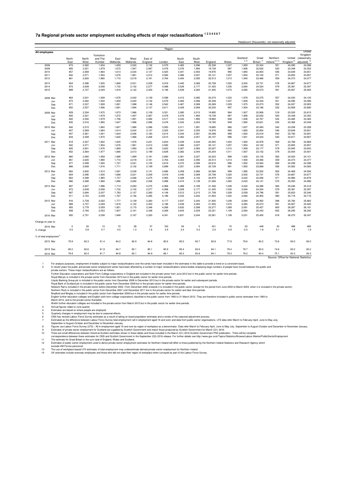#### **7a Regional private sector employment excluding effects of major reclassifications 1 2 3 4 5 6 7**

|                                    |            |                |                |                |                |                | Region         |                |                |         |              |                  |                       |                          |                                        |                         |
|------------------------------------|------------|----------------|----------------|----------------|----------------|----------------|----------------|----------------|----------------|---------|--------------|------------------|-----------------------|--------------------------|----------------------------------------|-------------------------|
| All employees                      |            |                | Yorkshire      |                |                |                |                |                |                |         |              |                  |                       |                          |                                        | United<br>Kingdom       |
|                                    | North      | North          | and The        | East           | West           | East of        |                | South          | South          |         |              | Scotland<br>9 10 | Great                 | Northern                 |                                        | United (seasonally      |
|                                    | East       | West           | Humber         | Midlands       | Midlands       | England        | London         | East           | West           | England | Wales        |                  | Britain <sup>11</sup> | Ireland <sup>12 13</sup> | Kingdom <sup>14</sup>                  | adjusted) <sup>14</sup> |
| 2008                               | 873        | 2,562          | 1,934          | 1,659          | 2,020          | 2,132          | 3,579          | 3,483          | 2,096          | 20,338  | 1,037        | 1,959            | 23,334                | 551                      | 24,090                                 | 24,096                  |
| 2009                               | 805        | 2,521          | 1,879          | 1,672          | 1,947          | 2,067          | 3,478          | 3,376          | 1,994          | 19,739  | 987          | 1,906            | 22,632                | 520                      | 23,348                                 | 23,352                  |
| 2010                               | 857<br>842 | 2,569<br>2,571 | 1,864<br>1,904 | 1,614<br>1,676 | 2,024          | 2.127<br>2,212 | 3,525<br>3,582 | 3,341          | 2,055<br>2,027 | 19,976  | 995<br>1,007 | 1,883            | 22,854                | 546<br>571               | 23,649                                 | 23,651                  |
| 2011                               | 861        | 2,620          | 1,880          | 1,710          | 1,961<br>2,018 |                | 3,764          | 3,366<br>3,404 | 2,095          | 20,141  | 1,013        | 1,954<br>1,940   | 23,102                | 559                      | 23,855                                 | 23,857                  |
| 2012                               |            |                |                |                |                | 2,161          |                |                |                | 20,513  |              |                  | 23,466                |                          | 24,373                                 | 24,377                  |
| 2013                               | 854        | 2,596          | 1,935          | 1,668          | 2,021          | 2,209          | 3,918          | 3,440          | 2,068          | 20,708  | 1,020        | 2.002            | 23,731                | 576                      | 24,667                                 | 24,677                  |
| 2014                               | 873        | 2,639          | 2,008          | 1,732          | 2,102          | 2,277          | 4,088          | 3,529          | 2,177          | 21,425  | 1,035        | 2,064            | 24,524                | 579                      | 25,381                                 | 25,397                  |
| 2015                               | 889        | 2,727          | 2,049          | 1,818          | 2,122          | 2,303          | 4,196          | 3,549          | 2,283          | 21,935  | 1,073        | 2,065            | 25,073                | 591                      | 25,927                                 | 25,945                  |
| 2008 Mar                           | 863        | 2,541          | 1,928          | 1,676          | 2,042          | 2,129          | 3,598          | 3,412          | 2,085          | 20,274  | 1,023        | 1,978            | 23,275                | 557                      | 24,030                                 | 24,120                  |
| Jun                                | 873        | 2,562          | 1,934          | 1,659          | 2,020          | 2,132          | 3,579          | 3,483          | 2,096          | 20,338  | 1,037        | 1,959            | 23,334                | 551                      | 24,090                                 | 24,096                  |
| Sep                                | 871        | 2,537          | 1,928          | 1,691          | 1,998          | 2,146          | 3,542          | 3,467          | 2,088          | 20,269  | 1,029        | 1,975            | 23,273                | 552                      | 24,007                                 | 23,905                  |
| Dec                                | 852        | 2,557          | 1,906          | 1,681          | 1,994          | 2,137          | 3,611          | 3,429          | 2,069          | 20,235  | 997          | 1,954            | 23,186                | 532                      | 23,909                                 | 23,890                  |
| 2009 Mar                           | 829        | 2,534          | 1,870          | 1,673          | 1,966          | 2,109          | 3,521          | 3,380          | 2,013          | 19,895  | 984          | 1,927            | 22,806                | 518                      | 23,520                                 | 23,615                  |
| Jun                                | 805        | 2,521          | 1,879          | 1,672          | 1,947          | 2,067          | 3,478          | 3,376          | 1,994          | 19,739  | 987          | 1,906            | 22,632                | 520                      | 23,348                                 | 23,352                  |
| Sep                                | 820        | 2,550          | 1,879          | 1,706          | 1,991          | 2,082          | 3,517          | 3,343          | 1,995          | 19,883  | 948          | 1,936            | 22,767                | 532                      | 23,482                                 | 23,384                  |
| Dec                                | 835        | 2,516          | 1,885          | 1,647          | 1,996          | 2,086          | 3,478          | 3,333          | 2,003          | 19,780  | 949          | 1,892            | 22,621                | 535                      | 23,366                                 | 23,348                  |
| 2010 Mar                           | 842        | 2,515          | 1,862          | 1,607          | 1,966          | 2,086          | 3,500          | 3,311          | 1,991          | 19,680  | 966          | 1,837            | 22,483                | 542                      | 23,258                                 | 23,358                  |
| Jun                                | 857        | 2,569          | 1,864          | 1,614          | 2,024          | 2,127          | 3,525          | 3,341          | 2,055          | 19,976  | 995          | 1,883            | 22,854                | 546                      | 23,649                                 | 23,651                  |
| Sep                                | 847        | 2,561          | 1,841          | 1,644          | 2,006          | 2,160          | 3,614          | 3,344          | 2,081          | 20,098  | 999          | 1,922            | 23,018                | 543                      | 23,792                                 | 23,691                  |
| Dec                                | 834        | 2,558          | 1,870          | 1,640          | 1,966          | 2,206          | 3,615          | 3,362          | 2,057          | 20,107  | 996          | 1,931            | 23,034                | 540                      | 23,817                                 | 23,807                  |
| 2011 Mar                           | 818        | 2,527          | 1,852          | 1,645          | 1,976          | 2,231          | 3,633          | 3,339          | 2,034          | 20,055  | 1,003        | 1,920            | 22,978                | 558                      | 23,768                                 | 23,869                  |
| Jun                                | 842        | 2,571          | 1,904          | 1,676          | 1,961          | 2,212          | 3,582          | 3,366          | 2,027          | 20,141  | 1,007        | 1,954            | 23,102                | 571                      | 23,855                                 | 23,857                  |
| Sep                                | 835        | 2,601          | 1,876          | 1,669          | 1,993          | 2,185          | 3,622          | 3,367          | 2,060          | 20,207  | 1,012        | 1,958            | 23,177                | 579                      | 23,945                                 | 23,843                  |
| Dec                                | 852        | 2,564          | 1,877          | 1,666          | 2,013          | 2,189          | 3,638          | 3,362          | 2,044          | 20,204  | 1,011        | 1,937            | 23,152                | 578                      | 23,934                                 | 23,931                  |
| 2012 Mar                           | 860        | 2,560          | 1,858          | 1,686          | 1,999          | 2,181          | 3,690          | 3,361          | 2,027          | 20,223  | 988          | 1,925            | 23,135                | 562                      | 24,003                                 | 24,101                  |
| Jun                                | 861        | 2,620          | 1,880          | 1,710          | 2,018          | 2,161          | 3,764          | 3,404          | 2,095          | 20,513  | 1,013        | 1,940            | 23,466                | 559                      | 24,373                                 | 24,377                  |
| Sep                                | 877        | 2,599          | 1,930          | 1,727          | 2,041          | 2,155          | 3,819          | 3,372          | 2,096          | 20,616  | 996          | 1,952            | 23,564                | 568                      | 24,499                                 | 24,396                  |
| Dec                                | 866        | 2,608          | 1,916          | 1,711          | 2,102          | 2,189          | 3,899          | 3,351          | 2,084          | 20,728  | 991          | 1,950            | 23,668                | 556                      | 24,562                                 | 24,560                  |
| 2013 Mar                           | 862        | 2,600          | 1,914          | 1,691          | 2,038          | 2.141          | 3,896          | 3,359          | 2,066          | 20.568  | 999          | 1.985            | 23,552                | 563                      | 24,469                                 | 24,556                  |
| Jun                                | 854        | 2,596          | 1,935          | 1,668          | 2,021          | 2,209          | 3,918          | 3,440          | 2,068          | 20,708  | 1,020        | 2,002            | 23,731                | 576                      | 24,667                                 | 24,677                  |
| Sep                                | 863        | 2,598          | 1,965          | 1,727          | 2,066          | 2,275          | 3,955          | 3,428          | 2,102          | 20,979  | 1,054        | 2,022            | 24,056                | 571                      | 24,980                                 | 24,878                  |
| Dec                                | 866        | 2,588          | 1,968          | 1,686          | 2,082          | 2,256          | 3,998          | 3,474          | 2,138          | 21,056  | 1,062        | 2,023            | 24,141                | 572                      | 25,000                                 | 24,996                  |
| 2014 Mar                           | 887        | 2,627          | 1,996          | 1,714          | 2,083          | 2,275          | 4,068          | 3,488          | 2,189          | 21,326  | 1,038        | 2,022            | 24,386                | 583                      | 25,236                                 | 25,318                  |
| Jun                                | 873        | 2,639          | 2,008          | 1,732          | 2,102          | 2,277          | 4,088          | 3,529          | 2,177          | 21,425  | 1,035        | 2,064            | 24,524                | 579                      | 25,381                                 | 25,397                  |
| Sep                                | 907        | 2,694          | 2,037          | 1,783          | 2,127          | 2,283          | 4,148          | 3,512          | 2,215          | 21,708  | 1,028        | 2,059            | 24,796                | 591                      | 25,653                                 | 25,546                  |
| Dec                                | 911        | 2,723          | 2,039          | 1,767          | 2,156          | 2,285          | 4,186          | 3,534          | 2,202          | 21,803  | 1,042        | 2,060            | 24,905                | 580                      | 25,718                                 | 25,716                  |
| 2015 Mar                           | 916        | 2,729          | 2,022          | 1,777          | 2,139          | 2,283          | 4,177          | 3,547          | 2,240          | 21,830  | 1,038        | 2,084            | 24,952                | 588                      | 25,782                                 | 25,862                  |
| Jun                                | 889        | 2,727          | 2,049          | 1,818          | 2,122          | 2,303          | 4,196          | 3,549          | 2,283          | 21,935  | 1,073        | 2,065            | 25,073                | 591                      | 25,927                                 | 25,945                  |
| Sep                                | 905        | 2,778          | 2,059          | 1,821          | 2,170          | 2,346          | 4,268          | 3,632          | 2,298          | 22,277  | 1,069        | 2,081            | 25,427                | 600                      | 26,287                                 | 26,181                  |
| Dec                                | 938        | 2,784          | 2,053          | 1,837          | 2,161          | 2,338          | 4,269          | 3,643          | 2,229          | 22,251  | 1,109        | 2,083            | 25,443                | 602                      | 26,295                                 | 26,292                  |
| 2016 Mar                           | 920        | 2,751          | 2,038          | 1,848          | 2,167          | 2,320          | 4,341          | 3,631          | 2,244          | 22,261  | 1,108        | 2,031            | 25,400                | 618                      | 26,270                                 | 26,347                  |
| Change on year to:                 |            |                |                |                |                |                |                |                |                |         |              |                  |                       |                          |                                        |                         |
| 2016 Mar                           | 5          | 22             | 15             | 72             | 28             | 37             | 163            | 84             | 5              | 431     | 70           | $-53$            | 448                   | 30                       | 488                                    | 485                     |
| % change                           | 0.5        | 0.8            | 0.7            | 4.0            | 1.3            | 1.6            | 3.9            | 2.4            | 0.2            | 2.0     | 6.8          | $-2.5$           | 1.8                   | 5.1                      | 1.9                                    | 1.9                     |
| % of total employment <sup>8</sup> |            |                |                |                |                |                |                |                |                |         |              |                  |                       |                          |                                        |                         |
| 2015 Mar                           | 79.9       | 82.3           | 81.4           | 84.2           | 82.9           | 84.8           | 85.6           | 85.0           | 83.7           | 83.8    | 77.8         | 79.6             | 83.2                  | 73.6                     | 83.0                                   | 83.0                    |
| 2015 Dec                           | 80.2       | 82.6           | 81.9           | 84.7           | 83.1           | 85.1           | 85.9           | 85.4           | 83.6           | 84.1    | 79.4         | 79.7             | 83.5                  | 74.6                     | 83.3                                   | 83.2                    |
| 2016 Mar                           | 79.9       | 82.4           | 81.7           | 84.8           | 83.1           | 84.9           | 86.1           | 85.3           | 83.8           | 84.1    | 79.3         | 79.2             | 83.4                  | 75.1                     | 83.3                                   | 83.3                    |
|                                    |            |                |                |                |                |                |                |                |                |         |              |                  |                       |                          | Source: Office for National Statistics |                         |

Headcount (thousands), not seasonally adjusted

f For analysis purposes, employment of bodies subject to major reclassifications over the series have been included in the estimates in this table to provide a trend on a consistent basis.<br>In recent years the public and p

measure the major reclassifications are as follows:<br>private sectors. These major reclassifications are as follows:<br>Further Education corporations and Sixth Form College corporations in England are included in the private s

Further Education corporations and Sixth Form College corporations in England are included in the private sector for earlier time periods.<br>Boyal Mall pic is included in the public sector from December 2013 but in the publi

Welsh further education colleges are included in the private sector from March 2015 but in the public sector for earlier time periods.

3 Annual figures relate to June quarter. 4 Estimates are based on where people are employed.

5 Quarterly changes in employment may be due to seasonal effects. 6 ONS has revised Labour Force Survey estimates as a result of taking on board population estimates and a review of the seasonal adjustment process.

Seinand as the difference between Labour Frore Survey total employment (all in employment aged 16 and over) and data from public sector organisations. LFS data refer March to February-April, June to May-July, September to

fistimates of public sector employment used to derive private sector employment estimates for Northern Ireland will differ to those published by the Northern Ireland Statistics and Research Agency which<br>exclude HM Forces

13 The use of workplace based LFS estimates of total employment may underestimate derived private sector employment for Northern Ireland.<br>14 UK estimates include overseas employees and those who did not state their region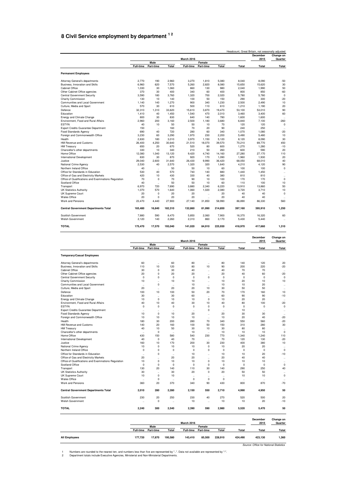#### **8 Civil Service employment by department 1 2**

|                                                      |                  |                      |         |                   |                      |         | Headcount, Great Britain, not seasonally adjusted |                         |                      |
|------------------------------------------------------|------------------|----------------------|---------|-------------------|----------------------|---------|---------------------------------------------------|-------------------------|----------------------|
|                                                      |                  |                      |         | <b>March 2016</b> |                      |         |                                                   | <b>December</b><br>2015 | Change on<br>Quarter |
|                                                      |                  | Male                 |         |                   | Female               |         |                                                   |                         |                      |
|                                                      | <b>Full-time</b> | Part-time            | Total   | <b>Full-time</b>  | Part-time            | Total   | Total                                             | Total                   | Total                |
| <b>Permanent Employees</b>                           |                  |                      |         |                   |                      |         |                                                   |                         |                      |
| Attorney General's departments                       | 2.770            | 190                  | 2.960   | 3.270             | 1,810                | 5,080   | 8.040                                             | 8.090                   | $-50$                |
| Business, Innovation and Skills                      | 6.960            | 620                  | 7.570   | 5.260             | 2.820                | 8.080   | 15.650                                            | 15.620                  | 30                   |
| Cabinet Office                                       | 1.030            | 30                   | 1.060   | 860               | 130                  | 980     | 2.040                                             | 1,990                   | 50                   |
| Other Cabinet Office agencies                        | 370              | 30                   | 400     | 340               | 60                   | 400     | 800                                               | 850                     | $-60$                |
| Central Government Security                          | 3.590            | 180                  | 3.760   | 1.320             | 700                  | 2.020   | 5.780                                             | 5,780                   | $\mathbf 0$          |
| <b>Charity Commission</b>                            | 130              | 10                   | 140     | 100               | 50                   | 150     | 290                                               | 300                     | $-20$                |
| Communities and Local Government                     | 1,140            | 140                  | 1,270   | 900               | 340                  | 1.230   | 2.500                                             | 2.490                   | 10                   |
| Culture, Media and Sport                             | 570              | 30                   | 610     | 500               | 110                  | 610     | 1.210                                             | 1.190                   | 20                   |
| Defence                                              | 32.310           | 1.310                | 33.620  | 15.610            | 3.870                | 19.470  | 53.100                                            | 53.010                  | 90                   |
| Education                                            | 1.410            | 40                   | 1.450   | 1.540             | 470                  | 2.010   | 3.460                                             | 3.400                   | 60                   |
| Energy and Climate Change                            | 800              | 30                   | 830     | 640               | 140                  | 780     | 1.600                                             | 1,600                   | $\ddotsc$            |
| Environment, Food and Rural Affairs                  | 2.960            | 200                  | 3,160   | 2,500             | 1,180                | 3,680   | 6,840                                             | 7,100                   | $-260$               |
| <b>ESTYN</b>                                         | 40               | 10                   | 50      | 50                | 10                   | 70      | 120                                               | 120                     | $\mathbf 0$          |
| <b>Export Credits Guarantee Department</b>           | 150              | $\ddot{\phantom{a}}$ | 160     | 70                | 20                   | 90      | 240                                               | 250                     | $\ddot{\phantom{0}}$ |
| <b>Food Standards Agency</b>                         | 690              | 40                   | 720     | 280               | 60                   | 340     | 1.070                                             | 1.080                   | $-20$                |
| Foreign and Commonwealth Office                      | 3.230            | 60                   | 3.290   | 1,970             | 230                  | 2,200   | 5.490                                             | 5,480                   | 10                   |
| Health                                               | 2.830            | 180                  | 3.010   | 3.970             | 1.150                | 5.120   | 8.120                                             | 8.090                   | 30                   |
| <b>HM Revenue and Customs</b>                        | 26,400           | 4,250                | 30,640  | 21,510            | 18,070               | 39,570  | 70,210                                            | 69,770                  | 450                  |
| <b>HM Treasurv</b>                                   | 650              | 20                   | 670     | 520               | 80                   | 600     | 1.270                                             | 1.280                   | $-10$                |
| Chancellor's other departments                       | 330              | 10                   | 340     | 210               | 50                   | 260     | 600                                               | 590                     | 20                   |
| Home Office                                          | 12.080           | 1.040                | 13.120  | 9,420             | 4.740                | 14,160  | 27,280                                            | 27,170                  | 110                  |
| International Development                            | 830              | 30                   | 870     | 920               | 170                  | 1,090   | 1,960                                             | 1,930                   | 20                   |
| Justice                                              | 29.040           | 2.600                | 31.640  | 26.430            | 9.990                | 36.420  | 68.050                                            | 68.010                  | 40                   |
| National Crime Agency                                | 2.530            | 40                   | 2.570   | 1.320             | 320                  | 1.640   | 4,210                                             | 4.120                   | 90                   |
| Northern Ireland Office                              | 40               | $\ddot{\phantom{a}}$ | 50      | 50                | 10                   | 60      | 100                                               | 100                     | $\Omega$             |
| Office for Standards in Education                    | 530              | 40                   | 570     | 740               | 140                  | 880     | 1.440                                             | 1.450                   | $\ddot{\phantom{0}}$ |
| Office of Gas and Electricity Markets                | 420              | 10                   | 430     | 330               | 40                   | 380     | 810                                               | 810                     | $\ddot{\phantom{0}}$ |
| Office of Qualifications and Examinations Regulation | 70               | $\mathbf 0$          | 70      | 90                | 10                   | 100     | 170                                               | 170                     | $\mathbf 0$          |
| Scotland Office                                      | 40               | $\ddotsc$            | 50      | 50                | 10                   | 60      | 110                                               | 100                     | 10                   |
| Transport                                            | 6.970            | 720                  | 7.690   | 3.880             | 2.340                | 6.220   | 13.910                                            | 13.860                  | 50                   |
| <b>UK Statistics Authority</b>                       | 1.070            | 570                  | 1.640   | 1.060             | 1,020                | 2,080   | 3.720                                             | 3.710                   | 10                   |
| <b>UK Supreme Court</b>                              | 20               | $\mathbf 0$          | 20      | 20                | $\ddot{\phantom{a}}$ | 20      | 40                                                | 40                      | $\Omega$             |
| <b>Wales Office</b>                                  | 20               | $\mathbf 0$          | 20      | 20                | $\ddot{\phantom{a}}$ | 20      | 40                                                | 40                      |                      |
| Work and Pensions                                    | 23.470           | 4,440                | 27.900  | 27.140            | 31,850               | 58.990  | 86.890                                            | 86.330                  | 560                  |
| <b>Central Government Departments Total</b>          | 165.480          | 16.840               | 182,310 | 132,860           | 81,990               | 214,850 | 397,160                                           | 395.910                 | 1.250                |
| Scottish Government                                  | 7,880            | 590                  | 8,470   | 5,850             | 2,060                | 7,900   | 16,370                                            | 16,320                  | 60                   |
| <b>Welsh Government</b>                              | 2.120            | 140                  | 2.260   | 2,310             | 860                  | 3.170   | 5.430                                             | 5.440                   | ٠.                   |
| <b>TOTAL</b>                                         | 175,470          | 17,570               | 193,040 | 141,020           | 84.910               | 225,930 | 418,970                                           | 417,660                 | 1.310                |

|                                                      |                      |                      |                      | <b>March 2016</b>    |                      |                      |             | December<br>2015 | Change on<br>Quarter |
|------------------------------------------------------|----------------------|----------------------|----------------------|----------------------|----------------------|----------------------|-------------|------------------|----------------------|
|                                                      |                      | Male                 |                      |                      | Female               |                      |             |                  |                      |
|                                                      | <b>Full-time</b>     | Part-time            | Total                | <b>Full-time</b>     | Part-time            | Total                | Total       | Total            | Total                |
| <b>Temporary/Casual Employees</b>                    |                      |                      |                      |                      |                      |                      |             |                  |                      |
| Attorney General's departments                       | 60                   | $\ddot{\phantom{a}}$ | 60                   | 80                   | $\ddot{\phantom{a}}$ | 80                   | 140         | 120              | 20                   |
| Business, Innovation and Skills                      | 110                  | 10                   | 120                  | 80                   | 10                   | 90                   | 200         | 220              | $-20$                |
| Cabinet Office                                       | 30                   | $\mathbf 0$          | 30                   | 40                   | $\ddotsc$            | 40                   | 70          | 70               | ٠.                   |
| Other Cabinet Office agencies                        | 20                   | 0                    | 20                   | 20                   | $\ddot{\phantom{a}}$ | 20                   | 40          | 60               | $-20$                |
| Central Government Security                          | $\mathbf 0$          | $\mathbf 0$          | $\mathbf 0$          | $\mathbf 0$          | 0                    | $\mathbf 0$          | $\mathbf 0$ | $\mathbf 0$      | $\mathbf 0$          |
| <b>Charity Commission</b>                            | 10                   | $\ddot{\phantom{a}}$ | 10                   | 10                   | $\ddot{\phantom{a}}$ | 10                   | 20          | 10               | 10                   |
| Communities and Local Government                     | $\ddot{\phantom{a}}$ | $\mathbf 0$          | $\ddot{\phantom{a}}$ | 10                   | $\ddot{\phantom{a}}$ | 10                   | 10          | 20               | $\ddotsc$            |
| Culture, Media and Sport                             | 20                   | $\ddot{\phantom{a}}$ | 20                   | 20                   | 10                   | 30                   | 50          | 50               | $\ddotsc$            |
| Defence                                              | 100                  | 10                   | 100                  | 50                   | 20                   | 70                   | 170         | 160              | 10                   |
| Education                                            | 30                   | $\ddot{\phantom{0}}$ | 30                   | 60                   | $\ddot{\phantom{a}}$ | 60                   | 90          | 90               | $-10$                |
| Energy and Climate Change                            | 10                   | $\mathbf 0$          | 10                   | 10                   | $\Omega$             | 10                   | 20          | 20               | $\ddot{\phantom{a}}$ |
| Environment, Food and Rural Affairs                  | 40                   | 10                   | 40                   | 30                   | 10                   | 40                   | 80          | 100              | $-20$                |
| <b>ESTYN</b>                                         | $\mathbf 0$          | $\mathbf 0$          | 0                    | $^{\circ}$           | $\mathbf 0$          | $\mathbf 0$          | $\mathbf 0$ | $\mathbf 0$      | $\mathbf 0$          |
| <b>Export Credits Guarantee Department</b>           | $\ddot{\phantom{0}}$ | $\ddot{\phantom{a}}$ | $\ddot{\phantom{a}}$ | $\ddot{\phantom{a}}$ | $\mathbf 0$          | $\ddot{\phantom{a}}$ | 10          | $\ddotsc$        | $\ddot{\phantom{a}}$ |
| Food Standards Agency                                | 10                   | $\mathbf 0$          | 10                   | 20                   | $\ddot{\phantom{a}}$ | 20                   | 30          | 30               | $\ddot{\phantom{a}}$ |
| Foreign and Commonwealth Office                      | 10                   | 10                   | 10                   | 10                   | $\ddotsc$            | 10                   | 20          | 40               | $-20$                |
| Health                                               | 180                  | 30                   | 200                  | 280                  | 70                   | 340                  | 550         | 560              | $-20$                |
| HM Revenue and Customs                               | 140                  | 20                   | 160                  | 100                  | 50                   | 150                  | 310         | 280              | 30                   |
| <b>HM Treasury</b>                                   | 40                   | 10                   | 50                   | 30                   | 10                   | 30                   | 80          | 80               | ٠.                   |
| Chancellor's other departments                       | $\ddot{\phantom{a}}$ | $\mathbf 0$          | $\ddot{\phantom{a}}$ | 10                   | $\ddot{\phantom{a}}$ | 10                   | 10          | 10               | $\mathbf 0$          |
| Home Office                                          | 430                  | 150                  | 580                  | 540                  | 230                  | 770                  | 1,340       | 1.240            | 110                  |
| International Development                            | 40                   | $\mathbf 0$          | 40                   | 70                   | $\ddot{\phantom{a}}$ | 70                   | 120         | 130              | $-20$                |
| Justice                                              | 160                  | 10                   | 170                  | 200                  | 30                   | 230                  | 400         | 380              | 10                   |
| National Crime Agency                                | 10                   | $\mathbf 0$          | 10                   | 10                   | $\mathbf 0$          | 10                   | 20          | 20               | $\ddotsc$            |
| Northern Ireland Office                              | $\mathbf 0$          | $\mathbf 0$          | 0                    | $\mathbf 0$          | $\mathbf 0$          | $\mathbf 0$          | $\mathbf 0$ | $\mathbf 0$      | $\mathbf 0$          |
| Office for Standards in Education                    | $\ddot{\phantom{a}}$ | $\mathbf 0$          | $\ddot{\phantom{a}}$ | 10                   | $\ddot{\phantom{a}}$ | 10                   | 10          | 20               | $-10$                |
| Office of Gas and Electricity Markets                | 20                   | $\ddot{\phantom{a}}$ | 20                   | 20                   | $\ddot{\phantom{a}}$ | 20                   | 40          | 40               | $\ldots$             |
| Office of Qualifications and Examinations Regulation | 10                   | $\mathbf 0$          | 10                   | 10                   | $\mathbf 0$          | 10                   | 10          | 10               | $\ddotsc$            |
| Scotland Office                                      | $\Omega$             | $\mathbf 0$          | $\Omega$             | $\Omega$             | $\Omega$             | $\Omega$             | $\Omega$    | $\Omega$         | $\mathbf 0$          |
| Transport                                            | 130                  | 20                   | 140                  | 110                  | 30                   | 140                  | 290         | 250              | 40                   |
| <b>UK Statistics Authority</b>                       | 30                   | $\ddot{\phantom{0}}$ | 30                   | 20                   | $\Omega$             | 20                   | 50          | 50               | $\ddot{\phantom{a}}$ |
| UK Supreme Court                                     | 10                   | $\mathbf 0$          | 10                   | $\ddot{\phantom{0}}$ | $\ddot{\phantom{0}}$ | $\ddot{\phantom{0}}$ | 10          | 10               | $\mathbf 0$          |
| <b>Wales Office</b>                                  | $\ddot{\phantom{0}}$ | $\mathbf 0$          | $\ddot{\phantom{a}}$ | $\mathbf 0$          | $\mathbf 0$          | $\mathbf 0$          |             | $\ddotsc$        |                      |
| Work and Pensions                                    | 360                  | 20                   | 370                  | 340                  | 90                   | 430                  | 800         | 870              | $-70$                |
|                                                      |                      |                      |                      |                      |                      |                      |             |                  |                      |
| <b>Central Government Departments Total</b>          | 2.010                | 280                  | 2.280                | 2.150                | 550                  | 2.710                | 4.990       | 4.950            | 50                   |
| Scottish Government                                  | 230                  | 20                   | 250                  | 230                  | 40                   | 270                  | 520         | 500              | 20                   |
| Welsh Government                                     | $\ddot{\phantom{a}}$ | 0                    | $\ddot{\phantom{a}}$ | 10                   | $\ddotsc$            | 10                   | 10          | 20               | $-10$                |
| <b>TOTAL</b>                                         | 2,240                | 300                  | 2,540                | 2,390                | 590                  | 2,980                | 5,520       | 5,470            | 50                   |
|                                                      |                      |                      |                      |                      |                      |                      |             | December         | Change on            |

|                      |                  | <b>March 2016</b> |         |                  |           |         |         | ----------<br>2015 | <br>Quarter |
|----------------------|------------------|-------------------|---------|------------------|-----------|---------|---------|--------------------|-------------|
|                      |                  | Male              |         |                  | Female    |         |         |                    |             |
|                      | <b>Full-time</b> | Part-time         | Total   | <b>Full-time</b> | Part-time | Total   | Total   | Total              | Total       |
| <b>All Employees</b> | 177.720          | 17.870            | 195.580 | 143.410          | 85,500    | 228.910 | 424.490 | 423.130            | 1,360       |

Source: Office for National Statistics

1 Numbers are rounded to the nearest ten, and numbers less than five are represented by "..". Data not available are represented by "-".<br>2 Department totals include Executive Agencies, Ministerial and Non-Ministerial Depar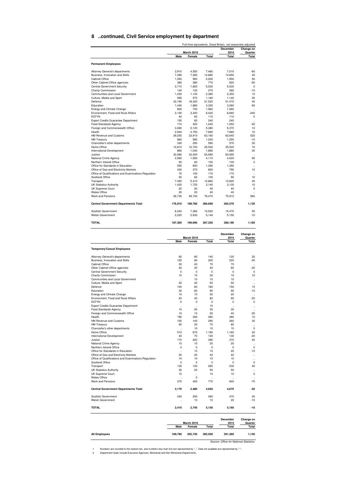#### **8 ..continued, Civil Service employment by department**

|                                                                                                                                    |                            |                            |                 | Full-time equivalents, Great Britain, not seasonally adjusted<br>December | Change on                                    |
|------------------------------------------------------------------------------------------------------------------------------------|----------------------------|----------------------------|-----------------|---------------------------------------------------------------------------|----------------------------------------------|
|                                                                                                                                    |                            | March 2016                 |                 | 2015                                                                      | Quarter                                      |
|                                                                                                                                    | Male                       | Female                     | Total           | Total                                                                     | Total                                        |
| <b>Permanent Employees</b>                                                                                                         |                            |                            |                 |                                                                           |                                              |
| Attorney General's departments<br>Business, Innovation and Skills                                                                  | 2,910<br>7,390             | 4,550<br>7,290             | 7,460<br>14,680 | 7,510<br>14,650                                                           | -60<br>40                                    |
| <b>Cabinet Office</b>                                                                                                              | 1,050                      | 950                        | 2,000           | 1,950                                                                     | 50                                           |
| Other Cabinet Office agencies                                                                                                      | 380                        | 380                        | 770             | 820                                                                       | -50                                          |
| <b>Central Government Security</b>                                                                                                 | 3,710<br>140               | 1,820<br>130               | 5,530<br>270    | 5,530<br>280                                                              | 0<br>$-10$                                   |
| <b>Charity Commission</b><br>Communities and Local Government                                                                      | 1,230                      | 1,140                      | 2,360           | 2,350                                                                     | 10                                           |
| Culture, Media and Sport                                                                                                           | 590                        | 570                        | 1,160           | 1,140                                                                     | 20                                           |
| Defence<br>Education                                                                                                               | 33,190<br>1,440            | 18,320<br>1,880            | 51,520<br>3,320 | 51,470<br>3,260                                                           | 40<br>60                                     |
| Energy and Climate Change                                                                                                          | 820                        | 740                        | 1,560           | 1,560                                                                     | $\ddot{\phantom{a}}$                         |
| Environment, Food and Rural Affairs                                                                                                | 3,100                      | 3,320                      | 6,420           | 6,660                                                                     | $-240$                                       |
| <b>FSTYN</b><br>Export Credits Guarantee Department                                                                                | 40<br>150                  | 60<br>80                   | 110<br>240      | 110<br>240                                                                | 0<br>$\ddot{\phantom{a}}$                    |
| Food Standards Agency                                                                                                              | 710                        | 320                        | 1,040           | 1,050                                                                     | $-20$                                        |
| Foreign and Commonwealth Office                                                                                                    | 3,260                      | 2,120                      | 5,380           | 5,370                                                                     | 10                                           |
| Health<br>HM Revenue and Customs                                                                                                   | 2,940<br>29,250            | 4,750<br>33,910            | 7,690<br>63,160 | 7,680<br>62,640                                                           | 10<br>520                                    |
| <b>HM Treasury</b>                                                                                                                 | 660                        | 580                        | 1,240           | 1,250                                                                     | $-10$                                        |
| Chancellor's other departments                                                                                                     | 330                        | 250                        | 590             | 570                                                                       | 20                                           |
| Home Office                                                                                                                        | 12,810                     | 12,720                     | 25,530          | 25,520                                                                    | 10                                           |
| International Development<br>Justice                                                                                               | 860<br>30,580              | 1,040<br>33,000            | 1,890<br>63,590 | 1,880<br>63,590                                                           | 20<br>$\ddot{\phantom{0}}$                   |
| National Crime Agency                                                                                                              | 2,560                      | 1,550                      | 4,110           | 4.020                                                                     | 90                                           |
| Northern Ireland Office                                                                                                            | 50                         | 60                         | 100             | 100                                                                       | 0                                            |
| Office for Standards in Education<br>Office of Gas and Electricity Markets                                                         | 550<br>430                 | 830<br>370                 | 1,390<br>800    | 1,390<br>790                                                              | $\ddot{\phantom{0}}$<br>10                   |
| Office of Qualifications and Examinations Regulation                                                                               | 70                         | 100                        | 170             | 170                                                                       |                                              |
| Scotland Office                                                                                                                    | 50                         | 60                         | 100             | 90                                                                        | 10                                           |
| Transport                                                                                                                          | 7,450                      | 5,410                      | 12,860          | 12,820                                                                    | 40<br>10                                     |
| <b>UK Statistics Authority</b><br>UK Supreme Court                                                                                 | 1,420<br>20                | 1,720<br>20                | 3,140<br>40     | 3,130<br>40                                                               | 0                                            |
| <b>Wales Office</b>                                                                                                                | 20                         | 20                         | 40              | 40                                                                        |                                              |
| Work and Pensions                                                                                                                  | 26,730                     | 49.740                     | 76,470          | 75,910                                                                    | 560                                          |
| <b>Central Government Departments Total</b>                                                                                        | 176,910                    | 189,780                    | 366,690         | 365,570                                                                   | 1,130                                        |
| Scottish Government<br>Welsh Government                                                                                            | 8,240<br>2,220             | 7,280<br>2,930             | 15,520<br>5,140 | 15,470<br>5,150                                                           | 50<br>$-10$                                  |
| <b>TOTAL</b>                                                                                                                       | 187,360                    | 199,990                    | 387,350         | 386,190                                                                   | 1,160                                        |
|                                                                                                                                    |                            |                            |                 |                                                                           |                                              |
|                                                                                                                                    |                            | March 2016                 |                 | December<br>2015                                                          | Change on<br>Quarter                         |
|                                                                                                                                    | Male                       | Female                     | Total           | Total                                                                     | Total                                        |
| <b>Temporary/Casual Employees</b>                                                                                                  |                            |                            |                 |                                                                           |                                              |
|                                                                                                                                    |                            |                            |                 |                                                                           |                                              |
| Attorney General's departments<br>Business, Innovation and Skills                                                                  | 60<br>120                  | 80<br>80                   | 140<br>200      | 120<br>220                                                                | 20<br>-20                                    |
| Cabinet Office                                                                                                                     | 30                         | 40                         | 70              | 70                                                                        |                                              |
| Other Cabinet Office agencies                                                                                                      | 20                         | 20                         | 40              | 60                                                                        | $-20$                                        |
| <b>Central Government Security</b><br><b>Charity Commission</b>                                                                    | $^{\circ}$<br>10           | 0<br>10                    | 0<br>20         | 0<br>10                                                                   | 0<br>10                                      |
| Communities and Local Government                                                                                                   | $\ddot{\phantom{a}}$       | 10                         | 10              | 10                                                                        | $\ddot{\phantom{0}}$                         |
| Culture, Media and Sport                                                                                                           | 20                         | 30                         | 50              | 50                                                                        | $\ddot{\phantom{0}}$                         |
| Defence<br>Education                                                                                                               | 100<br>30                  | 60<br>60                   | 160<br>90       | 150<br>90                                                                 | 10<br>$-10$                                  |
| Energy and Climate Change                                                                                                          | 10                         | 10                         | 20              | 20                                                                        | $\ddot{\phantom{0}}$                         |
| Environment, Food and Rural Affairs                                                                                                | 40                         | 40                         | 80              | 90                                                                        | $-20$                                        |
| <b>ESTYN</b>                                                                                                                       | 0                          | 0                          | 0<br>10         | 0                                                                         | 0                                            |
| <b>Export Credits Guarantee Department</b><br>Food Standards Agency                                                                | $\ddot{\phantom{a}}$<br>10 | $\ddot{\phantom{a}}$<br>20 | 30              | J.<br>30                                                                  | $\ddot{\phantom{0}}$<br>$\ddot{\phantom{a}}$ |
| Foreign and Commonwealth Office                                                                                                    | 10                         | 10                         | 20              | 40                                                                        | $-20$                                        |
| Health<br>HM Revenue and Customs                                                                                                   | 190                        | 300                        | 480             | 480                                                                       | 10                                           |
| <b>HM Treasurv</b>                                                                                                                 | 150<br>50                  | 140<br>30                  | 290<br>70       | 260<br>80                                                                 | 30<br>$\ddot{\phantom{a}}$                   |
| Chancellor's other departments                                                                                                     | $\ddot{\phantom{0}}$       | 10                         | 10              | 10                                                                        | 0                                            |
| Home Office                                                                                                                        | 510                        | 670                        | 1,190           | 1.160                                                                     | 20                                           |
| International Development<br>Justice                                                                                               | 40<br>170                  | 70<br>220                  | 120<br>390      | 130<br>370                                                                | $-20$<br>20                                  |
| National Crime Agency                                                                                                              | 10                         | 10                         | 20              | 20                                                                        | $\ddot{\phantom{0}}$                         |
| Northern Ireland Office                                                                                                            | 0                          | 0                          | $\mathbf 0$     | 0                                                                         | 0                                            |
| Office for Standards in Education                                                                                                  | $\ddot{\phantom{a}}$       | 10                         | 10              | 20                                                                        | $-10$                                        |
| Office of Gas and Electricity Markets<br>Office of Qualifications and Examinations Regulation                                      | 20<br>10                   | 20<br>10                   | 40<br>10        | 40<br>10                                                                  | $\ddot{\phantom{0}}$<br>$\ddot{\phantom{a}}$ |
| Scotland Office                                                                                                                    | $\Omega$                   | 0                          | $\Omega$        | 0                                                                         | 0                                            |
| Transport                                                                                                                          | 130                        | 130                        | 260             | 230                                                                       | 40                                           |
| <b>UK Statistics Authority</b>                                                                                                     | 30<br>10                   | 20                         | 50<br>10        | 50<br>10                                                                  | $\ddot{\phantom{0}}$<br>0                    |
| UK Supreme Court<br><b>Wales Office</b>                                                                                            |                            | $\ddot{\phantom{a}}$<br>0  |                 |                                                                           |                                              |
|                                                                                                                                    |                            | 400                        | 770             | 840                                                                       | $-70$                                        |
|                                                                                                                                    | 370                        |                            |                 |                                                                           |                                              |
|                                                                                                                                    | 2,170                      | 2,480                      | 4,650           | 4,670                                                                     | -20                                          |
|                                                                                                                                    | 240                        | 250                        | 490             | 470                                                                       | 20                                           |
|                                                                                                                                    | $\ddot{\phantom{a}}$       | 10                         | 10              | 20                                                                        | -10<br>$-10$                                 |
| Work and Pensions<br><b>Central Government Departments Total</b><br>Scottish Government<br><b>Welsh Government</b><br><b>TOTAL</b> | 2,410                      | 2,740                      | 5,150           | 5,160                                                                     |                                              |
|                                                                                                                                    |                            |                            |                 | December                                                                  | Change on                                    |
|                                                                                                                                    | Male                       | March 2016<br>Female       | Total           | 2015<br>Total                                                             | Quarter<br>Total                             |

Source: Office for National Statistics

1 Numbers are rounded to the nearest ten, and numbers less than five are represented by "..". Data not available are represented by "-".<br>2 Department totals include Executive Agencies, Ministerial and Non-Ministerial Depar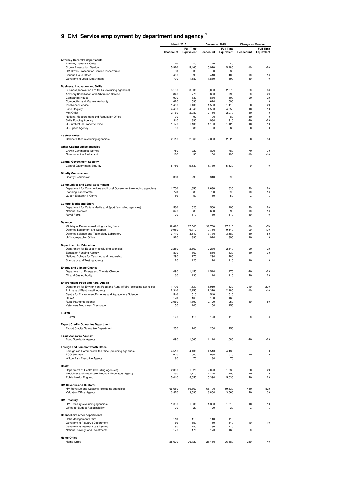| 9 Civil Service employment by department and agency 1 |  |
|-------------------------------------------------------|--|

|                                                                                                | March 2016      |                                | December 2015   |                                | <b>Change on Quarter</b>          |                                |
|------------------------------------------------------------------------------------------------|-----------------|--------------------------------|-----------------|--------------------------------|-----------------------------------|--------------------------------|
|                                                                                                | Headcount       | <b>Full Time</b><br>Equivalent | Headcount       | <b>Full Time</b><br>Equivalent | Headcount                         | <b>Full Time</b><br>Equivalent |
|                                                                                                |                 |                                |                 |                                |                                   |                                |
| <b>Attorney General's departments</b><br>Attorney General's Office                             | 40              | 40                             | 40              | 40                             |                                   |                                |
| Crown Prosecution Service                                                                      | 5,920           | 5,460                          | 5,920           | 5,480                          | $\ddot{\phantom{a}}$<br>$-10$     | $-20$                          |
| HM Crown Prosecution Service Inspectorate<br>Serious Fraud Office                              | 30              | 30                             | 30              | 30                             | $\ddot{\phantom{a}}$              | $\ddot{\phantom{a}}$           |
| Government Legal Department                                                                    | 400<br>1,790    | 390<br>1,680                   | 410<br>1,810    | 400<br>1,690                   | $-10$<br>$-10$                    | $-10$<br>$-10$                 |
|                                                                                                |                 |                                |                 |                                |                                   |                                |
| <b>Business, Innovation and Skills</b><br>Business, Innovation and Skills (excluding agencies) | 3,130           | 3,030                          | 3,060           | 2,970                          | 60                                | 60                             |
| Advisory Conciliation and Arbitration Service                                                  | 840             | 770                            | 860             | 790                            | $-20$                             | $-20$                          |
| Companies House<br>Competition and Markets Authority                                           | 900<br>620      | 830<br>590                     | 880<br>620      | 800<br>590                     | 20<br>$\ddot{\phantom{0}}$        | 20<br>$\mathbf 0$              |
| <b>Insolvency Service</b>                                                                      | 1,480           | 1,400                          | 1,500           | 1,410                          | $-20$                             | $-20$                          |
| <b>Land Registry</b>                                                                           | 4,490           | 4,040                          | 4,500           | 4,050                          | $-10$                             | $-10$                          |
| Met Office<br>National Measurement and Regulation Office                                       | 2,160<br>90     | 2,080<br>90                    | 2,150<br>90     | 2,070<br>80                    | 10<br>10                          | 10<br>10                       |
| <b>Skills Funding Agency</b>                                                                   | 910             | 890                            | 930             | 910                            | $-20$                             | $-20$                          |
| UK Intellectual Property Office<br>UK Space Agency                                             | 1,170<br>80     | 1,100<br>80                    | 1,180<br>80     | 1,120<br>80                    | $-10$<br>0                        | $-10$<br>0                     |
|                                                                                                |                 |                                |                 |                                |                                   |                                |
| <b>Cabinet Office</b><br>Cabinet Office (excluding agencies)                                   | 2,110           | 2,060                          | 2,060           | 2,020                          | 50                                | 50                             |
|                                                                                                |                 |                                |                 |                                |                                   |                                |
| <b>Other Cabinet Office agencies</b>                                                           |                 |                                |                 |                                |                                   |                                |
| Crown Commercial Service<br>Government in Parliament                                           | 750<br>100      | 720<br>90                      | 820<br>100      | 780<br>100                     | $-70$<br>$-10$                    | $-70$<br>$-10$                 |
|                                                                                                |                 |                                |                 |                                |                                   |                                |
| <b>Central Government Security</b><br><b>Central Government Security</b>                       | 5,780           | 5,530                          | 5,780           | 5,530                          | $\mathbf 0$                       | 0                              |
|                                                                                                |                 |                                |                 |                                |                                   |                                |
| <b>Charity Commission</b>                                                                      |                 |                                |                 |                                |                                   |                                |
| <b>Charity Commission</b>                                                                      | 300             | 290                            | 310             | 290                            | $\ddot{\phantom{0}}$              | $\ddotsc$                      |
| <b>Communities and Local Government</b>                                                        |                 |                                |                 |                                |                                   |                                |
| Department for Communities and Local Government (excluding agencies)<br>Planning Inspectorate  | 1,700<br>770    | 1,650<br>680                   | 1,680<br>780    | 1,630<br>690                   | 20<br>$-10$                       | 20<br>$-10$                    |
| Queen Elizabeth II Centre                                                                      | 50              | 50                             | 50              | 50                             | $\ddotsc$                         | $\ddot{\phantom{a}}$           |
| Culture, Media and Sport                                                                       |                 |                                |                 |                                |                                   |                                |
| Department for Culture Media and Sport (excluding agencies)                                    | 530             | 520                            | 500             | 490                            | 20                                | 20                             |
| <b>National Archives</b>                                                                       | 620             | 580                            | 630             | 590                            | $-10$                             | $-10$                          |
| <b>Royal Parks</b>                                                                             | 120             | 110                            | 110             | 110                            | 10                                | 10                             |
| Defence                                                                                        |                 |                                |                 |                                |                                   |                                |
| Ministry of Defence (excluding trading funds)<br>Defence Equipment and Support                 | 38,680<br>9,950 | 37,540<br>9,710                | 38,760<br>9,760 | 37,610<br>9,540                | $-80$<br>190                      | $-70$<br>170                   |
| Defence Science and Technology Laboratory                                                      | 3,710           | 3,540                          | 3,730           | 3,580                          | $-10$                             | $-50$                          |
| UK Hydrographic Office                                                                         | 920             | 890                            | 920             | 890                            | 10                                | 10                             |
| <b>Department for Education</b>                                                                |                 |                                |                 |                                |                                   |                                |
| Department for Education (excluding agencies)                                                  | 2,250           | 2,160                          | 2,230           | 2,140                          | 20                                | 20                             |
| <b>Education Funding Agency</b><br>National College for Teaching and Leadership                | 890<br>290      | 860<br>270                     | 860<br>290      | 830<br>280                     | 30                                | 30                             |
| Standards and Testing Agency                                                                   | 120             | 120                            | 120             | 110                            | 10                                | 10                             |
|                                                                                                |                 |                                |                 |                                |                                   |                                |
| <b>Energy and Climate Change</b><br>Department of Energy and Climate Change                    | 1,490           | 1,450                          | 1,510           | 1,470                          | $-20$                             | $-20$                          |
| Oil and Gas Authority                                                                          | 130             | 130                            | 110             | 110                            | 20                                | 20                             |
| <b>Environment, Food and Rural Affairs</b>                                                     |                 |                                |                 |                                |                                   |                                |
| Department for Environment Food and Rural Affairs (excluding agencies)                         | 1,700           | 1,630                          | 1,910           | 1,830                          | $-210$                            | $-200$                         |
| Animal and Plant Health Agency<br>Centre for Environment Fisheries and Aquaculture Science     | 2,310<br>540    | 2,150<br>510                   | 2,320<br>540    | 2,160<br>510                   | $-10$                             | $-10$<br>$\ddot{\phantom{0}}$  |
| <b>OFWAT</b>                                                                                   | 170             | 160                            | 160             | 160                            | $\ddot{\phantom{0}}$<br>$\ddotsc$ | $\ddotsc$                      |
| Rural Payments Agency                                                                          | 2,060           | 1,890                          | 2,120           | 1,950                          | $-60$                             | $-50$                          |
| Veterinary Medicines Directorate                                                               | 150             | 140                            | 150             | 150                            |                                   |                                |
| <b>ESTYN</b>                                                                                   |                 |                                |                 |                                |                                   |                                |
| <b>ESTYN</b>                                                                                   | 120             | 110                            | 120             | 110                            | 0                                 | 0                              |
| <b>Export Credits Guarantee Department</b>                                                     |                 |                                |                 |                                |                                   |                                |
| Export Credits Guarantee Department                                                            | 250             | 240                            | 250             | 250                            | $\ddot{\phantom{a}}$              | $\ddotsc$                      |
| <b>Food Standards Agency</b>                                                                   |                 |                                |                 |                                |                                   |                                |
| Food Standards Agency                                                                          | 1,090           | 1,060                          | 1,110           | 1,080                          | $-20$                             | $-20$                          |
| Foreign and Commonwealth Office                                                                |                 |                                |                 |                                |                                   |                                |
| Foreign and Commonwealth Office (excluding agencies)                                           | 4,510           | 4,430                          | 4,510           | 4,430                          |                                   | $\mathbf 0$                    |
| <b>FCO Services</b><br>Wilton Park Executive Agency                                            | 920<br>80       | 900<br>70                      | 930<br>80       | 910<br>70                      | $-10$                             | $-10$<br>$\ddot{\phantom{a}}$  |
|                                                                                                |                 |                                |                 |                                | $\ddot{\phantom{0}}$              |                                |
| Health<br>Department of Health (excluding agencies)                                            | 2,000           |                                | 2,020           | 1,930                          |                                   |                                |
| Medicines and Healthcare Products Regulatory Agency                                            | 1,260           | 1,920<br>1,210                 | 1,240           | 1,190                          | $-20$<br>10                       | $-20$<br>10                    |
| Public Health England                                                                          | 5,410           | 5,050                          | 5,390           | 5,030                          | 20                                | 20                             |
| <b>HM Revenue and Customs</b>                                                                  |                 |                                |                 |                                |                                   |                                |
| HM Revenue and Customs (excluding agencies)                                                    | 66,650          | 59,860                         | 66,190          | 59,330                         | 460                               | 520                            |
| Valuation Office Agency                                                                        | 3,870           | 3,590                          | 3,850           | 3,560                          | 20                                | 30                             |
| <b>HM Treasury</b>                                                                             |                 |                                |                 |                                |                                   |                                |
| HM Treasury (excluding agencies)                                                               | 1,330           | 1,300                          | 1,350           | 1,310                          | $-10$                             | $-10$                          |
| Office for Budget Responsibility                                                               | 20              | 20                             | 20              | 20                             | $\ddot{\phantom{a}}$              |                                |
| Chancellor's other departments                                                                 |                 |                                |                 |                                |                                   |                                |
| Debt Management Office<br>Government Actuary's Department                                      | 110<br>160      | 110<br>150                     | 110<br>150      | 110<br>140                     | $\ddot{\phantom{a}}$<br>10        | 10                             |
| Government Internal Audit Agency                                                               | 180             | 180                            | 180             | 170                            | $\ddot{\phantom{a}}$              | $\ddotsc$                      |
| National Savings and Investments                                                               | 170             | 170                            | 170             | 160                            | $\mathbf 0$                       | $\ddot{\phantom{a}}$           |
| <b>Home Office</b>                                                                             |                 |                                |                 |                                |                                   |                                |
| Home Office                                                                                    | 28,620          | 26,720                         | 28,410          | 26,680                         | 210                               | 40                             |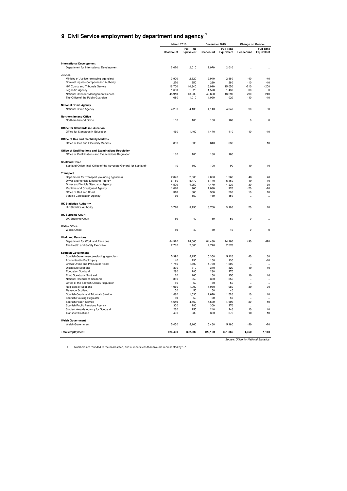#### **9 Civil Service employment by department and agency <sup>1</sup>**

|                                                                                | March 2016      |                                | December 2015   |                                | <b>Change on Quarter</b>               |                                |
|--------------------------------------------------------------------------------|-----------------|--------------------------------|-----------------|--------------------------------|----------------------------------------|--------------------------------|
|                                                                                | Headcount       | <b>Full Time</b><br>Equivalent | Headcount       | <b>Full Time</b><br>Equivalent | Headcount                              | <b>Full Time</b><br>Equivalent |
|                                                                                |                 |                                |                 |                                |                                        |                                |
| <b>International Development</b><br>Department for International Development   | 2,070           | 2,010                          | 2,070           | 2.010                          |                                        |                                |
| Justice                                                                        |                 |                                |                 |                                |                                        |                                |
| Ministry of Justice (excluding agencies)                                       | 2.900           | 2.820                          | 2.940           | 2.860                          | $-40$                                  | $-40$                          |
| Criminal Injuries Compensation Authority                                       | 270             | 250                            | 280             | 260                            | $-10$                                  | $-10$                          |
| HM Courts and Tribunals Service                                                | 16,700          | 14,840                         | 16,910          | 15,050                         | $-210$                                 | $-200$                         |
| Legal Aid Agency<br>National Offender Management Service                       | 1,600<br>45,910 | 1,520<br>43,530                | 1,570<br>45,620 | 1,480<br>43,290                | 30<br>290                              | 30<br>240                      |
| The Office of the Public Guardian                                              | 1,080           | 1,010                          | 1,090           | 1,020                          | $-10$                                  | $-10$                          |
| <b>National Crime Agency</b><br>National Crime Agency                          | 4,230           | 4,130                          | 4,140           | 4.040                          | 90                                     | 90                             |
| Northern Ireland Office                                                        |                 |                                |                 |                                |                                        |                                |
| Northern Ireland Office                                                        | 100             | 100                            | 100             | 100                            | $\mathbf 0$                            | 0                              |
| <b>Office for Standards in Education</b><br>Office for Standards in Education  | 1,460           | 1,400                          | 1,470           | 1,410                          | $-10$                                  | $-10$                          |
|                                                                                |                 |                                |                 |                                |                                        |                                |
| Office of Gas and Electricity Markets<br>Office of Gas and Electricity Markets | 850             | 830                            | 840             | 830                            |                                        | 10                             |
| Office of Qualifications and Examinations Regulation                           |                 |                                |                 |                                |                                        |                                |
| Office of Qualifications and Examinations Regulation                           | 180             | 180                            | 180             | 180                            |                                        |                                |
| <b>Scotland Office</b>                                                         |                 |                                |                 |                                |                                        |                                |
| Scotland Office (incl. Office of the Advocate General for Scotland)            | 110             | 100                            | 100             | 90                             | 10                                     | 10                             |
| <b>Transport</b>                                                               |                 |                                |                 |                                |                                        |                                |
| Department for Transport (excluding agencies)                                  | 2,070           | 2,000                          | 2,020           | 1,960                          | 40                                     | 40                             |
| Driver and Vehicle Licensing Agency                                            | 6,150           | 5,470                          | 6,140           | 5,460                          | 10<br>30                               | 10<br>30                       |
| Driver and Vehicle Standards Agency<br>Maritime and Coastguard Agency          | 4,500<br>1.010  | 4,250<br>960                   | 4,470<br>1.030  | 4,220<br>970                   | $-20$                                  | $-20$                          |
| Office of Rail and Road                                                        | 310             | 300                            | 300             | 290                            | 10                                     | 10                             |
| Vehicle Certification Agency                                                   | 160             | 150                            | 160             | 150                            | $\ddotsc$                              | $\ddot{\phantom{a}}$           |
| <b>UK Statistics Authority</b>                                                 |                 |                                |                 |                                |                                        |                                |
| <b>UK Statistics Authority</b>                                                 | 3.770           | 3.190                          | 3,760           | 3,180                          | 20                                     | 10                             |
| <b>UK Supreme Court</b><br>UK Supreme Court                                    | 50              | 40                             | 50              | 50                             | $\Omega$                               |                                |
| <b>Wales Office</b>                                                            |                 |                                |                 |                                |                                        |                                |
| <b>Wales Office</b>                                                            | 50              | 40                             | 50              | 40                             | $\mathbf 0$                            | 0                              |
| <b>Work and Pensions</b>                                                       |                 |                                |                 |                                |                                        |                                |
| Department for Work and Pensions                                               | 84,920          | 74,660                         | 84,430          | 74,180                         | 490                                    | 490                            |
| The Health and Safety Executive                                                | 2,780           | 2,580                          | 2,770           | 2,570                          | ٠.                                     | $\ddot{\phantom{a}}$           |
| <b>Scottish Government</b><br>Scottish Government (excluding agencies)         | 5,390           | 5,150                          | 5,350           | 5,120                          | 40                                     | 30                             |
| Accountant in Bankruptcy                                                       | 140             | 130                            | 150             | 130                            | $\ddot{\phantom{a}}$                   | $-10$                          |
| Crown Office and Procurator Fiscal                                             | 1.740           | 1,600                          | 1,730           | 1,600                          |                                        |                                |
| Disclosure Scotland                                                            | 330             | 310                            | 340             | 320                            | $-10$                                  | $-10$                          |
| <b>Education Scotland</b>                                                      | 280             | 280                            | 280             | 270                            |                                        |                                |
| Food Standards Scotland                                                        | 160             | 160                            | 150             | 150                            | $10$                                   | 10                             |
| National Records of Scotland                                                   | 380             | 350                            | 380             | 350                            | Ŀ,                                     |                                |
| Office of the Scottish Charity Regulator<br>Registers of Scotland              | 50<br>1,060     | 50<br>1,000                    | 50<br>1,030     | 50<br>980                      | $\ddot{\phantom{a}}$<br>30             | $\ddot{\phantom{a}}$<br>30     |
| Revenue Scotland                                                               | 50              | 50                             | 50              | 40                             |                                        |                                |
| Scottish Courts and Tribunals Service                                          | 1,680           | 1,530                          | 1,670           | 1,520                          | 10                                     | 10                             |
| Scottish Housing Regulator                                                     | 50              | 50                             | 50              | 50                             |                                        |                                |
| Scottish Prison Service                                                        | 4,640           | 4,460                          | 4,670           | 4,500                          | $-30$                                  | $-40$                          |
| Scottish Public Pensions Agency                                                | 300             | 280                            | 300             | 270                            |                                        |                                |
| Student Awards Agency for Scotland                                             | 260             | 250                            | 240             | 240                            | 10                                     | 10                             |
| <b>Transport Scotland</b>                                                      | 400             | 380                            | 380             | 370                            | 10                                     | 10                             |
| <b>Welsh Government</b><br><b>Welsh Government</b>                             | 5,450           | 5,160                          | 5,460           | 5,180                          | $-20$                                  | $-20$                          |
| <b>Total employment</b>                                                        | 424,490         | 392,500                        | 423,130         | 391,360                        | 1,360                                  | 1,140                          |
|                                                                                |                 |                                |                 |                                |                                        |                                |
|                                                                                |                 |                                |                 |                                | Source: Office for National Statistics |                                |

1 Numbers are rounded to the nearest ten, and numbers less than five are represented by "..".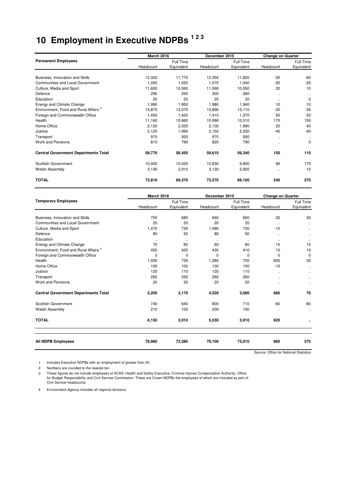### **10 Employment in Executive NDPBs 1 2 3**

|                                                  | <b>March 2016</b> |            |           | December 2015<br><b>Change on Quarter</b> |           |              |
|--------------------------------------------------|-------------------|------------|-----------|-------------------------------------------|-----------|--------------|
| <b>Permanent Employees</b>                       |                   | Full Time  |           | Full Time                                 |           | Full Time    |
|                                                  | Headcount         | Equivalent | Headcount | Equivalent                                | Headcount | Equivalent   |
| Business, Innovation and Skills                  | 12,320            | 11,770     | 12,350    | 11,820                                    | $-30$     | $-60$        |
| <b>Communities and Local Government</b>          | 1,050             | 1,020      | 1,070     | 1.040                                     | $-20$     | $-20$        |
| Culture, Media and Sport                         | 11,600            | 10,560     | 11,590    | 10,550                                    | 20        | 10           |
| Defence                                          | 290               | 250        | 300       | 260                                       | $\ddotsc$ | $\cdot\cdot$ |
| Education                                        | 20                | 20         | 20        | 20                                        | $\ddotsc$ | $\mathbf 0$  |
| Energy and Climate Change                        | 1,990             | 1,950      | 1,980     | 1,940                                     | 10        | 10           |
| Environment, Food and Rural Affairs <sup>4</sup> | 13,870            | 13,070     | 13,890    | 13,110                                    | $-20$     | $-30$        |
| Foreign and Commonwealth Office                  | 1,450             | 1,420      | 1,410     | 1,370                                     | 50        | 50           |
| Health                                           | 11,160            | 10,660     | 10,990    | 10,510                                    | 170       | 150          |
| Home Office                                      | 2,120             | 2,020      | 2,100     | 1,990                                     | 20        | 40           |
| Justice                                          | 2,120             | 1,990      | 2,150     | 2,030                                     | -40       | $-40$        |
| Transport                                        | 970               | 930        | 970       | 930                                       | $\ddotsc$ | $\cdots$     |
| Work and Pensions                                | 810               | 790        | 820       | 790                                       |           | 0            |
| <b>Central Government Departments Total</b>      | 59,770            | 56,450     | 59,610    | 56,340                                    | 150       | 110          |
| Scottish Government                              | 10,920            | 10,020     | 10,830    | 9,850                                     | 90        | 170          |
| <b>Welsh Assembly</b>                            | 3,130             | 2,910      | 3,130     | 2,920                                     | $\ddotsc$ | $-10$        |
| <b>TOTAL</b>                                     | 73,810            | 69,370     | 73,570    | 69,100                                    | 240       | 270          |

|                                                  | <b>March 2016</b> |            |           | December 2015<br><b>Change on Quarter</b> |                      |            |
|--------------------------------------------------|-------------------|------------|-----------|-------------------------------------------|----------------------|------------|
| <b>Temporary Employees</b>                       |                   | Full Time  |           | Full Time                                 |                      | Full Time  |
|                                                  | Headcount         | Equivalent | Headcount | Equivalent                                | Headcount            | Equivalent |
| Business, Innovation and Skills                  | 700               | 680        | 660       | 650                                       | 30                   | 30         |
| <b>Communities and Local Government</b>          | 20                | 20         | 20        | 20                                        | $\ldots$             | $\ddotsc$  |
| Culture, Media and Sport                         | 1,470             | 730        | 1,490     | 730                                       | $-10$                | $\ddotsc$  |
| Defence                                          | 80                | 50         | 80        | 50                                        | $\ddotsc$            |            |
| Education                                        | $\ddotsc$         | $\ldots$   | $\ldots$  | $\ldots$                                  | $\cdot\cdot$         | $\ldots$   |
| Energy and Climate Change                        | 70                | 60         | 60        | 60                                        | 10                   | 10         |
| Environment. Food and Rural Affairs <sup>4</sup> | 450               | 420        | 430       | 410                                       | 10                   | 10         |
| Foreign and Commonwealth Office                  | $\Omega$          | 0          | 0         | 0                                         | $\Omega$             | $\Omega$   |
| Health                                           | 1,930             | 730        | 1,280     | 700                                       | 650                  | 30         |
| Home Office                                      | 100               | 100        | 100       | 100                                       | $-10$                |            |
| Justice                                          | 120               | 110        | 120       | 110                                       | $\ddotsc$            | $\ddotsc$  |
| Transport                                        | 260               | 250        | 260       | 260                                       | $\ddotsc$            |            |
| <b>Work and Pensions</b>                         | 20                | 20         | 20        | 20                                        | $\ddot{\phantom{a}}$ |            |
| <b>Central Government Departments Total</b>      | 5,200             | 3,170      | 4,520     | 3,090                                     | 680                  | 70         |
| <b>Scottish Government</b>                       | 740               | 640        | 800       | 710                                       | $-60$                | $-80$      |
| <b>Welsh Assembly</b>                            | 210               | 100        | 200       | 100                                       | $\cdot\cdot$         | $\ldots$   |
| <b>TOTAL</b>                                     | 6,150             | 3,910      | 5,530     | 3,910                                     | 620                  |            |
| <b>All NDPB Employees</b>                        | 79,960            | 73,280     | 79,100    | 73,010                                    | 860                  | 270        |

Source: Office for National Statistics

1 Includes Executive NDPBs with an employment of greater than 20.

2 Numbers are rounded to the nearest ten.

These figures do not include employees of ACAS, Health and Safety Executive, Criminal Injuries Compensation Authority, Office<br>for Budget Responsibility and Civil Service Commission. These are Crown NDPBs the employees of w Civil Service headcounts.

4 Environment Agency includes all regional divisions.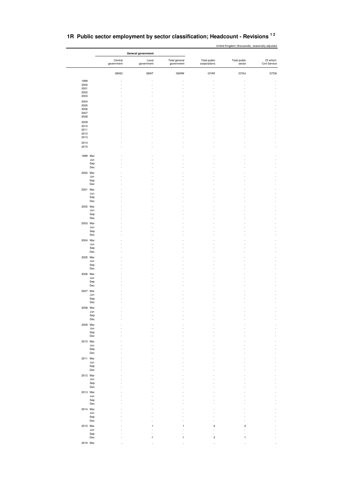|                            |                       | General government   |                             |                              |                        |                            |
|----------------------------|-----------------------|----------------------|-----------------------------|------------------------------|------------------------|----------------------------|
|                            | Central<br>government | Local<br>government  | Total general<br>government | Total public<br>corporations | Total public<br>sector | Of which:<br>Civil Service |
|                            | G6NQ                  | G6NT                 | G6NW                        | G7AR                         | G7AU                   | G7D6                       |
| 1999                       |                       |                      |                             |                              |                        |                            |
| 2000<br>2001               |                       |                      |                             |                              |                        |                            |
| 2002<br>2003               |                       |                      |                             |                              |                        |                            |
| 2004<br>2005               |                       |                      |                             |                              |                        |                            |
| 2006<br>2007               |                       |                      |                             |                              |                        |                            |
| 2008<br>2009               |                       |                      |                             |                              |                        |                            |
| 2010<br>2011               |                       |                      |                             |                              |                        |                            |
| 2012<br>2013               |                       |                      |                             |                              |                        |                            |
| 2014<br>2015               |                       |                      |                             |                              |                        |                            |
| 1999 Mar                   |                       |                      |                             |                              |                        |                            |
| Jun<br>Sep                 |                       |                      |                             |                              |                        |                            |
| Dec<br>2000 Mar            |                       |                      |                             |                              |                        |                            |
| Jun<br>Sep                 |                       |                      |                             |                              |                        |                            |
| Dec<br>2001 Mar            |                       |                      |                             |                              |                        |                            |
| Jun<br>Sep                 |                       |                      |                             |                              |                        |                            |
| $_{\rm Dec}$<br>2002 Mar   |                       |                      |                             |                              |                        |                            |
| Jun<br>Sep                 |                       |                      |                             |                              |                        |                            |
| Dec<br>2003 Mar            |                       |                      |                             |                              |                        |                            |
| Jun<br>Sep                 |                       |                      |                             |                              |                        |                            |
| Dec<br>2004 Mar            |                       |                      |                             |                              |                        |                            |
| Jun<br>Sep                 |                       |                      |                             |                              |                        |                            |
| Dec<br>2005 Mar            |                       |                      |                             |                              |                        |                            |
| Jun<br>Sep                 |                       |                      |                             |                              |                        |                            |
| Dec<br>2006 Mar            |                       |                      |                             |                              |                        |                            |
| Jun<br>Sep<br>Dec          |                       |                      |                             |                              |                        |                            |
| 2007 Mar                   |                       |                      |                             |                              |                        |                            |
| Jun<br>Sep<br>Dec          |                       |                      |                             |                              |                        |                            |
| 2008 Mar                   |                       |                      |                             |                              |                        |                            |
| Jun<br>Sep<br>Dec          |                       |                      |                             |                              |                        |                            |
| 2009 Mar                   |                       |                      |                             |                              |                        |                            |
| Jun<br>Sep<br>$_{\rm Dec}$ |                       |                      |                             |                              |                        |                            |
| 2010 Mar                   |                       |                      |                             |                              |                        |                            |
| Jun<br>Sep<br>Dec          |                       |                      |                             |                              |                        |                            |
| 2011 Mar                   |                       |                      |                             |                              |                        |                            |
| Jun<br>Sep<br>$_{\rm Dec}$ |                       |                      |                             |                              |                        |                            |
| 2012 Mar                   |                       |                      |                             |                              |                        |                            |
| Jun<br>Sep<br>Dec          |                       |                      |                             |                              |                        |                            |
| 2013 Mar<br>Jun            |                       |                      |                             |                              |                        |                            |
| Sep<br>Dec                 |                       |                      |                             |                              |                        |                            |
| 2014 Mar                   |                       |                      |                             |                              |                        |                            |
| Jun<br>Sep<br>$_{\rm Dec}$ |                       |                      |                             |                              |                        |                            |
| 2015 Mar                   |                       | 1                    |                             | 4                            | -3                     |                            |
| Jun<br>Sep<br>$_{\rm Dec}$ |                       | -1                   | -1                          | $\overline{\mathbf{c}}$      |                        |                            |
| 2016 Mar                   | $\ddotsc$             | $\ddot{\phantom{0}}$ | $\ddotsc$                   | $\ddot{\phantom{a}}$         | $\ddotsc$              | $\ddot{\phantom{0}}$       |

#### **1R Public sector employment by sector classification; Headcount - Revisions 1 2**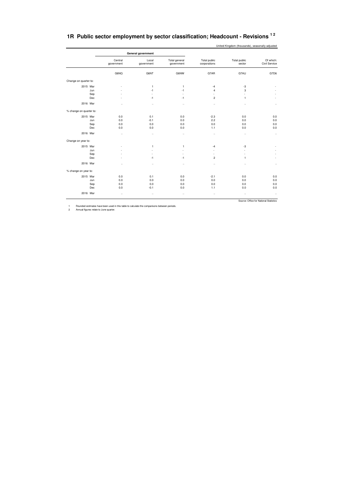| 1R Public sector employment by sector classification; Headcount - Revisions '2 |  |  |  |
|--------------------------------------------------------------------------------|--|--|--|
|                                                                                |  |  |  |

United Kingdom (thousands), seasonally adjusted

|                         |     |                       | General government       |                             |                              |                        |                                        |
|-------------------------|-----|-----------------------|--------------------------|-----------------------------|------------------------------|------------------------|----------------------------------------|
|                         |     | Central<br>government | Local<br>government      | Total general<br>government | Total public<br>corporations | Total public<br>sector | Of which:<br>Civil Service             |
|                         |     | G6NQ                  | G6NT                     | G6NW                        | G7AR                         | G7AU                   | G7D6                                   |
| Change on quarter to:   |     |                       |                          |                             |                              |                        |                                        |
| 2015 Mar                |     | ٠                     | $\mathbf{1}$             | $\mathbf{1}$                | $-4$                         | $-3$                   |                                        |
|                         | Jun | ÷                     | $-1$                     | $-1$                        | $\overline{4}$               | 3                      |                                        |
|                         | Sep | ÷                     | $\overline{\phantom{a}}$ | $\sim$                      | ×.                           | ٠                      |                                        |
|                         | Dec | ä,                    | $-1$                     | $-1$                        | 2                            | $\mathbf{1}$           |                                        |
| 2016 Mar                |     | $\ddotsc$             | $\ddotsc$                | $\ddot{\phantom{0}}$        | $\ddot{\phantom{0}}$         | $\ddot{\phantom{0}}$   | $\ddotsc$                              |
| % change on quarter to: |     |                       |                          |                             |                              |                        |                                        |
| 2015 Mar                |     | 0.0                   | 0.1                      | 0.0                         | $-2.3$                       | 0.0                    | 0.0                                    |
|                         | Jun | 0.0                   | $-0.1$                   | 0.0                         | 2.2                          | 0.0                    | 0.0                                    |
|                         | Sep | 0.0                   | 0.0                      | 0.0                         | 0.0                          | 0.0                    | 0.0                                    |
|                         | Dec | 0.0                   | 0.0                      | 0.0                         | 1.1                          | 0.0                    | 0.0                                    |
| 2016 Mar                |     | $\ddotsc$             | $\ldots$                 | $\ldots$                    | $\cdot$ .                    | $\ddotsc$              | $\ddotsc$                              |
| Change on year to:      |     |                       |                          |                             |                              |                        |                                        |
| 2015 Mar                |     | ٠                     | $\mathbf{1}$             | $\mathbf{1}$                | $-4$                         | $-3$                   |                                        |
|                         | Jun |                       | ٠                        | ÷.                          | ÷                            | ÷                      |                                        |
|                         | Sep |                       | ÷.                       | ÷.                          | ×.                           | ÷                      |                                        |
|                         | Dec | ٠                     | $-1$                     | $-1$                        | $\overline{c}$               | $\mathbf{1}$           | ٠                                      |
| 2016 Mar                |     | $\ddotsc$             | $\ldots$                 | $\ldots$                    | $\ldots$                     | $\ddotsc$              | $\ddotsc$                              |
| % change on year to:    |     |                       |                          |                             |                              |                        |                                        |
| 2015 Mar                |     | 0.0                   | 0.1                      | 0.0                         | $-2.1$                       | 0.0                    | 0.0                                    |
|                         | Jun | 0.0                   | 0.0                      | 0.0                         | 0.0                          | 0.0                    | 0.0                                    |
|                         | Sep | 0.0                   | 0.0                      | 0.0                         | 0.0                          | 0.0                    | 0.0                                    |
|                         | Dec | 0.0                   | $-0.1$                   | 0.0                         | 1.1                          | 0.0                    | 0.0                                    |
| 2016 Mar                |     | $\ldots$              | $\ddotsc$                | $\ddot{\phantom{0}}$        | $\ldots$                     | $\cdot$ .              | $\ldots$                               |
|                         |     |                       |                          |                             |                              |                        | Source: Office for National Statistics |

1 Rounded estimates have been used in this table to calculate the comparisons between periods. 2 Annual figures relate to June quarter.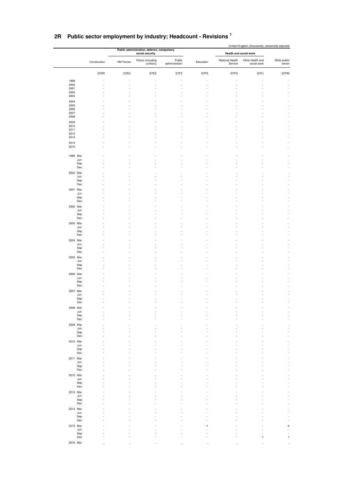|                          |              |           | Public administration, defence, compulsory |                          |           |                            | United Kingdom (thousands), seasonally adjusted |                         |
|--------------------------|--------------|-----------|--------------------------------------------|--------------------------|-----------|----------------------------|-------------------------------------------------|-------------------------|
|                          |              |           | social security                            |                          |           | Health and social work     |                                                 |                         |
|                          | Construction | HM Forces | Police (including<br>civilians)            | Public<br>administration | Education | National Health<br>Service | Other health and<br>social work                 | Other public<br>sector  |
|                          | G7ER         | G7EU      | G7EX                                       | G7F2                     | G7F5      | G7FG                       | G7FJ                                            | G7FM                    |
| 1999                     |              |           |                                            |                          |           |                            |                                                 |                         |
| 2000<br>2001             |              |           |                                            |                          |           |                            |                                                 |                         |
| 2002                     |              |           |                                            |                          |           |                            |                                                 |                         |
| 2003                     |              |           |                                            |                          |           |                            |                                                 |                         |
| 2004<br>2005             |              |           |                                            |                          |           |                            |                                                 |                         |
| 2006                     |              |           |                                            |                          |           |                            |                                                 |                         |
| 2007                     |              |           |                                            |                          |           |                            |                                                 |                         |
| 2008<br>2009             |              |           |                                            |                          |           |                            |                                                 |                         |
| 2010                     |              |           |                                            |                          |           |                            |                                                 |                         |
| 2011<br>2012             |              |           |                                            |                          |           |                            |                                                 |                         |
| 2013                     |              |           |                                            |                          |           |                            |                                                 |                         |
| 2014                     |              |           |                                            |                          |           |                            |                                                 |                         |
| 2015                     |              |           |                                            |                          |           |                            |                                                 |                         |
| 1999 Mar                 |              |           |                                            |                          |           |                            |                                                 |                         |
| Jun                      |              |           |                                            |                          |           |                            |                                                 |                         |
| Sep<br>Dec               |              |           |                                            |                          |           |                            |                                                 |                         |
| 2000 Mar                 |              |           |                                            |                          |           |                            |                                                 |                         |
| Jun                      |              |           |                                            |                          |           |                            |                                                 |                         |
| Sep<br>Dec               |              |           |                                            |                          |           |                            |                                                 |                         |
| 2001 Mar                 |              |           |                                            |                          |           |                            |                                                 |                         |
| Jun                      |              |           |                                            |                          |           |                            |                                                 |                         |
| Sep<br>$_{\rm Dec}$      |              |           |                                            |                          |           |                            |                                                 |                         |
| 2002 Mar                 |              |           |                                            |                          |           |                            |                                                 |                         |
| Jun                      |              |           |                                            |                          |           |                            |                                                 |                         |
| Sep                      |              |           |                                            |                          |           |                            |                                                 |                         |
| Dec                      |              |           |                                            |                          |           |                            |                                                 |                         |
| 2003 Mar<br>Jun          |              |           |                                            |                          |           |                            |                                                 |                         |
| Sep                      |              |           |                                            |                          |           |                            |                                                 |                         |
| Dec                      |              |           |                                            |                          |           |                            |                                                 |                         |
| 2004 Mar<br>Jun          |              |           |                                            |                          |           |                            |                                                 |                         |
| Sep                      |              |           |                                            |                          |           |                            |                                                 |                         |
| $_{\rm Dec}$             |              |           |                                            |                          |           |                            |                                                 |                         |
| 2005 Mar<br>Jun          |              |           |                                            |                          |           |                            |                                                 |                         |
| Sep                      |              |           |                                            |                          |           |                            |                                                 |                         |
| Dec                      |              |           |                                            |                          |           |                            |                                                 |                         |
| 2006 Mar<br>Jun          |              |           |                                            |                          |           |                            |                                                 |                         |
| Sep                      |              |           |                                            |                          |           |                            |                                                 |                         |
| Dec                      |              |           |                                            |                          |           |                            |                                                 |                         |
| 2007 Mar<br>Jun          |              |           |                                            |                          |           |                            |                                                 |                         |
| Sep                      |              |           |                                            |                          |           |                            |                                                 |                         |
| Dec                      |              |           |                                            |                          |           |                            |                                                 |                         |
| 2008 Mar<br>Jun          |              |           |                                            |                          |           |                            |                                                 |                         |
| Sep                      |              |           |                                            |                          |           |                            |                                                 |                         |
| $_{\rm Dec}$<br>2009 Mar |              |           |                                            |                          |           |                            |                                                 |                         |
| Jun                      |              |           |                                            |                          |           |                            |                                                 |                         |
| Sep                      |              |           |                                            |                          |           |                            |                                                 |                         |
| $_{\rm Dec}$             |              |           |                                            |                          |           |                            |                                                 |                         |
| 2010 Mar<br>Jun          |              |           |                                            |                          |           |                            |                                                 |                         |
| Sep                      |              |           |                                            |                          |           |                            |                                                 |                         |
| Dec<br>2011 Mar          |              |           |                                            |                          |           |                            |                                                 |                         |
| Jun                      |              |           |                                            |                          |           |                            |                                                 |                         |
| Sep                      |              |           |                                            |                          |           |                            |                                                 |                         |
| $_{\rm Dec}$<br>2012 Mar |              |           |                                            |                          |           |                            |                                                 |                         |
| Jun                      |              |           |                                            |                          |           |                            |                                                 |                         |
| Sep                      |              |           |                                            |                          |           |                            |                                                 |                         |
| $_{\rm Dec}$<br>2013 Mar |              |           |                                            |                          |           |                            |                                                 |                         |
| Jun                      |              |           |                                            |                          |           |                            |                                                 |                         |
| Sep<br>Dec               |              |           |                                            |                          |           |                            |                                                 |                         |
| 2014 Mar                 |              |           |                                            |                          |           |                            |                                                 |                         |
| Jun                      |              |           |                                            |                          |           |                            |                                                 |                         |
| Sep                      |              |           |                                            |                          |           |                            |                                                 |                         |
| Dec                      |              |           |                                            |                          |           |                            |                                                 |                         |
| 2015 Mar<br>Jun          |              |           |                                            |                          | $-1$      |                            |                                                 | $\cdot 3$<br>$\epsilon$ |
| Sep                      |              |           |                                            |                          |           |                            |                                                 | ÷,                      |
| $_{\rm Dec}$<br>2016 Mar |              |           |                                            |                          |           |                            | $-1$                                            | $\mathbf 1$             |
|                          |              |           |                                            |                          |           |                            |                                                 |                         |

#### **2R Public sector employment by industry; Headcount - Revisions <sup>1</sup>**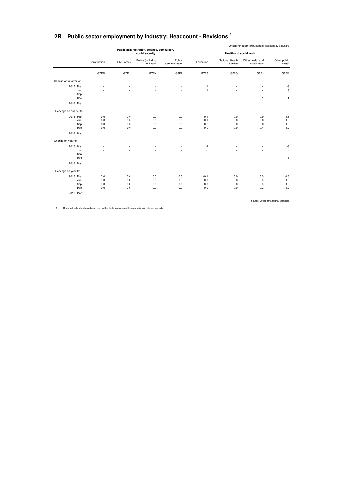|  |  |  | 2R Public sector employment by industry; Headcount - Revisions ' |  |
|--|--|--|------------------------------------------------------------------|--|
|--|--|--|------------------------------------------------------------------|--|

|                         |                      |                      | Public administration, defence, compulsory |                          |                      |                            |                                 |                                        |
|-------------------------|----------------------|----------------------|--------------------------------------------|--------------------------|----------------------|----------------------------|---------------------------------|----------------------------------------|
|                         |                      |                      | social security                            |                          |                      | Health and social work     |                                 |                                        |
|                         | Construction         | <b>HM Forces</b>     | Police (including<br>civilians)            | Public<br>administration | Education            | National Health<br>Service | Other health and<br>social work | Other public<br>sector                 |
|                         | G7ER                 | G7EU                 | G7EX                                       | G7F2                     | G7F5                 | G7FG                       | G7FJ                            | G7FM                                   |
| Change on quarter to:   |                      |                      |                                            |                          |                      |                            |                                 |                                        |
| 2015 Mar                |                      |                      |                                            |                          | $-1$                 |                            |                                 | -3                                     |
| Jun                     |                      |                      |                                            |                          | $\overline{1}$       |                            |                                 | 3                                      |
| Sep                     |                      |                      |                                            |                          | ٠                    |                            |                                 | ٠                                      |
| Dec                     |                      |                      |                                            |                          | ٠                    |                            | $-1$                            | $\mathbf{1}$                           |
| 2016 Mar                | $\ddotsc$            | $\ddotsc$            | $\ddot{\phantom{a}}$                       | $\ddotsc$                | $\ddotsc$            | $\ddot{\phantom{a}}$       | $\ldots$                        | $\ddotsc$                              |
| % change on quarter to: |                      |                      |                                            |                          |                      |                            |                                 |                                        |
| 2015 Mar                | 0.0                  | 0.0                  | 0.0                                        | 0.0                      | $-0.1$               | 0.0                        | 0.0                             | $-0.5$                                 |
| Jun                     | 0.0                  | 0.0                  | 0.0                                        | 0.0                      | 0.1                  | 0.0                        | 0.0                             | 0.5                                    |
| Sep                     | 0.0                  | 0.0                  | 0.0                                        | 0.0                      | 0.0                  | 0.0                        | 0.0                             | 0.0                                    |
| Dec                     | 0.0                  | 0.0                  | 0.0                                        | 0.0                      | 0.0                  | 0.0                        | $-0.4$                          | 0.2                                    |
| 2016 Mar                | $\ddotsc$            | $\ddotsc$            | $\ddotsc$                                  | $\ddot{\phantom{a}}$     | $\ddot{\phantom{a}}$ | $\ddotsc$                  | $\ldots$                        | $\ldots$                               |
| Change on year to:      |                      |                      |                                            |                          |                      |                            |                                 |                                        |
| 2015 Mar                |                      |                      |                                            |                          | $-1$                 |                            |                                 | -3                                     |
| Jun                     |                      |                      |                                            |                          |                      |                            |                                 | ٠                                      |
| Sep                     |                      |                      |                                            |                          |                      |                            | ÷                               | ٠                                      |
| Dec                     |                      |                      |                                            |                          |                      | ÷.                         | $-1$                            | $\mathbf{1}$                           |
| 2016 Mar                | $\ddot{\phantom{0}}$ | $\ddot{\phantom{a}}$ | $\ddot{\phantom{a}}$                       | $\ddot{\phantom{a}}$     | $\ddotsc$            | $\ddot{\phantom{a}}$       | $\ddotsc$                       | $\ldots$                               |
| % change on year to:    |                      |                      |                                            |                          |                      |                            |                                 |                                        |
| 2015 Mar                | 0.0                  | 0.0                  | 0.0                                        | 0.0                      | $-0.1$               | 0.0                        | 0.0                             | $-0.6$                                 |
| Jun                     | 0.0                  | 0.0                  | 0.0                                        | 0.0                      | 0.0                  | 0.0                        | 0.0                             | 0.0                                    |
| Sep                     | 0.0                  | 0.0                  | 0.0                                        | 0.0                      | 0.0                  | 0.0                        | 0.0                             | 0.0                                    |
| Dec                     | 0.0                  | 0.0                  | 0.0                                        | 0.0                      | 0.0                  | 0.0                        | $-0.3$                          | 0.2                                    |
| 2016 Mar                | $\ddotsc$            | $\ldots$             | $\ddotsc$                                  | $\ldots$                 | $\ldots$             | $\ddotsc$                  | $\ddot{\phantom{a}}$            | $\ddotsc$                              |
|                         |                      |                      |                                            |                          |                      |                            |                                 | Source: Office for National Statistics |

1 Rounded estimates have been used in this table to calculate the comparisons between periods.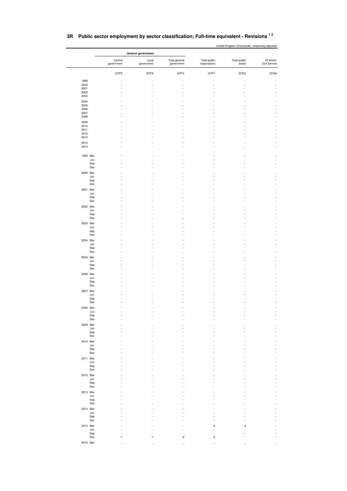|                      |                            | General government   |                             |                              |                        |                            |
|----------------------|----------------------------|----------------------|-----------------------------|------------------------------|------------------------|----------------------------|
|                      | Central<br>government      | Local<br>government  | Total general<br>government | Total public<br>corporations | Total public<br>sector | Of which:<br>Civil Service |
|                      | G7FP                       | G7FS                 | G7FV                        | G7FY                         | G7G3                   | G7G6                       |
| 1999<br>2000<br>2001 |                            |                      |                             |                              |                        |                            |
| 2002<br>2003         |                            |                      |                             |                              |                        |                            |
| 2004<br>2005         |                            |                      |                             |                              |                        |                            |
| 2006<br>2007<br>2008 |                            |                      |                             |                              |                        |                            |
| 2009<br>2010         |                            |                      |                             |                              |                        |                            |
| 2011<br>2012         |                            |                      |                             |                              |                        |                            |
| 2013<br>2014         |                            |                      |                             |                              |                        |                            |
| 2015                 |                            |                      |                             |                              |                        |                            |
| 1999 Mar             | Jun<br>Sep                 |                      |                             |                              |                        |                            |
| 2000 Mar             | $_{\rm Dec}$               |                      |                             |                              |                        |                            |
|                      | Jun<br>Sep                 |                      |                             |                              |                        |                            |
| 2001 Mar             | Dec                        |                      |                             |                              |                        |                            |
|                      | Jun<br>Sep                 |                      |                             |                              |                        |                            |
| 2002 Mar             | $\mathsf{Dec}$             |                      |                             |                              |                        |                            |
|                      | Jun<br>Sep<br>$_{\rm Dec}$ |                      |                             |                              |                        |                            |
| 2003 Mar             | Jun                        |                      |                             |                              |                        |                            |
|                      | Sep<br>$_{\rm Dec}$        |                      |                             |                              |                        |                            |
| 2004 Mar             | Jun                        |                      |                             |                              |                        |                            |
|                      | Sep<br>$\mathsf{Dec}$      |                      |                             |                              |                        |                            |
| 2005 Mar             | Jun<br>Sep                 |                      |                             |                              |                        |                            |
| 2006 Mar             | Dec                        |                      |                             |                              |                        |                            |
|                      | Jun<br>Sep                 |                      |                             |                              |                        |                            |
| 2007 Mar             | Dec                        |                      |                             |                              |                        |                            |
|                      | Jun<br>Sep<br>Dec          |                      |                             |                              |                        |                            |
| 2008 Mar             | Jun                        |                      |                             |                              |                        |                            |
|                      | Sep<br>Dec                 |                      |                             |                              |                        |                            |
| 2009 Mar             | Jun                        |                      |                             |                              |                        |                            |
|                      | Sep<br>Dec                 |                      |                             |                              |                        |                            |
| 2010 Mar             | Jun<br>Sep                 |                      |                             |                              |                        |                            |
| 2011 Mar             | Dec                        |                      |                             |                              |                        |                            |
|                      | Jun<br>Sep                 |                      |                             |                              |                        |                            |
| 2012 Mar             | Dec                        |                      |                             |                              |                        |                            |
|                      | Jun<br>Sep                 |                      |                             |                              |                        |                            |
| 2013 Mar             | $_{\rm Dec}$<br>Jun        |                      |                             |                              |                        |                            |
|                      | Sep<br>Dec                 |                      |                             |                              |                        |                            |
| 2014 Mar             | Jun                        |                      |                             |                              |                        |                            |
|                      | Sep<br>Dec                 |                      |                             |                              |                        |                            |
| 2015 Mar             | Jun                        |                      |                             | $-3$<br>÷,                   | -3                     |                            |
|                      | Sep<br>Dec<br>$-1$         | -1                   | $-2$                        | $\boldsymbol{2}$             |                        |                            |
| 2016 Mar             | $\ldots$                   | $\ddot{\phantom{0}}$ | $\cdot$ .                   | $\ddot{\phantom{a}}$         | $\ddotsc$              | $\ddot{\phantom{0}}$       |

#### **3R Public sector employment by sector classification; Full-time equivalent - Revisions 1 2**

United Kingdom (thousands), seasonally adjusted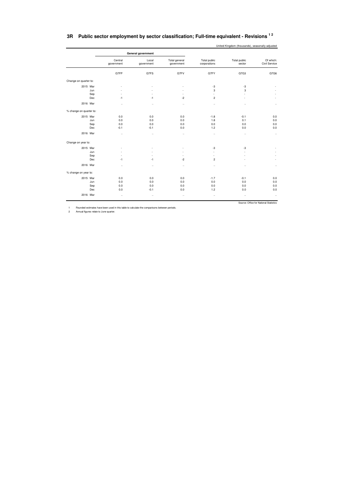| Of which:                                                                                                                                                                                                                     |
|-------------------------------------------------------------------------------------------------------------------------------------------------------------------------------------------------------------------------------|
| Total public<br>Civil Service<br>sector                                                                                                                                                                                       |
| G7G6                                                                                                                                                                                                                          |
|                                                                                                                                                                                                                               |
|                                                                                                                                                                                                                               |
|                                                                                                                                                                                                                               |
|                                                                                                                                                                                                                               |
| ÷                                                                                                                                                                                                                             |
| $\ddotsc$                                                                                                                                                                                                                     |
|                                                                                                                                                                                                                               |
| 0.0                                                                                                                                                                                                                           |
| 0.0                                                                                                                                                                                                                           |
| 0.0                                                                                                                                                                                                                           |
| 0.0                                                                                                                                                                                                                           |
| $\ddotsc$                                                                                                                                                                                                                     |
|                                                                                                                                                                                                                               |
|                                                                                                                                                                                                                               |
|                                                                                                                                                                                                                               |
|                                                                                                                                                                                                                               |
| ٠                                                                                                                                                                                                                             |
| $\ldots$                                                                                                                                                                                                                      |
|                                                                                                                                                                                                                               |
| 0.0                                                                                                                                                                                                                           |
| 0.0                                                                                                                                                                                                                           |
| 0.0                                                                                                                                                                                                                           |
| 0.0                                                                                                                                                                                                                           |
| $\ldots$                                                                                                                                                                                                                      |
| G7G3<br>$-3$<br>3<br>÷<br>×,<br><br>$-0.1$<br>0.1<br>0.0<br>0.0<br>$\ldots$<br>$-3$<br>÷.<br>÷.<br>÷<br>$\ddot{\phantom{a}}$<br>$-0.1$<br>0.0<br>0.0<br>0.0<br>$\ddot{\phantom{0}}$<br>Source: Office for National Statistics |

#### **3R Public sector employment by sector classification; Full-time equivalent - Revisions 1 2**

United Kingdom (thousands), seasonally adjusted

1 Rounded estimates have been used in this table to calculate the comparisons between periods. 2 Annual figures relate to June quarter.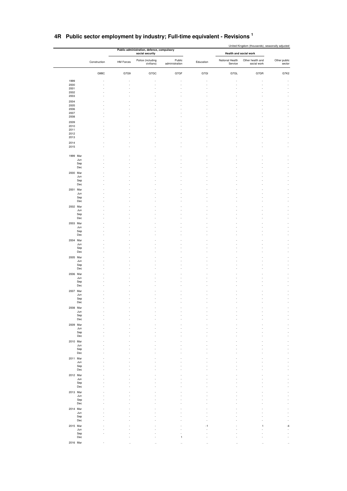|              |                     |                  | Public administration, defence, compulsory<br>social security |                          |           | Health and social work     |                                 |                        |  |
|--------------|---------------------|------------------|---------------------------------------------------------------|--------------------------|-----------|----------------------------|---------------------------------|------------------------|--|
|              | Construction        | <b>HM Forces</b> | Police (including<br>civilians)                               | Public<br>administration | Education | National Health<br>Service | Other health and<br>social work | Other public<br>sector |  |
|              | G9BC                | G7G9             | G7GC                                                          | G7GF                     | G7GI      | G7GL                       | G7GR                            | G7K2                   |  |
| 1999         |                     |                  |                                                               |                          |           |                            |                                 |                        |  |
| 2000<br>2001 |                     |                  |                                                               |                          |           |                            |                                 |                        |  |
| 2002         |                     |                  |                                                               |                          |           |                            |                                 |                        |  |
| 2003         |                     |                  |                                                               |                          |           |                            |                                 |                        |  |
| 2004<br>2005 |                     |                  |                                                               |                          |           |                            |                                 |                        |  |
| 2006         |                     |                  |                                                               |                          |           |                            |                                 |                        |  |
| 2007         |                     |                  |                                                               |                          |           |                            |                                 |                        |  |
| 2008         |                     |                  |                                                               |                          |           |                            |                                 |                        |  |
| 2009<br>2010 |                     |                  |                                                               |                          |           |                            |                                 |                        |  |
| 2011         |                     |                  |                                                               |                          |           |                            |                                 |                        |  |
| 2012<br>2013 |                     |                  |                                                               |                          |           |                            |                                 |                        |  |
| 2014         |                     |                  |                                                               |                          |           |                            |                                 |                        |  |
| 2015         |                     |                  |                                                               |                          |           |                            |                                 |                        |  |
|              |                     |                  |                                                               |                          |           |                            |                                 |                        |  |
| 1999 Mar     | Jun                 |                  |                                                               |                          |           |                            |                                 |                        |  |
|              | Sep                 |                  |                                                               |                          |           |                            |                                 |                        |  |
|              | $_{\rm Dec}$        |                  |                                                               |                          |           |                            |                                 |                        |  |
| 2000 Mar     | Jun                 |                  |                                                               |                          |           |                            |                                 |                        |  |
|              | Sep                 |                  |                                                               |                          |           |                            |                                 |                        |  |
|              | Dec                 |                  |                                                               |                          |           |                            |                                 |                        |  |
| 2001 Mar     |                     |                  |                                                               |                          |           |                            |                                 |                        |  |
|              | Jun<br>Sep          |                  |                                                               |                          |           |                            |                                 |                        |  |
|              | Dec                 |                  |                                                               |                          |           |                            |                                 |                        |  |
| 2002 Mar     |                     |                  |                                                               |                          |           |                            |                                 |                        |  |
|              | Jun<br>Sep          |                  |                                                               |                          |           |                            |                                 |                        |  |
|              | Dec                 |                  |                                                               |                          |           |                            |                                 |                        |  |
|              | 2003 Mar            |                  |                                                               |                          |           |                            |                                 |                        |  |
|              | Jun<br>Sep          |                  |                                                               |                          |           |                            |                                 |                        |  |
|              | $_{\rm Dec}$        |                  |                                                               |                          |           |                            |                                 |                        |  |
|              | 2004 Mar            |                  |                                                               |                          |           |                            |                                 |                        |  |
|              | Jun                 |                  |                                                               |                          |           |                            |                                 |                        |  |
|              | Sep<br>Dec          |                  |                                                               |                          |           |                            |                                 |                        |  |
|              | 2005 Mar            |                  |                                                               |                          |           |                            |                                 |                        |  |
|              | Jun                 |                  |                                                               |                          |           |                            |                                 |                        |  |
|              | Sep<br>Dec          |                  |                                                               |                          |           |                            |                                 |                        |  |
| 2006 Mar     |                     |                  |                                                               |                          |           |                            |                                 |                        |  |
|              | Jun                 |                  |                                                               |                          |           |                            |                                 |                        |  |
|              | Sep<br>$_{\rm Dec}$ |                  |                                                               |                          |           |                            |                                 |                        |  |
|              | 2007 Mar            |                  |                                                               |                          |           |                            |                                 |                        |  |
|              | Jun                 |                  |                                                               |                          |           |                            |                                 |                        |  |
|              | Sep<br>$_{\rm Dec}$ |                  |                                                               |                          |           |                            |                                 |                        |  |
|              | 2008 Mar            |                  |                                                               |                          |           |                            |                                 |                        |  |
|              | Jun                 |                  |                                                               |                          |           |                            |                                 |                        |  |
|              | Sep<br>Dec          |                  |                                                               |                          |           |                            |                                 |                        |  |
|              | 2009 Mar            |                  |                                                               |                          |           |                            |                                 |                        |  |
|              | Jun                 |                  |                                                               |                          |           |                            |                                 |                        |  |
|              | Sep<br>Dec          |                  |                                                               |                          |           |                            |                                 |                        |  |
|              | 2010 Mar            |                  |                                                               |                          |           |                            |                                 |                        |  |
|              | Jun                 |                  |                                                               |                          |           |                            |                                 |                        |  |
|              | Sep                 |                  |                                                               |                          |           |                            |                                 |                        |  |
|              | Dec                 |                  |                                                               |                          |           |                            |                                 |                        |  |
|              | 2011 Mar<br>Jun     |                  |                                                               |                          |           |                            |                                 |                        |  |
|              | Sep                 |                  |                                                               |                          |           |                            |                                 |                        |  |
|              | Dec                 |                  |                                                               |                          |           |                            |                                 |                        |  |
|              | 2012 Mar<br>Jun     |                  |                                                               |                          |           |                            |                                 |                        |  |
|              | Sep                 |                  |                                                               |                          |           |                            |                                 |                        |  |
|              | Dec                 |                  |                                                               |                          |           |                            |                                 |                        |  |
|              | 2013 Mar<br>Jun     |                  |                                                               |                          |           |                            |                                 |                        |  |
|              | Sep                 |                  |                                                               |                          |           |                            |                                 |                        |  |
|              | Dec                 |                  |                                                               |                          |           |                            |                                 |                        |  |
|              | 2014 Mar<br>Jun     |                  |                                                               |                          |           |                            |                                 |                        |  |
|              | Sep                 |                  |                                                               |                          |           |                            |                                 |                        |  |
|              | $\mathsf{Dec}$      |                  |                                                               |                          |           |                            |                                 |                        |  |
|              | 2015 Mar            |                  |                                                               |                          | -1        |                            | $\overline{1}$                  | -4                     |  |
|              | Jun<br>Sep          |                  |                                                               |                          |           |                            |                                 |                        |  |
|              | Dec                 |                  |                                                               | $\mathbf{1}$             |           |                            |                                 |                        |  |
|              | 2016 Mar            |                  |                                                               | ÷.                       |           |                            | $\ddotsc$                       |                        |  |

#### **4R Public sector employment by industry; Full-time equivalent - Revisions <sup>1</sup>**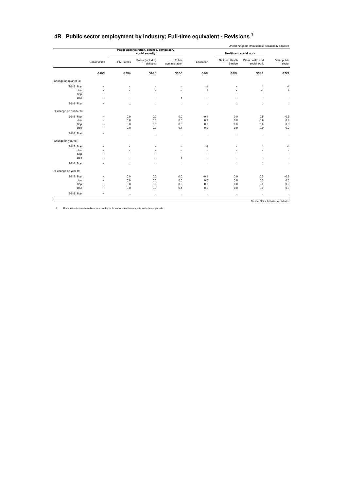|                         |          |              |                      |                                                               |                          |                      |                            | United Kingdom (thousands), seasonally adjusted |                                        |
|-------------------------|----------|--------------|----------------------|---------------------------------------------------------------|--------------------------|----------------------|----------------------------|-------------------------------------------------|----------------------------------------|
|                         |          |              |                      | Public administration, defence, compulsory<br>social security |                          |                      |                            | Health and social work                          |                                        |
|                         |          | Construction | <b>HM Forces</b>     | Police (including<br>civilians)                               | Public<br>administration | Education            | National Health<br>Service | Other health and<br>social work                 | Other public<br>sector                 |
|                         |          | G9BC         | G7G9                 | G7GC                                                          | G7GF                     | G7GI                 | G7GL                       | G7GR                                            | G7K2                                   |
| Change on quarter to:   |          |              |                      |                                                               |                          |                      |                            |                                                 |                                        |
|                         | 2015 Mar |              |                      |                                                               |                          | $-1$                 |                            | $\mathbf{1}$                                    | $-4$                                   |
|                         | Jun      |              |                      |                                                               |                          | $\mathbf{1}$         |                            | $-1$                                            | $\overline{4}$                         |
|                         | Sep      |              |                      |                                                               | ä,                       | ٠                    |                            | ٠                                               | ٠                                      |
|                         | Dec      |              |                      |                                                               | $\mathbf{1}$             | $\sim$               |                            | ٠                                               | ÷.                                     |
|                         | 2016 Mar |              | ٠.                   |                                                               | $\ldots$                 | $\ddotsc$            | $\ddotsc$                  | $\sim$                                          | $\ddotsc$                              |
| % change on quarter to: |          |              |                      |                                                               |                          |                      |                            |                                                 |                                        |
|                         | 2015 Mar |              | 0.0                  | 0.0                                                           | 0.0                      | $-0.1$               | 0.0                        | 0.5                                             | $-0.9$                                 |
|                         | Jun      | ×.           | 0.0                  | 0.0                                                           | 0.0                      | 0.1                  | 0.0                        | $-0.6$                                          | 0.9                                    |
|                         | Sep      | ٠            | 0.0                  | 0.0                                                           | 0.0                      | 0.0                  | 0.0                        | 0.0                                             | 0.0                                    |
|                         | Dec      |              | 0.0                  | 0.0                                                           | 0.1                      | 0.0                  | 0.0                        | 0.0                                             | 0.0                                    |
|                         | 2016 Mar |              | $\ddot{\phantom{0}}$ | $\cdots$                                                      | $\ddotsc$                | $\ddot{\phantom{0}}$ | $\cdot\cdot$               | $\cdots$                                        | $\ldots$                               |
| Change on year to:      |          |              |                      |                                                               |                          |                      |                            |                                                 |                                        |
|                         | 2015 Mar |              |                      |                                                               |                          | $-1$                 |                            | $\overline{1}$                                  | $-4$                                   |
|                         | Jun      |              |                      |                                                               |                          |                      |                            |                                                 | ÷                                      |
|                         | Sep      |              |                      |                                                               | ÷.                       |                      |                            |                                                 | ÷.                                     |
|                         | Dec      |              |                      | ä,                                                            | $\overline{1}$           | ÷                    |                            | ٠                                               | ä,                                     |
|                         | 2016 Mar |              | $\ddotsc$            | $\ldots$                                                      | $\ddot{\phantom{a}}$     | $\ddotsc$            | $\ldots$                   | $\sim$                                          | $\ddotsc$                              |
| % change on year to:    |          |              |                      |                                                               |                          |                      |                            |                                                 |                                        |
|                         | 2015 Mar |              | 0.0                  | 0.0                                                           | 0.0                      | $-0.1$               | 0.0                        | 0.5                                             | $-0.8$                                 |
|                         | Jun      |              | 0.0                  | 0.0                                                           | 0.0                      | 0.0                  | 0.0                        | 0.0                                             | 0.0                                    |
|                         | Sep      | ٠            | 0.0                  | 0.0                                                           | 0.0                      | 0.0                  | 0.0                        | 0.0                                             | 0.0                                    |
|                         | Dec      | ×.           | 0.0                  | 0.0                                                           | 0.1                      | 0.0                  | 0.0                        | 0.0                                             | 0.0                                    |
|                         | 2016 Mar |              | $\ddotsc$            | $\cdots$                                                      | $\sim$                   | $\sim$               | $\cdots$                   | $\sim$                                          | $\cdots$                               |
|                         |          |              |                      |                                                               |                          |                      |                            |                                                 | Source: Office for National Statistics |

#### **4R Public sector employment by industry; Full-time equivalent - Revisions <sup>1</sup>**

1 Rounded estimates have been used in this table to calculate the comparisons between periods.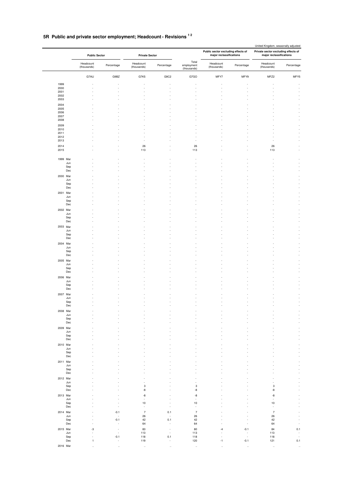#### **5R Public and private sector employment; Headcount - Revisions 1 2**

|                             |                          |              |                                        |            |                                    |                                                               |                          | United Kingdom, seasonally adjusted                            |                          |  |
|-----------------------------|--------------------------|--------------|----------------------------------------|------------|------------------------------------|---------------------------------------------------------------|--------------------------|----------------------------------------------------------------|--------------------------|--|
|                             | <b>Public Sector</b>     |              | <b>Private Sector</b>                  |            |                                    | Public sector excluding effects of<br>major reclassifications |                          | Private sector excluding effects of<br>major reclassifications |                          |  |
|                             | Headcount<br>(thousands) | Percentage   | Headcount<br>(thousands)               | Percentage | Total<br>employment<br>(thousands) | Headcount<br>(thousands)                                      | Percentage               | Headcount<br>(thousands)                                       | Percentage               |  |
|                             | G7AU                     | G9BZ         | G7K5                                   | G9C2       | G7GO                               | MFY7                                                          | MFY9                     | MFZ2                                                           | MFY5                     |  |
| 1999<br>2000                |                          |              |                                        |            |                                    |                                                               |                          |                                                                |                          |  |
| 2001                        |                          |              |                                        |            |                                    |                                                               |                          |                                                                |                          |  |
| 2002<br>2003                |                          |              |                                        |            |                                    |                                                               |                          |                                                                |                          |  |
| 2004                        |                          |              |                                        |            |                                    |                                                               |                          |                                                                |                          |  |
| 2005                        |                          |              |                                        |            |                                    |                                                               |                          |                                                                |                          |  |
| 2006                        |                          |              |                                        |            |                                    |                                                               |                          |                                                                |                          |  |
| 2007<br>2008                |                          |              |                                        |            |                                    |                                                               |                          |                                                                |                          |  |
| 2009                        |                          |              |                                        |            |                                    |                                                               |                          |                                                                |                          |  |
| 2010                        |                          |              |                                        |            |                                    |                                                               |                          |                                                                |                          |  |
| 2011<br>2012                |                          |              |                                        |            |                                    |                                                               |                          |                                                                |                          |  |
| 2013                        |                          |              |                                        |            |                                    |                                                               |                          |                                                                |                          |  |
| 2014                        |                          |              | 26                                     |            | 26                                 |                                                               |                          | 26                                                             |                          |  |
| 2015                        |                          |              | 113                                    |            | 113                                |                                                               |                          | 113                                                            |                          |  |
| 1999 Mar                    |                          |              |                                        |            |                                    |                                                               |                          |                                                                |                          |  |
| Jun                         |                          |              |                                        |            |                                    |                                                               |                          |                                                                |                          |  |
| Sep<br>Dec                  |                          |              |                                        |            |                                    |                                                               |                          |                                                                |                          |  |
| 2000 Mar                    |                          |              |                                        |            |                                    |                                                               |                          |                                                                |                          |  |
| Jun                         |                          |              |                                        |            |                                    |                                                               |                          |                                                                |                          |  |
| Sep<br>Dec                  |                          |              |                                        |            |                                    |                                                               |                          |                                                                |                          |  |
|                             |                          |              |                                        |            |                                    |                                                               |                          |                                                                |                          |  |
| 2001 Mar<br>Jun             |                          |              |                                        |            |                                    |                                                               |                          |                                                                |                          |  |
| Sep                         |                          |              |                                        |            |                                    |                                                               |                          |                                                                |                          |  |
| Dec                         |                          |              |                                        |            |                                    |                                                               |                          |                                                                |                          |  |
| 2002 Mar                    |                          |              |                                        |            |                                    |                                                               |                          |                                                                |                          |  |
| Jun<br>Sep                  |                          |              |                                        |            |                                    |                                                               |                          |                                                                |                          |  |
| Dec                         |                          |              |                                        |            |                                    |                                                               |                          |                                                                |                          |  |
| 2003 Mar                    |                          |              |                                        |            |                                    |                                                               |                          |                                                                |                          |  |
| Jun<br>Sep                  |                          |              |                                        |            |                                    |                                                               |                          |                                                                |                          |  |
| Dec                         |                          |              |                                        |            |                                    |                                                               |                          |                                                                |                          |  |
| 2004 Mar                    |                          |              |                                        |            |                                    |                                                               |                          |                                                                |                          |  |
| Jun                         |                          |              |                                        |            |                                    |                                                               |                          |                                                                |                          |  |
| Sep<br>Dec                  |                          |              |                                        |            |                                    |                                                               |                          |                                                                |                          |  |
| 2005 Mar                    |                          |              |                                        |            |                                    |                                                               |                          |                                                                |                          |  |
| Jun                         |                          |              |                                        |            |                                    |                                                               |                          |                                                                |                          |  |
| Sep                         |                          |              |                                        |            |                                    |                                                               |                          |                                                                |                          |  |
| Dec                         |                          |              |                                        |            |                                    |                                                               |                          |                                                                |                          |  |
| 2006 Mar<br>Jun             |                          |              |                                        |            |                                    |                                                               |                          |                                                                |                          |  |
| Sep                         |                          |              |                                        |            |                                    |                                                               |                          |                                                                |                          |  |
| Dec                         |                          |              |                                        |            |                                    |                                                               |                          |                                                                |                          |  |
| 2007 Mar<br>Jun             |                          |              |                                        |            |                                    |                                                               |                          |                                                                |                          |  |
| Sep                         |                          |              |                                        |            |                                    |                                                               |                          |                                                                |                          |  |
| Dec                         |                          |              |                                        |            |                                    |                                                               |                          |                                                                |                          |  |
| 2008 Mar                    |                          |              |                                        |            |                                    |                                                               |                          |                                                                |                          |  |
| Jun<br>Sep                  |                          |              |                                        |            |                                    |                                                               |                          |                                                                |                          |  |
| Dec                         |                          |              |                                        |            |                                    |                                                               |                          |                                                                |                          |  |
| 2009 Mar                    |                          |              |                                        |            |                                    |                                                               |                          |                                                                |                          |  |
| Jun<br>Sep                  |                          |              |                                        |            |                                    |                                                               |                          |                                                                |                          |  |
| Dec                         |                          |              |                                        |            |                                    |                                                               |                          |                                                                |                          |  |
| 2010 Mar                    |                          |              |                                        |            |                                    |                                                               |                          |                                                                |                          |  |
| Jun                         |                          |              |                                        |            |                                    |                                                               |                          |                                                                | $\overline{\phantom{a}}$ |  |
| Sep<br>Dec                  |                          |              |                                        |            |                                    |                                                               |                          |                                                                | $\overline{\phantom{a}}$ |  |
| 2011 Mar                    |                          |              |                                        |            |                                    |                                                               |                          |                                                                |                          |  |
| Jun                         |                          |              |                                        |            |                                    |                                                               |                          |                                                                | $\overline{a}$           |  |
| Sep                         |                          |              |                                        |            |                                    |                                                               |                          |                                                                |                          |  |
| Dec                         |                          |              |                                        |            |                                    |                                                               |                          |                                                                | $\overline{\phantom{a}}$ |  |
| 2012 Mar<br>Jun             |                          |              | $\overline{\phantom{a}}$<br>$\epsilon$ |            |                                    |                                                               |                          |                                                                | ä,                       |  |
| Sep                         |                          |              | $\mathbf 3$                            |            | 3                                  |                                                               |                          | $\mathbf 3$                                                    |                          |  |
| Dec                         |                          |              | -8                                     |            | -8                                 |                                                               |                          | -8                                                             | ÷.                       |  |
| 2013 Mar                    |                          |              | -8                                     |            | -8                                 |                                                               |                          | -8                                                             |                          |  |
| Jun<br>Sep                  |                          |              | $\sim$<br>10                           | J.<br>÷,   | $\overline{\phantom{a}}$<br>$10$   |                                                               |                          | $\sim$<br>10                                                   | ÷,<br>÷.                 |  |
| Dec                         |                          |              | $\overline{\phantom{a}}$               |            | ÷,                                 |                                                               |                          | $\sim$                                                         |                          |  |
| 2014 Mar                    |                          | $-0.1$       | $\overline{7}$                         | 0.1        | $\overline{7}$                     |                                                               |                          | $\overline{7}$                                                 |                          |  |
| Jun                         |                          | $\sim$       | 26                                     | ÷.         | 26                                 |                                                               |                          | 26                                                             | $\overline{\phantom{a}}$ |  |
| Sep<br>Dec                  |                          | $-0.1$<br>÷. | 42<br>64                               | 0.1<br>÷,  | 42<br>64                           |                                                               |                          | 42<br>64                                                       | ÷,                       |  |
| 2015 Mar                    | $-3$                     |              | 83                                     | J.         | 80                                 | -4                                                            | $-0.1$                   | 84                                                             | 0.1                      |  |
| Jun                         |                          | ÷,           | 113                                    | ÷,         | 113                                | ÷.                                                            | $\overline{\phantom{a}}$ | 113                                                            | $\overline{\phantom{a}}$ |  |
| ${\sf Sep}$<br>$_{\rm Dec}$ | $\mathbf{1}$             | $-0.1$<br>٠. | 118<br>119                             | 0.1<br>÷,  | 118                                | $-1$                                                          | $\sim$                   | 118<br>121                                                     | ÷,                       |  |
|                             |                          |              |                                        |            | 120                                |                                                               | $-0.1$                   |                                                                | 0.1                      |  |
| 2016 Mar                    |                          |              |                                        |            |                                    |                                                               |                          |                                                                |                          |  |